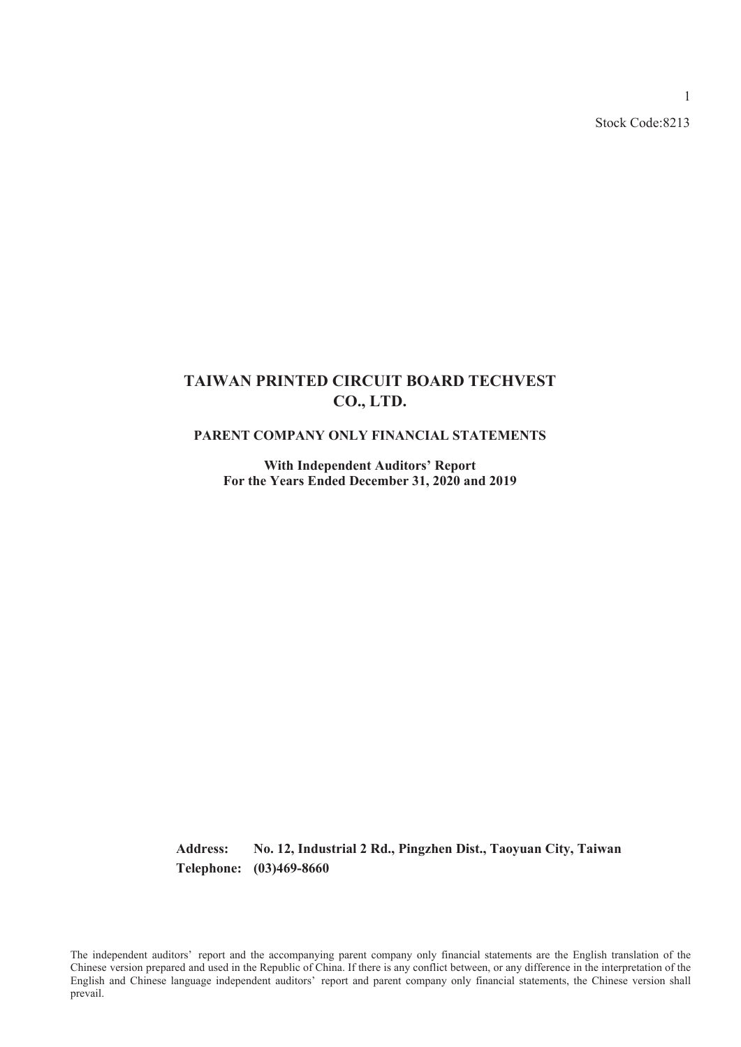Stock Code:8213

1

# **TAIWAN PRINTED CIRCUIT BOARD TECHVEST CO., LTD.**

### **PARENT COMPANY ONLY FINANCIAL STATEMENTS**

**With Independent Auditors' Report For the Years Ended December 31, 2020 and 2019**

**Address: No. 12, Industrial 2 Rd., Pingzhen Dist., Taoyuan City, Taiwan Telephone: (03)469-8660**

The independent auditors' report and the accompanying parent company only financial statements are the English translation of the Chinese version prepared and used in the Republic of China. If there is any conflict between, or any difference in the interpretation of the English and Chinese language independent auditors' report and parent company only financial statements, the Chinese version shall prevail.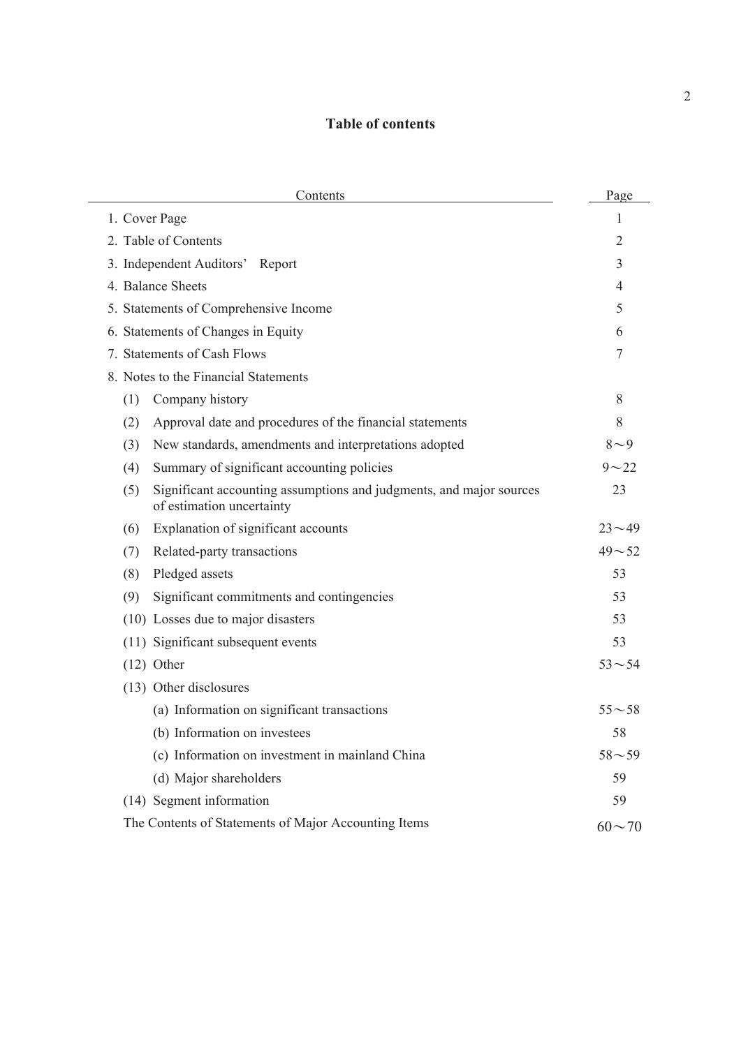# **Table of contents**

| Contents                                                                                                | Page         |
|---------------------------------------------------------------------------------------------------------|--------------|
| 1. Cover Page                                                                                           | 1            |
| 2. Table of Contents                                                                                    | 2            |
| 3. Independent Auditors' Report                                                                         | 3            |
| 4. Balance Sheets                                                                                       | 4            |
| 5. Statements of Comprehensive Income                                                                   | 5            |
| 6. Statements of Changes in Equity                                                                      | 6            |
| 7. Statements of Cash Flows                                                                             | 7            |
| 8. Notes to the Financial Statements                                                                    |              |
| (1)<br>Company history                                                                                  | 8            |
| Approval date and procedures of the financial statements<br>(2)                                         | 8            |
| New standards, amendments and interpretations adopted<br>(3)                                            | $8\sim9$     |
| (4)<br>Summary of significant accounting policies                                                       | $9 - 22$     |
| Significant accounting assumptions and judgments, and major sources<br>(5)<br>of estimation uncertainty | 23           |
| Explanation of significant accounts<br>(6)                                                              | $23 - 49$    |
| Related-party transactions<br>(7)                                                                       | $49 - 52$    |
| (8)<br>Pledged assets                                                                                   | 53           |
| Significant commitments and contingencies<br>(9)                                                        | 53           |
| (10) Losses due to major disasters                                                                      | 53           |
| (11) Significant subsequent events                                                                      | 53           |
| $(12)$ Other                                                                                            | $53 - 54$    |
| (13) Other disclosures                                                                                  |              |
| (a) Information on significant transactions                                                             | $55 - 58$    |
| (b) Information on investees                                                                            | 58           |
| (c) Information on investment in mainland China                                                         | $58 - 59$    |
| (d) Major shareholders                                                                                  | 59           |
| (14) Segment information                                                                                | 59           |
| The Contents of Statements of Major Accounting Items                                                    | $60 \sim 70$ |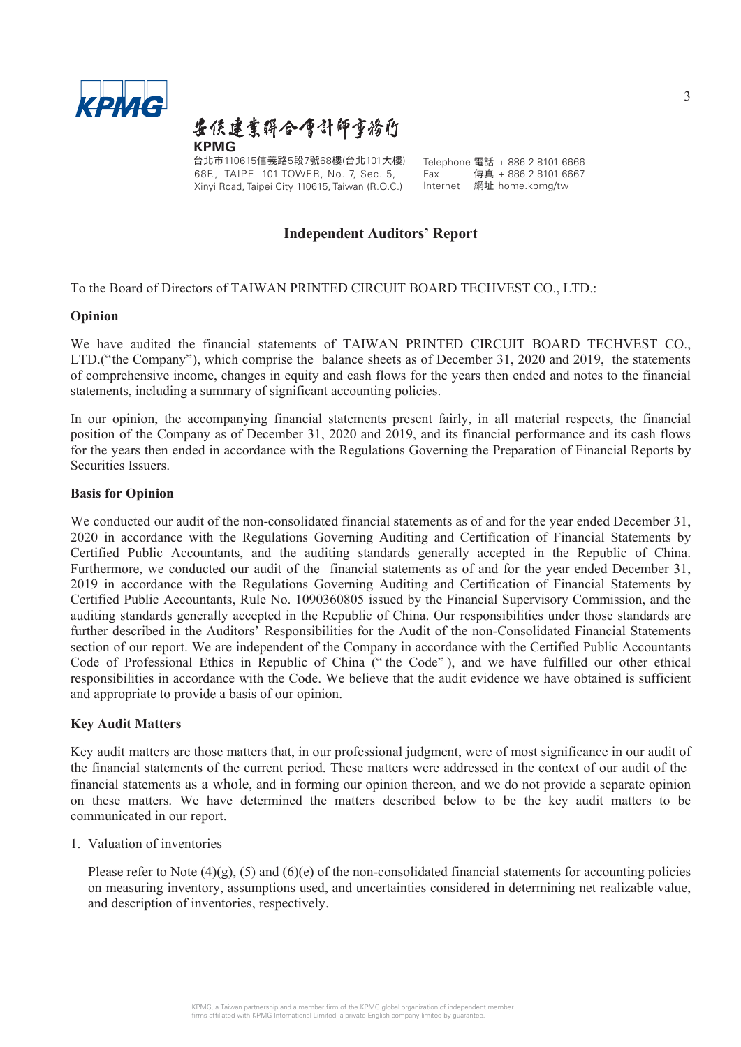

要侯建業群合會計師事務府 **KPMG**

台北市110615信義路5段7號68樓(台北101大樓) Telephone 電話 + 886 2 8101 6666<br>68E - TAIPEL 101 TOWEB No. 7 Sec. 5 - Fax - 傳真 + 886 2 8101 6667 68F., TAIPEI 101 TOWER, No. 7, Sec. 5, Xinyi Road, Taipei City 110615, Taiwan (R.O.C.)

 $Fax$  傳真 + 886 2 8101 6667<br>Internet 網址 home knmg/tw 網址 home.kpmg/tw

### **Independent Auditors' Report**

To the Board of Directors of TAIWAN PRINTED CIRCUIT BOARD TECHVEST CO., LTD.:

### **Opinion**

We have audited the financial statements of TAIWAN PRINTED CIRCUIT BOARD TECHVEST CO., LTD.("the Company"), which comprise the balance sheets as of December 31, 2020 and 2019, the statements of comprehensive income, changes in equity and cash flows for the years then ended and notes to the financial statements, including a summary of significant accounting policies.

In our opinion, the accompanying financial statements present fairly, in all material respects, the financial position of the Company as of December 31, 2020 and 2019, and its financial performance and its cash flows for the years then ended in accordance with the Regulations Governing the Preparation of Financial Reports by Securities Issuers.

### **Basis for Opinion**

We conducted our audit of the non-consolidated financial statements as of and for the year ended December 31, 2020 in accordance with the Regulations Governing Auditing and Certification of Financial Statements by Certified Public Accountants, and the auditing standards generally accepted in the Republic of China. Furthermore, we conducted our audit of the financial statements as of and for the year ended December 31, 2019 in accordance with the Regulations Governing Auditing and Certification of Financial Statements by Certified Public Accountants, Rule No. 1090360805 issued by the Financial Supervisory Commission, and the auditing standards generally accepted in the Republic of China. Our responsibilities under those standards are further described in the Auditors' Responsibilities for the Audit of the non-Consolidated Financial Statements section of our report. We are independent of the Company in accordance with the Certified Public Accountants Code of Professional Ethics in Republic of China (" the Code" ), and we have fulfilled our other ethical responsibilities in accordance with the Code. We believe that the audit evidence we have obtained is sufficient and appropriate to provide a basis of our opinion.

### **Key Audit Matters**

Key audit matters are those matters that, in our professional judgment, were of most significance in our audit of the financial statements of the current period. These matters were addressed in the context of our audit of the financial statements as a whole, and in forming our opinion thereon, and we do not provide a separate opinion on these matters. We have determined the matters described below to be the key audit matters to be communicated in our report.

### 1. Valuation of inventories

Please refer to Note  $(4)(g)$ ,  $(5)$  and  $(6)(e)$  of the non-consolidated financial statements for accounting policies on measuring inventory, assumptions used, and uncertainties considered in determining net realizable value, and description of inventories, respectively.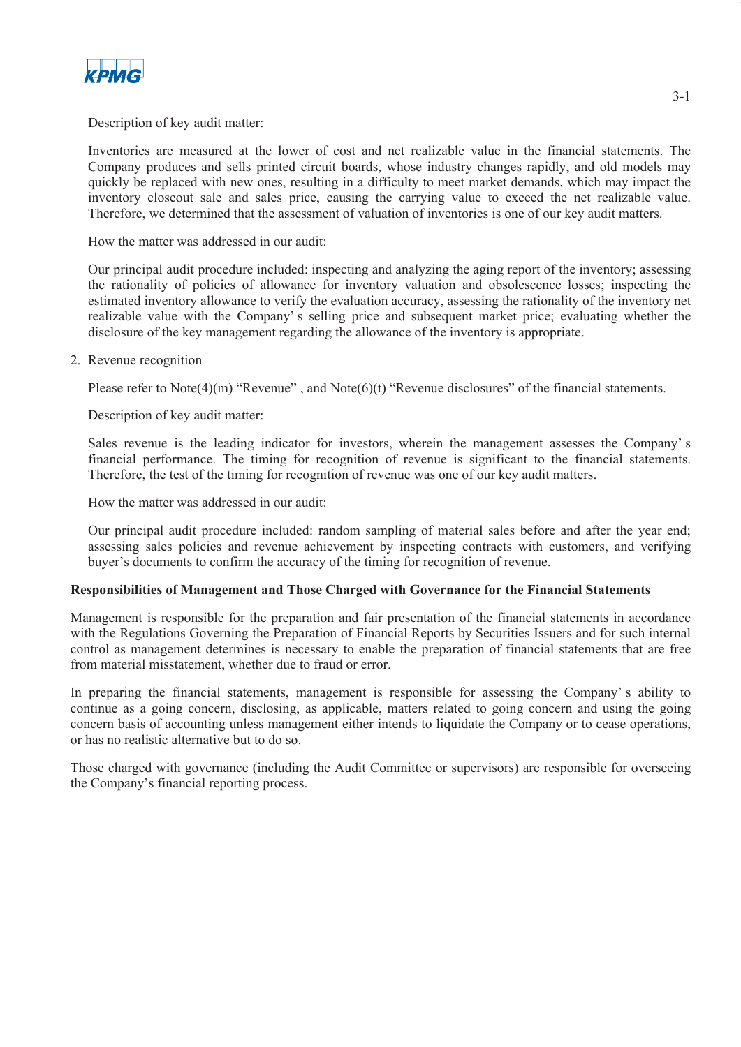

### Description of key audit matter:

Inventories are measured at the lower of cost and net realizable value in the financial statements. The Company produces and sells printed circuit boards, whose industry changes rapidly, and old models may quickly be replaced with new ones, resulting in a difficulty to meet market demands, which may impact the inventory closeout sale and sales price, causing the carrying value to exceed the net realizable value. Therefore, we determined that the assessment of valuation of inventories is one of our key audit matters.

How the matter was addressed in our audit:

Our principal audit procedure included: inspecting and analyzing the aging report of the inventory; assessing the rationality of policies of allowance for inventory valuation and obsolescence losses; inspecting the estimated inventory allowance to verify the evaluation accuracy, assessing the rationality of the inventory net realizable value with the Company' s selling price and subsequent market price; evaluating whether the disclosure of the key management regarding the allowance of the inventory is appropriate.

### 2. Revenue recognition

Please refer to Note $(4)(m)$  "Revenue", and Note $(6)(t)$  "Revenue disclosures" of the financial statements.

Description of key audit matter:

Sales revenue is the leading indicator for investors, wherein the management assesses the Company' s financial performance. The timing for recognition of revenue is significant to the financial statements. Therefore, the test of the timing for recognition of revenue was one of our key audit matters.

How the matter was addressed in our audit:

Our principal audit procedure included: random sampling of material sales before and after the year end; assessing sales policies and revenue achievement by inspecting contracts with customers, and verifying buyer's documents to confirm the accuracy of the timing for recognition of revenue.

#### **Responsibilities of Management and Those Charged with Governance for the Financial Statements**

Management is responsible for the preparation and fair presentation of the financial statements in accordance with the Regulations Governing the Preparation of Financial Reports by Securities Issuers and for such internal control as management determines is necessary to enable the preparation of financial statements that are free from material misstatement, whether due to fraud or error.

In preparing the financial statements, management is responsible for assessing the Company's ability to continue as a going concern, disclosing, as applicable, matters related to going concern and using the going concern basis of accounting unless management either intends to liquidate the Company or to cease operations, or has no realistic alternative but to do so.

Those charged with governance (including the Audit Committee or supervisors) are responsible for overseeing the Company's financial reporting process.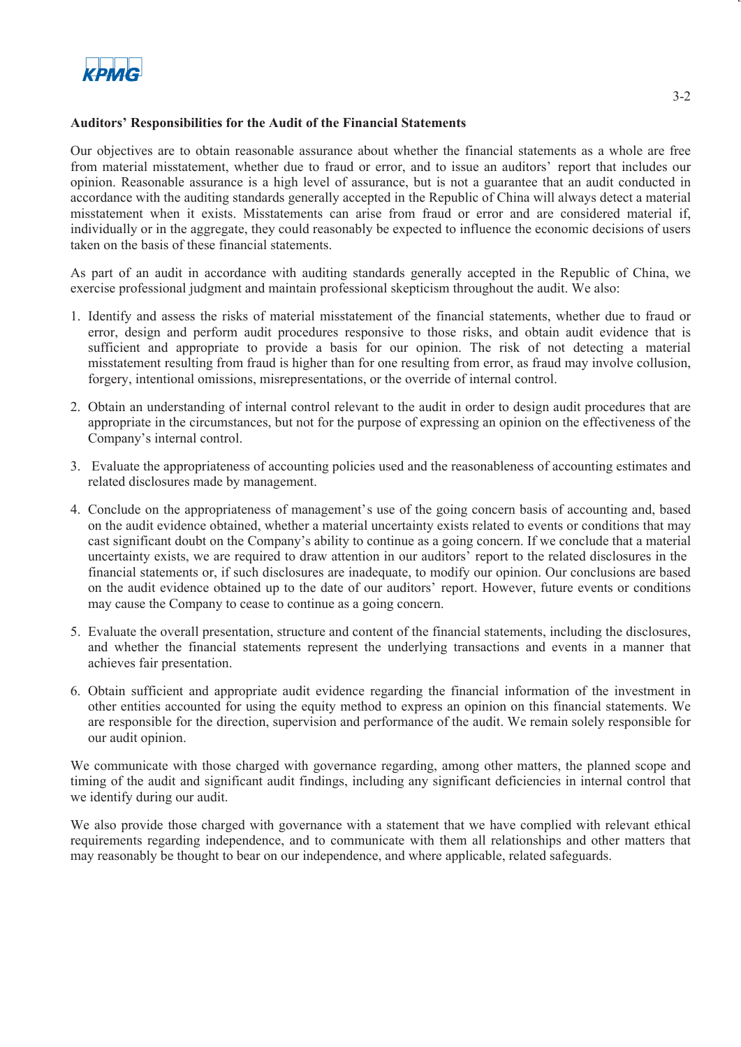

### **Auditors' Responsibilities for the Audit of the Financial Statements**

Our objectives are to obtain reasonable assurance about whether the financial statements as a whole are free from material misstatement, whether due to fraud or error, and to issue an auditors' report that includes our opinion. Reasonable assurance is a high level of assurance, but is not a guarantee that an audit conducted in accordance with the auditing standards generally accepted in the Republic of China will always detect a material misstatement when it exists. Misstatements can arise from fraud or error and are considered material if, individually or in the aggregate, they could reasonably be expected to influence the economic decisions of users taken on the basis of these financial statements.

As part of an audit in accordance with auditing standards generally accepted in the Republic of China, we exercise professional judgment and maintain professional skepticism throughout the audit. We also:

- 1. Identify and assess the risks of material misstatement of the financial statements, whether due to fraud or error, design and perform audit procedures responsive to those risks, and obtain audit evidence that is sufficient and appropriate to provide a basis for our opinion. The risk of not detecting a material misstatement resulting from fraud is higher than for one resulting from error, as fraud may involve collusion, forgery, intentional omissions, misrepresentations, or the override of internal control.
- 2. Obtain an understanding of internal control relevant to the audit in order to design audit procedures that are appropriate in the circumstances, but not for the purpose of expressing an opinion on the effectiveness of the Company's internal control.
- 3. Evaluate the appropriateness of accounting policies used and the reasonableness of accounting estimates and related disclosures made by management.
- 4. Conclude on the appropriateness of management's use of the going concern basis of accounting and, based on the audit evidence obtained, whether a material uncertainty exists related to events or conditions that may cast significant doubt on the Company's ability to continue as a going concern. If we conclude that a material uncertainty exists, we are required to draw attention in our auditors' report to the related disclosures in the financial statements or, if such disclosures are inadequate, to modify our opinion. Our conclusions are based on the audit evidence obtained up to the date of our auditors' report. However, future events or conditions may cause the Company to cease to continue as a going concern.
- 5. Evaluate the overall presentation, structure and content of the financial statements, including the disclosures, and whether the financial statements represent the underlying transactions and events in a manner that achieves fair presentation.
- 6. Obtain sufficient and appropriate audit evidence regarding the financial information of the investment in other entities accounted for using the equity method to express an opinion on this financial statements. We are responsible for the direction, supervision and performance of the audit. We remain solely responsible for our audit opinion.

We communicate with those charged with governance regarding, among other matters, the planned scope and timing of the audit and significant audit findings, including any significant deficiencies in internal control that we identify during our audit.

We also provide those charged with governance with a statement that we have complied with relevant ethical requirements regarding independence, and to communicate with them all relationships and other matters that may reasonably be thought to bear on our independence, and where applicable, related safeguards.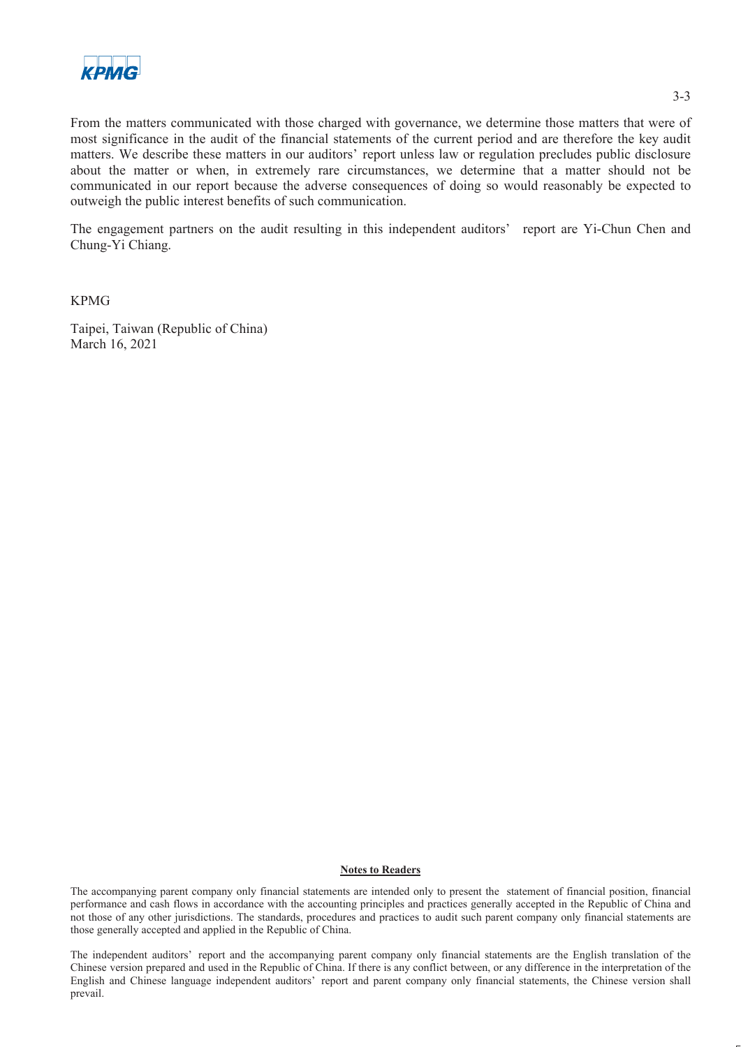

From the matters communicated with those charged with governance, we determine those matters that were of most significance in the audit of the financial statements of the current period and are therefore the key audit matters. We describe these matters in our auditors' report unless law or regulation precludes public disclosure about the matter or when, in extremely rare circumstances, we determine that a matter should not be communicated in our report because the adverse consequences of doing so would reasonably be expected to outweigh the public interest benefits of such communication.

The engagement partners on the audit resulting in this independent auditors' report are Yi-Chun Chen and Chung-Yi Chiang.

KPMG

Taipei, Taiwan (Republic of China) March 16, 2021

#### **Notes to Readers**

The accompanying parent company only financial statements are intended only to present the statement of financial position, financial performance and cash flows in accordance with the accounting principles and practices generally accepted in the Republic of China and not those of any other jurisdictions. The standards, procedures and practices to audit such parent company only financial statements are those generally accepted and applied in the Republic of China.

The independent auditors' report and the accompanying parent company only financial statements are the English translation of the Chinese version prepared and used in the Republic of China. If there is any conflict between, or any difference in the interpretation of the English and Chinese language independent auditors' report and parent company only financial statements, the Chinese version shall prevail.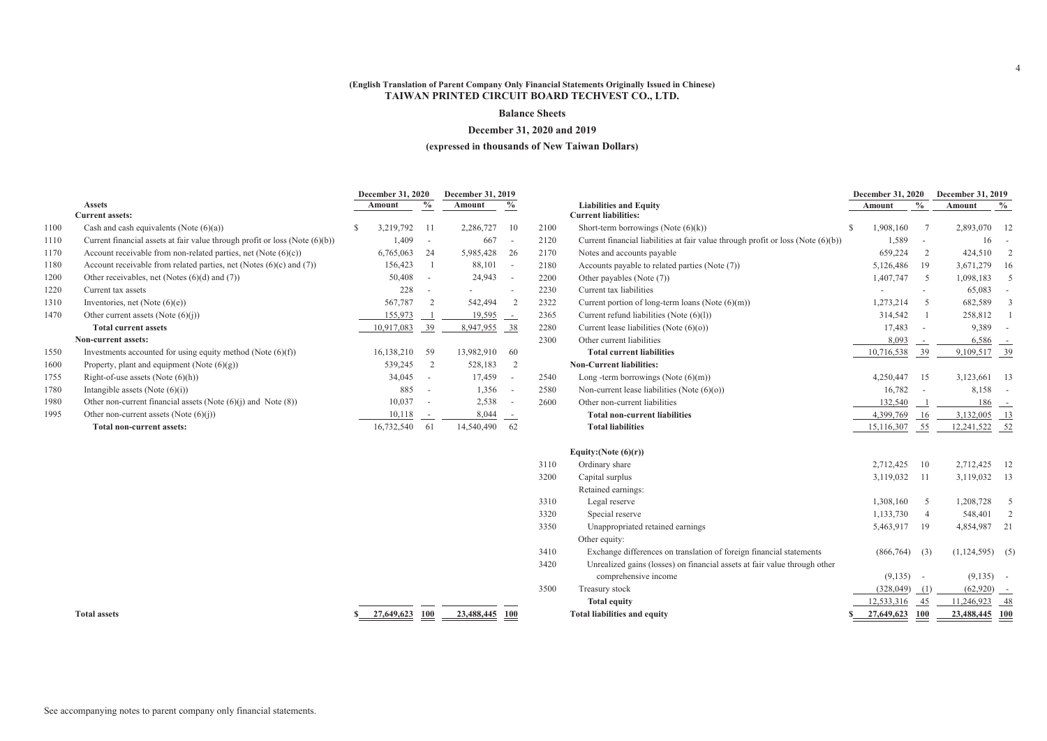#### **Balance Sheets**

#### **December 31, 2020 and 2019**

#### **(expressed in thousands of New Taiwan Dollars)**

**Current liabilities:**

|      |                                                                                |   | <b>December 31, 2020</b> |                          | December 31, 2019 |                          |      |
|------|--------------------------------------------------------------------------------|---|--------------------------|--------------------------|-------------------|--------------------------|------|
|      | <b>Assets</b>                                                                  |   | Amount                   | $\frac{0}{0}$            | Amount            | $\%$                     |      |
|      | <b>Current assets:</b>                                                         |   |                          |                          |                   |                          |      |
| 1100 | Cash and cash equivalents (Note $(6)(a)$ )                                     | S | 3,219,792                | 11                       | 2,286,727         | 10                       | 2100 |
| 1110 | Current financial assets at fair value through profit or loss (Note $(6)(b)$ ) |   | 1,409                    | $\overline{\phantom{a}}$ | 667               | $\overline{\phantom{0}}$ | 2120 |
| 1170 | Account receivable from non-related parties, net (Note $(6)(c)$ )              |   | 6,765,063                | 24                       | 5,985,428         | 26                       | 2170 |
| 1180 | Account receivable from related parties, net (Notes $(6)(c)$ and $(7)$ )       |   | 156,423                  | 1                        | 88,101            | $\overline{\phantom{a}}$ | 2180 |
| 1200 | Other receivables, net (Notes (6)(d) and (7))                                  |   | 50,408                   | $\blacksquare$           | 24,943            | $\overline{\phantom{0}}$ | 2200 |
| 1220 | Current tax assets                                                             |   | 228                      | $\overline{\phantom{a}}$ |                   | ۰                        | 2230 |
| 1310 | Inventories, net (Note $(6)(e)$ )                                              |   | 567,787                  | 2                        | 542,494           | 2                        | 2322 |
| 1470 | Other current assets (Note $(6)(i)$ )                                          |   | 155,973                  |                          | 19,595            | $\sim$                   | 2365 |
|      | <b>Total current assets</b>                                                    |   | 10,917,083               | 39                       | 8,947,955         | 38                       | 2280 |
|      | Non-current assets:                                                            |   |                          |                          |                   |                          | 2300 |
| 1550 | Investments accounted for using equity method (Note $(6)(f)$ )                 |   | 16,138,210               | 59                       | 13,982,910        | 60                       |      |
| 1600 | Property, plant and equipment (Note $(6)(g)$ )                                 |   | 539,245                  | 2                        | 528,183           | 2                        |      |
| 1755 | Right-of-use assets (Note $(6)(h)$ )                                           |   | 34,045                   | $\bar{a}$                | 17,459            | $\blacksquare$           | 2540 |
| 1780 | Intangible assets (Note $(6)(i)$ )                                             |   | 885                      | ÷.                       | 1,356             | $\overline{\phantom{0}}$ | 2580 |
| 1980 | Other non-current financial assets (Note $(6)(i)$ ) and Note $(8)$ )           |   | 10,037                   |                          | 2,538             | -                        | 2600 |
| 1995 | Other non-current assets (Note $(6)(i)$ )                                      |   | 10,118                   |                          | 8,044             |                          |      |
|      | Total non-current assets:                                                      |   | 16,732,540               | 61                       | 14,540,490        | 62                       |      |
|      |                                                                                |   |                          |                          |                   |                          |      |

| 2322 | Current portion of long-term loans (Note $(6)(m)$ )                       | 1,273,214  | 5          | 682,589       | 3          |
|------|---------------------------------------------------------------------------|------------|------------|---------------|------------|
| 2365 | Current refund liabilities (Note (6)(1))                                  | 314,542    |            | 258,812       | 1          |
| 2280 | Current lease liabilities (Note $(6)(o)$ )                                | 17,483     |            | 9,389         | $\sim$     |
| 2300 | Other current liabilities                                                 | 8,093      |            | 6,586         | $\sim$     |
|      | <b>Total current liabilities</b>                                          | 10,716,538 | 39         | 9,109,517     | 39         |
|      | <b>Non-Current liabilities:</b>                                           |            |            |               |            |
| 2540 | Long -term borrowings (Note $(6)(m)$ )                                    | 4,250,447  | 15         | 3,123,661     | 13         |
| 2580 | Non-current lease liabilities (Note $(6)(o)$ )                            | 16,782     |            | 8,158         |            |
| 2600 | Other non-current liabilities                                             | 132,540    |            | 186           | $\sim$     |
|      | <b>Total non-current liabilities</b>                                      | 4,399,769  | 16         | 3,132,005     | 13         |
|      | <b>Total liabilities</b>                                                  | 15,116,307 | 55         | 12,241,522    | - 52       |
|      | Equity: (Note $(6)(r)$ )                                                  |            |            |               |            |
| 3110 | Ordinary share                                                            | 2,712,425  | 10         | 2,712,425     | 12         |
| 3200 | Capital surplus                                                           | 3,119,032  | 11         | 3,119,032     | 13         |
|      | Retained earnings:                                                        |            |            |               |            |
| 3310 | Legal reserve                                                             | 1,308,160  | 5          | 1,208,728     | 5          |
| 3320 | Special reserve                                                           | 1,133,730  | 4          | 548,401       | 2          |
| 3350 | Unappropriated retained earnings                                          | 5,463,917  | 19         | 4,854,987     | 21         |
|      | Other equity:                                                             |            |            |               |            |
| 3410 | Exchange differences on translation of foreign financial statements       | (866,764)  | (3)        | (1, 124, 595) | (5)        |
| 3420 | Unrealized gains (losses) on financial assets at fair value through other |            |            |               |            |
|      | comprehensive income                                                      | (9, 135)   |            | (9, 135)      |            |
| 3500 | Treasury stock                                                            | (328, 049) | (1)        | (62, 920)     |            |
|      | <b>Total equity</b>                                                       | 12,533,316 | 45         | 11,246,923    | 48         |
|      | <b>Total liabilities and equity</b>                                       | 27,649,623 | <b>100</b> | 23,488,445    | <b>100</b> |
|      |                                                                           |            |            |               |            |

**Liabilities and Equity Amount**

Short-term borrowings (Note (6)(k))  $\qquad$   $\qquad$   $\qquad$   $\qquad$   $\qquad$   $\qquad$   $\qquad$   $\qquad$   $\qquad$   $\qquad$   $\qquad$   $\qquad$   $\qquad$   $\qquad$   $\qquad$   $\qquad$   $\qquad$   $\qquad$   $\qquad$   $\qquad$   $\qquad$   $\qquad$   $\qquad$   $\qquad$   $\qquad$   $\qquad$   $\qquad$   $\qquad$   $\qquad$   $\qquad$   $\qquad$ 

Current financial liabilities at fair value through profit or loss (Note  $(6)(b)$ ) 1,589 - 16 -

Notes and accounts payable 659,224 2 424,510 2

Accounts payable to related parties (Note (7)) 5,126,486 19 3,671,279 16

Other payables (Note (7)) 1,407,747 5 1,098,183 5

Current tax liabilities - - 65,083 -

**Total assets \$ 27,649,623 100 23,488,445 100**

**%**

**December 31, 2020 December 31, 2019**

**Amount**

**%**

4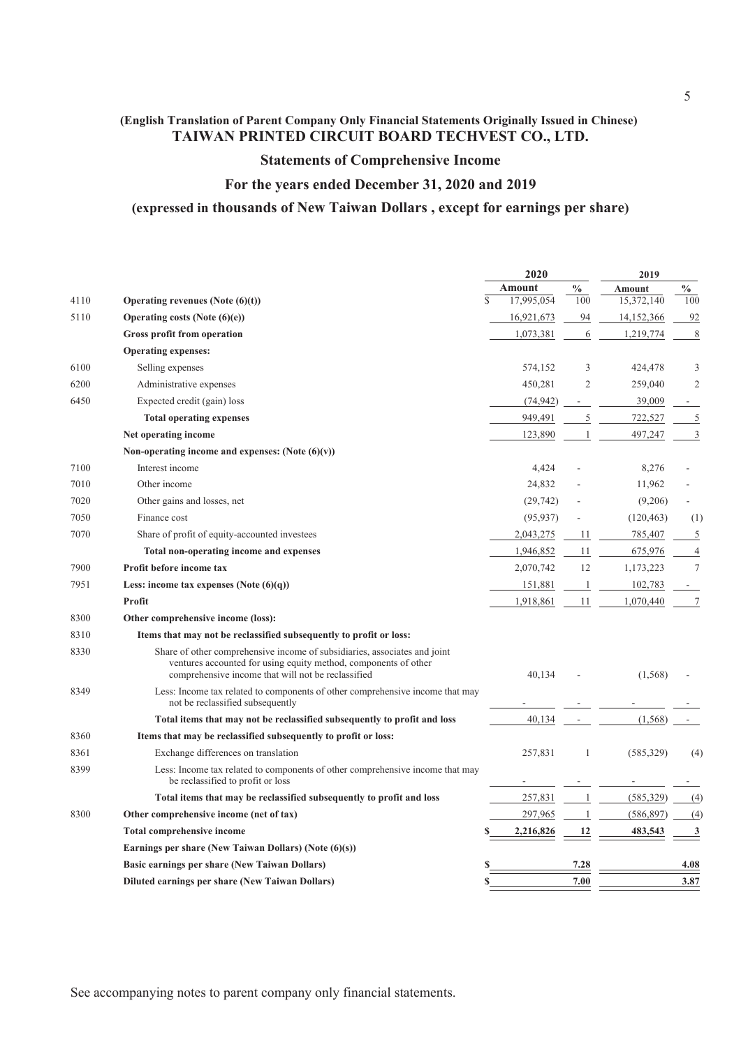### **Statements of Comprehensive Income**

### **For the years ended December 31, 2020 and 2019**

### **(expressed in thousands of New Taiwan Dollars , except for earnings per share)**

|      |                                                                                                                                                                                                    |               | 2020       |                | 2019          |                |
|------|----------------------------------------------------------------------------------------------------------------------------------------------------------------------------------------------------|---------------|------------|----------------|---------------|----------------|
|      |                                                                                                                                                                                                    |               | Amount     | $\frac{0}{0}$  | <b>Amount</b> | $\frac{0}{0}$  |
| 4110 | Operating revenues (Note $(6)(t)$ )                                                                                                                                                                | $\mathcal{S}$ | 17,995,054 | 100            | 15,372,140    | 100            |
| 5110 | Operating costs (Note $(6)(e)$ )                                                                                                                                                                   |               | 16,921,673 | 94             | 14,152,366    | 92             |
|      | Gross profit from operation                                                                                                                                                                        |               | 1,073,381  | 6              | 1,219,774     | 8              |
|      | <b>Operating expenses:</b>                                                                                                                                                                         |               |            |                |               |                |
| 6100 | Selling expenses                                                                                                                                                                                   |               | 574,152    | 3              | 424,478       | 3              |
| 6200 | Administrative expenses                                                                                                                                                                            |               | 450,281    | $\overline{c}$ | 259,040       | $\overline{2}$ |
| 6450 | Expected credit (gain) loss                                                                                                                                                                        |               | (74, 942)  |                | 39,009        |                |
|      | <b>Total operating expenses</b>                                                                                                                                                                    |               | 949,491    | 5              | 722,527       | 5              |
|      | Net operating income                                                                                                                                                                               |               | 123,890    |                | 497,247       | $\mathfrak{Z}$ |
|      | Non-operating income and expenses: (Note $(6)(v)$ )                                                                                                                                                |               |            |                |               |                |
| 7100 | Interest income                                                                                                                                                                                    |               | 4,424      |                | 8,276         |                |
| 7010 | Other income                                                                                                                                                                                       |               | 24,832     |                | 11,962        |                |
| 7020 | Other gains and losses, net                                                                                                                                                                        |               | (29, 742)  |                | (9,206)       |                |
| 7050 | Finance cost                                                                                                                                                                                       |               | (95, 937)  |                | (120, 463)    | (1)            |
| 7070 | Share of profit of equity-accounted investees                                                                                                                                                      |               | 2,043,275  | 11             | 785,407       | 5              |
|      | Total non-operating income and expenses                                                                                                                                                            |               | 1,946,852  | 11             | 675,976       | $\overline{4}$ |
| 7900 | Profit before income tax                                                                                                                                                                           |               | 2,070,742  | 12             | 1,173,223     | $\tau$         |
| 7951 | Less: income tax expenses (Note $(6)(q)$ )                                                                                                                                                         |               | 151,881    | -1             | 102,783       |                |
|      | Profit                                                                                                                                                                                             |               | 1,918,861  | 11             | 1,070,440     | 7              |
| 8300 | Other comprehensive income (loss):                                                                                                                                                                 |               |            |                |               |                |
| 8310 | Items that may not be reclassified subsequently to profit or loss:                                                                                                                                 |               |            |                |               |                |
| 8330 | Share of other comprehensive income of subsidiaries, associates and joint<br>ventures accounted for using equity method, components of other<br>comprehensive income that will not be reclassified |               | 40,134     |                | (1,568)       |                |
| 8349 | Less: Income tax related to components of other comprehensive income that may<br>not be reclassified subsequently                                                                                  |               |            |                |               |                |
|      | Total items that may not be reclassified subsequently to profit and loss                                                                                                                           |               | 40.134     |                | (1, 568)      |                |
| 8360 | Items that may be reclassified subsequently to profit or loss:                                                                                                                                     |               |            |                |               |                |
| 8361 | Exchange differences on translation                                                                                                                                                                |               | 257,831    | 1              | (585, 329)    | (4)            |
| 8399 | Less: Income tax related to components of other comprehensive income that may<br>be reclassified to profit or loss                                                                                 |               |            |                |               |                |
|      | Total items that may be reclassified subsequently to profit and loss                                                                                                                               |               | 257,831    |                | (585,329)     | (4)            |
| 8300 | Other comprehensive income (net of tax)                                                                                                                                                            |               | 297,965    |                | (586, 897)    | (4)            |
|      | Total comprehensive income                                                                                                                                                                         |               | 2,216,826  | 12             | 483,543       | 3              |
|      | Earnings per share (New Taiwan Dollars) (Note $(6)(s)$ )                                                                                                                                           |               |            |                |               |                |
|      | <b>Basic earnings per share (New Taiwan Dollars)</b>                                                                                                                                               | \$            |            | 7.28           |               | 4.08           |
|      | Diluted earnings per share (New Taiwan Dollars)                                                                                                                                                    | S             |            | 7.00           |               | 3.87           |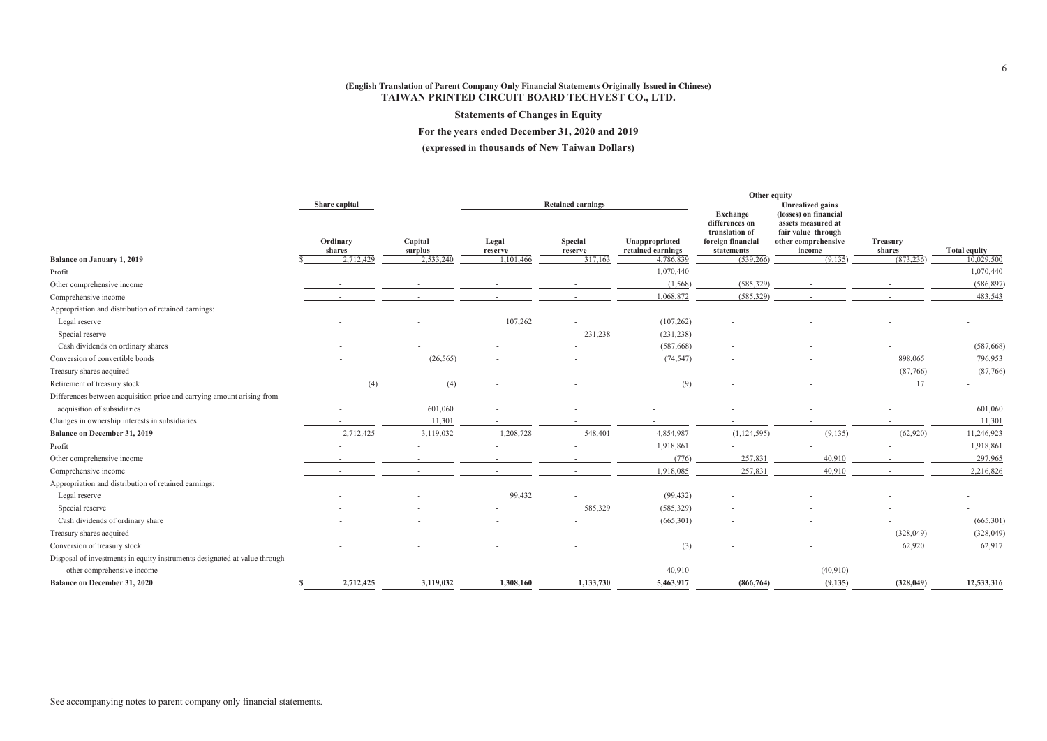**Statements of Changes in Equity**

**For the years ended December 31, 2020 and 2019**

**(expressed in thousands of New Taiwan Dollars)**

|                                                                           |                    |                    |                  | Other equity             |                                     |                                                                                 |                                                                                                    |                    |                     |
|---------------------------------------------------------------------------|--------------------|--------------------|------------------|--------------------------|-------------------------------------|---------------------------------------------------------------------------------|----------------------------------------------------------------------------------------------------|--------------------|---------------------|
|                                                                           | Share capital      |                    |                  | <b>Retained earnings</b> |                                     |                                                                                 | <b>Unrealized gains</b>                                                                            |                    |                     |
|                                                                           | Ordinary<br>shares | Capital<br>surplus | Legal<br>reserve | Special<br>reserve       | Unappropriated<br>retained earnings | Exchange<br>differences on<br>translation of<br>foreign financial<br>statements | (losses) on financial<br>assets measured at<br>fair value through<br>other comprehensive<br>income | Treasury<br>shares | <b>Total equity</b> |
| Balance on January 1, 2019                                                | 2.712.429          | 2,533,240          | 1.101.466        | 317.163                  | 4,786,839                           | (539.266)                                                                       | (9.135)                                                                                            | (873, 236)         | 10.029,500          |
| Profit                                                                    |                    |                    |                  |                          | 1,070,440                           |                                                                                 |                                                                                                    |                    | 1,070,440           |
| Other comprehensive income                                                |                    |                    |                  |                          | (1, 568)                            | (585,329)                                                                       |                                                                                                    |                    | (586, 897)          |
| Comprehensive income                                                      |                    |                    |                  |                          | 1,068,872                           | (585,329)                                                                       |                                                                                                    |                    | 483,543             |
| Appropriation and distribution of retained earnings:                      |                    |                    |                  |                          |                                     |                                                                                 |                                                                                                    |                    |                     |
| Legal reserve                                                             |                    |                    | 107,262          |                          | (107, 262)                          |                                                                                 |                                                                                                    |                    |                     |
| Special reserve                                                           |                    |                    |                  | 231,238                  | (231, 238)                          |                                                                                 |                                                                                                    |                    |                     |
| Cash dividends on ordinary shares                                         |                    |                    |                  |                          | (587, 668)                          |                                                                                 |                                                                                                    |                    | (587, 668)          |
| Conversion of convertible bonds                                           |                    | (26, 565)          |                  |                          | (74, 547)                           |                                                                                 |                                                                                                    | 898,065            | 796,953             |
| Treasury shares acquired                                                  |                    |                    |                  |                          |                                     |                                                                                 |                                                                                                    | (87,766)           | (87,766)            |
| Retirement of treasury stock                                              | (4)                | (4)                |                  |                          | (9)                                 |                                                                                 |                                                                                                    | 17                 |                     |
| Differences between acquisition price and carrying amount arising from    |                    |                    |                  |                          |                                     |                                                                                 |                                                                                                    |                    |                     |
| acquisition of subsidiaries                                               |                    | 601,060            |                  |                          |                                     |                                                                                 |                                                                                                    |                    | 601,060             |
| Changes in ownership interests in subsidiaries                            |                    | 11,301             |                  |                          |                                     |                                                                                 |                                                                                                    |                    | 11,301              |
| Balance on December 31, 2019                                              | 2,712,425          | 3,119,032          | 1,208,728        | 548,401                  | 4,854,987                           | (1, 124, 595)                                                                   | (9,135)                                                                                            | (62,920)           | 11,246,923          |
| Profit                                                                    |                    |                    |                  |                          | 1,918,861                           |                                                                                 |                                                                                                    |                    | 1,918,861           |
| Other comprehensive income                                                |                    |                    |                  |                          | (776)                               | 257,831                                                                         | 40,910                                                                                             |                    | 297,965             |
| Comprehensive income                                                      |                    |                    |                  |                          | 1,918,085                           | 257,831                                                                         | 40,910                                                                                             |                    | 2,216,826           |
| Appropriation and distribution of retained earnings:                      |                    |                    |                  |                          |                                     |                                                                                 |                                                                                                    |                    |                     |
| Legal reserve                                                             |                    |                    | 99,432           |                          | (99, 432)                           |                                                                                 |                                                                                                    |                    |                     |
| Special reserve                                                           |                    |                    |                  | 585,329                  | (585, 329)                          |                                                                                 |                                                                                                    |                    |                     |
| Cash dividends of ordinary share                                          |                    |                    |                  |                          | (665, 301)                          |                                                                                 |                                                                                                    |                    | (665, 301)          |
| Treasury shares acquired                                                  |                    |                    |                  |                          |                                     |                                                                                 |                                                                                                    | (328, 049)         | (328, 049)          |
| Conversion of treasury stock                                              |                    |                    |                  |                          | (3)                                 |                                                                                 |                                                                                                    | 62,920             | 62,917              |
| Disposal of investments in equity instruments designated at value through |                    |                    |                  |                          |                                     |                                                                                 |                                                                                                    |                    |                     |
| other comprehensive income                                                |                    |                    |                  |                          | 40,910                              |                                                                                 | (40,910)                                                                                           |                    |                     |
| Balance on December 31, 2020                                              | 2,712,425          | 3,119,032          | 1,308,160        | 1,133,730                | 5,463,917                           | (866, 764)                                                                      | (9, 135)                                                                                           | (328, 049)         | 12,533,316          |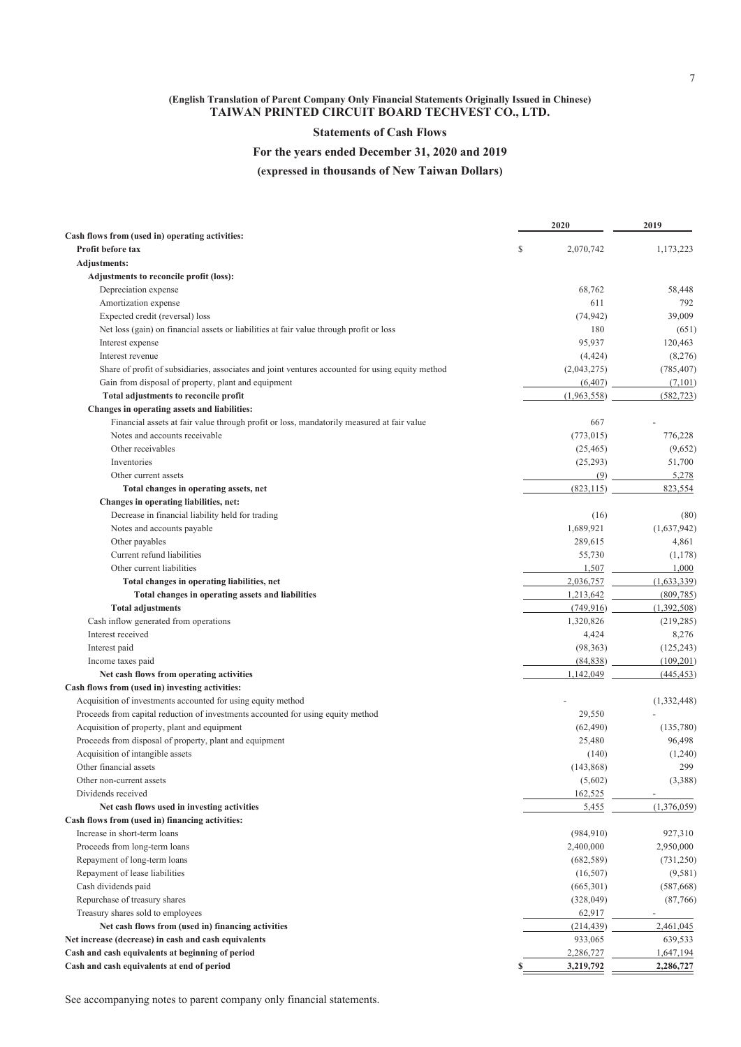### **Statements of Cash Flows**

### **For the years ended December 31, 2020 and 2019**

**(expressed in thousands of New Taiwan Dollars)**

|                                                                                                  |    | 2020        | 2019                     |
|--------------------------------------------------------------------------------------------------|----|-------------|--------------------------|
| Cash flows from (used in) operating activities:                                                  |    |             |                          |
| Profit before tax                                                                                | \$ | 2,070,742   | 1,173,223                |
| Adjustments:                                                                                     |    |             |                          |
| Adjustments to reconcile profit (loss):                                                          |    |             |                          |
| Depreciation expense                                                                             |    | 68,762      | 58,448                   |
| Amortization expense                                                                             |    | 611         | 792                      |
| Expected credit (reversal) loss                                                                  |    | (74, 942)   | 39,009                   |
| Net loss (gain) on financial assets or liabilities at fair value through profit or loss          |    | 180         | (651)                    |
| Interest expense                                                                                 |    | 95,937      | 120,463                  |
| Interest revenue                                                                                 |    | (4, 424)    | (8,276)                  |
| Share of profit of subsidiaries, associates and joint ventures accounted for using equity method |    | (2,043,275) | (785, 407)               |
| Gain from disposal of property, plant and equipment                                              |    | (6, 407)    | (7,101)                  |
| Total adjustments to reconcile profit                                                            |    | (1,963,558) | (582, 723)               |
| Changes in operating assets and liabilities:                                                     |    |             |                          |
| Financial assets at fair value through profit or loss, mandatorily measured at fair value        |    | 667         |                          |
| Notes and accounts receivable                                                                    |    | (773, 015)  | 776,228                  |
| Other receivables                                                                                |    | (25, 465)   | (9,652)                  |
| Inventories                                                                                      |    | (25, 293)   | 51,700                   |
| Other current assets                                                                             |    | (9)         | 5,278                    |
| Total changes in operating assets, net                                                           |    | (823, 115)  | 823,554                  |
| Changes in operating liabilities, net:                                                           |    |             |                          |
| Decrease in financial liability held for trading                                                 |    | (16)        | (80)                     |
| Notes and accounts payable                                                                       |    | 1,689,921   | (1,637,942)              |
| Other payables                                                                                   |    | 289,615     | 4,861                    |
| Current refund liabilities                                                                       |    | 55,730      | (1,178)                  |
| Other current liabilities                                                                        |    | 1,507       | 1,000                    |
| Total changes in operating liabilities, net                                                      |    | 2,036,757   | (1,633,339)              |
| Total changes in operating assets and liabilities                                                |    | 1,213,642   | (809, 785)               |
| <b>Total adjustments</b>                                                                         |    | (749, 916)  | (1,392,508)              |
| Cash inflow generated from operations                                                            |    | 1,320,826   | (219, 285)               |
| Interest received                                                                                |    | 4,424       | 8,276                    |
| Interest paid                                                                                    |    | (98, 363)   | (125, 243)               |
| Income taxes paid                                                                                |    | (84, 838)   | (109, 201)               |
| Net cash flows from operating activities                                                         |    | 1,142,049   | (445, 453)               |
| Cash flows from (used in) investing activities:                                                  |    |             |                          |
| Acquisition of investments accounted for using equity method                                     |    |             | (1,332,448)              |
| Proceeds from capital reduction of investments accounted for using equity method                 |    | 29,550      |                          |
| Acquisition of property, plant and equipment                                                     |    | (62, 490)   | (135,780)                |
| Proceeds from disposal of property, plant and equipment                                          |    | 25,480      | 96,498                   |
| Acquisition of intangible assets                                                                 |    | (140)       | (1,240)                  |
| Other financial assets                                                                           |    | (143, 868)  | 299                      |
| Other non-current assets                                                                         |    | (5,602)     | (3,388)                  |
| Dividends received                                                                               |    | 162,525     |                          |
|                                                                                                  |    |             | (1,376,059)              |
| Net cash flows used in investing activities<br>Cash flows from (used in) financing activities:   |    | 5,455       |                          |
|                                                                                                  |    |             |                          |
| Increase in short-term loans                                                                     |    | (984, 910)  | 927,310                  |
| Proceeds from long-term loans                                                                    |    | 2,400,000   | 2,950,000                |
| Repayment of long-term loans                                                                     |    | (682, 589)  | (731,250)                |
| Repayment of lease liabilities                                                                   |    | (16,507)    | (9, 581)                 |
| Cash dividends paid                                                                              |    | (665,301)   | (587, 668)               |
| Repurchase of treasury shares                                                                    |    | (328, 049)  | (87,766)                 |
| Treasury shares sold to employees                                                                |    | 62,917      | $\overline{\phantom{a}}$ |
| Net cash flows from (used in) financing activities                                               |    | (214, 439)  | 2,461,045                |
| Net increase (decrease) in cash and cash equivalents                                             |    | 933,065     | 639,533                  |
| Cash and cash equivalents at beginning of period                                                 |    | 2,286,727   | 1,647,194                |
| Cash and cash equivalents at end of period                                                       | S  | 3,219,792   | 2,286,727                |

See accompanying notes to parent company only financial statements.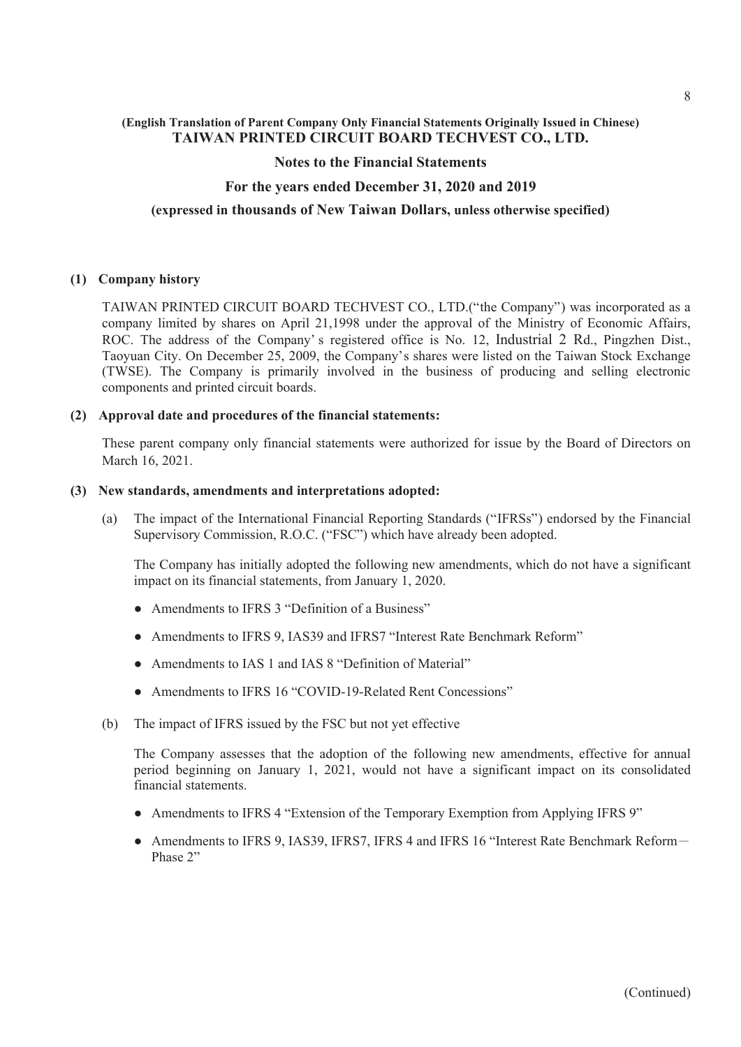### **Notes to the Financial Statements**

### **For the years ended December 31, 2020 and 2019**

### **(expressed in thousands of New Taiwan Dollars, unless otherwise specified)**

### **(1) Company history**

TAIWAN PRINTED CIRCUIT BOARD TECHVEST CO., LTD.("the Company") was incorporated as a company limited by shares on April 21,1998 under the approval of the Ministry of Economic Affairs, ROC. The address of the Company' s registered office is No. 12, Industrial 2 Rd., Pingzhen Dist., Taoyuan City. On December 25, 2009, the Company's shares were listed on the Taiwan Stock Exchange (TWSE). The Company is primarily involved in the business of producing and selling electronic components and printed circuit boards.

### **(2) Approval date and procedures of the financial statements:**

These parent company only financial statements were authorized for issue by the Board of Directors on March 16, 2021.

#### **(3) New standards, amendments and interpretations adopted:**

(a) The impact of the International Financial Reporting Standards ("IFRSs") endorsed by the Financial Supervisory Commission, R.O.C. ("FSC") which have already been adopted.

The Company has initially adopted the following new amendments, which do not have a significant impact on its financial statements, from January 1, 2020.

- Amendments to IFRS 3 "Definition of a Business"
- Amendments to IFRS 9, IAS39 and IFRS7 "Interest Rate Benchmark Reform"
- Amendments to IAS 1 and IAS 8 "Definition of Material"
- Amendments to IFRS 16 "COVID-19-Related Rent Concessions"
- (b) The impact of IFRS issued by the FSC but not yet effective

The Company assesses that the adoption of the following new amendments, effective for annual period beginning on January 1, 2021, would not have a significant impact on its consolidated financial statements.

- Amendments to IFRS 4 "Extension of the Temporary Exemption from Applying IFRS 9"
- Amendments to IFRS 9, IAS39, IFRS7, IFRS 4 and IFRS 16 "Interest Rate Benchmark Reform-Phase 2"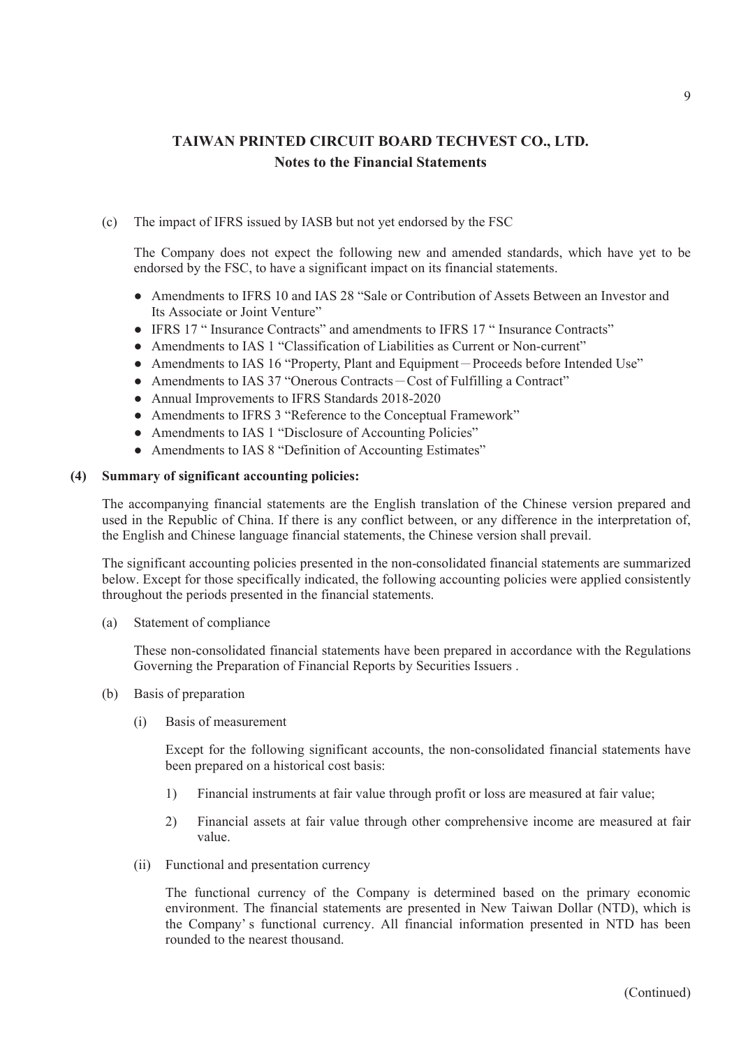### (c) The impact of IFRS issued by IASB but not yet endorsed by the FSC

The Company does not expect the following new and amended standards, which have yet to be endorsed by the FSC, to have a significant impact on its financial statements.

- Amendments to IFRS 10 and IAS 28 "Sale or Contribution of Assets Between an Investor and Its Associate or Joint Venture"
- IFRS 17 " Insurance Contracts" and amendments to IFRS 17 " Insurance Contracts"
- Amendments to IAS 1 "Classification of Liabilities as Current or Non-current"
- Amendments to IAS 16 "Property, Plant and Equipment-Proceeds before Intended Use"
- Amendments to IAS 37 "Onerous Contracts Cost of Fulfilling a Contract"
- Annual Improvements to IFRS Standards 2018-2020
- Amendments to IFRS 3 "Reference to the Conceptual Framework"
- Amendments to IAS 1 "Disclosure of Accounting Policies"
- Amendments to IAS 8 "Definition of Accounting Estimates"

#### **(4) Summary of significant accounting policies:**

The accompanying financial statements are the English translation of the Chinese version prepared and used in the Republic of China. If there is any conflict between, or any difference in the interpretation of, the English and Chinese language financial statements, the Chinese version shall prevail.

The significant accounting policies presented in the non-consolidated financial statements are summarized below. Except for those specifically indicated, the following accounting policies were applied consistently throughout the periods presented in the financial statements.

(a) Statement of compliance

These non-consolidated financial statements have been prepared in accordance with the Regulations Governing the Preparation of Financial Reports by Securities Issuers .

- (b) Basis of preparation
	- (i) Basis of measurement

Except for the following significant accounts, the non-consolidated financial statements have been prepared on a historical cost basis:

- 1) Financial instruments at fair value through profit or loss are measured at fair value;
- 2) Financial assets at fair value through other comprehensive income are measured at fair value.
- (ii) Functional and presentation currency

The functional currency of the Company is determined based on the primary economic environment. The financial statements are presented in New Taiwan Dollar (NTD), which is the Company' s functional currency. All financial information presented in NTD has been rounded to the nearest thousand.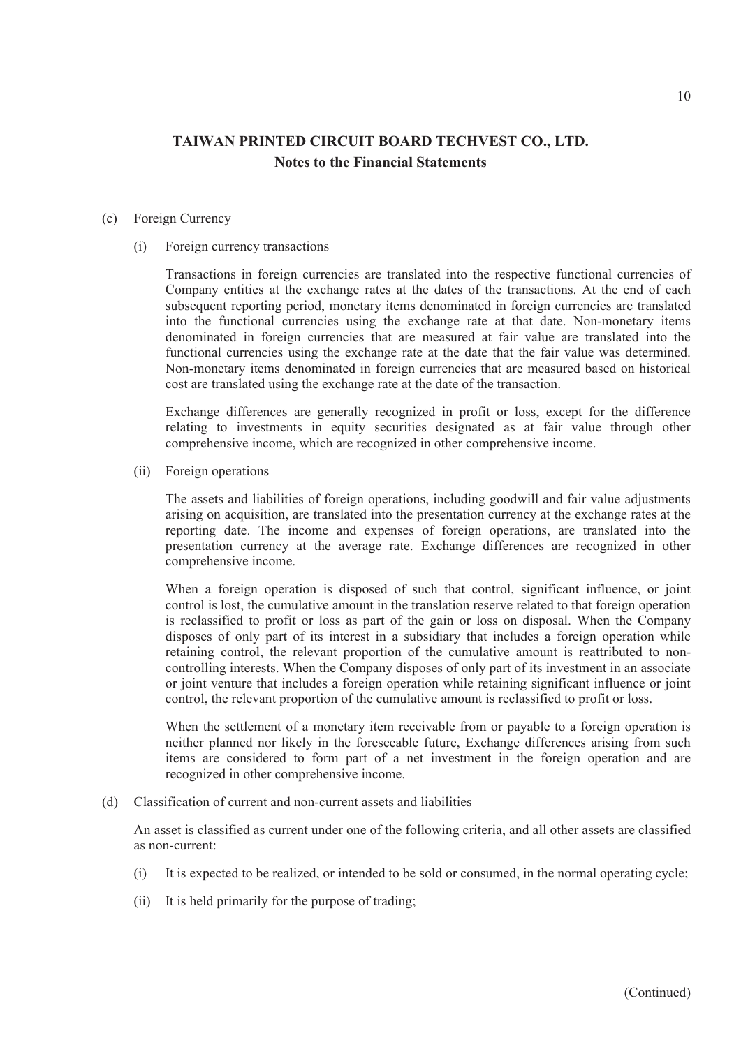#### (c) Foreign Currency

(i) Foreign currency transactions

Transactions in foreign currencies are translated into the respective functional currencies of Company entities at the exchange rates at the dates of the transactions. At the end of each subsequent reporting period, monetary items denominated in foreign currencies are translated into the functional currencies using the exchange rate at that date. Non-monetary items denominated in foreign currencies that are measured at fair value are translated into the functional currencies using the exchange rate at the date that the fair value was determined. Non-monetary items denominated in foreign currencies that are measured based on historical cost are translated using the exchange rate at the date of the transaction.

Exchange differences are generally recognized in profit or loss, except for the difference relating to investments in equity securities designated as at fair value through other comprehensive income, which are recognized in other comprehensive income.

(ii) Foreign operations

The assets and liabilities of foreign operations, including goodwill and fair value adjustments arising on acquisition, are translated into the presentation currency at the exchange rates at the reporting date. The income and expenses of foreign operations, are translated into the presentation currency at the average rate. Exchange differences are recognized in other comprehensive income.

When a foreign operation is disposed of such that control, significant influence, or joint control is lost, the cumulative amount in the translation reserve related to that foreign operation is reclassified to profit or loss as part of the gain or loss on disposal. When the Company disposes of only part of its interest in a subsidiary that includes a foreign operation while retaining control, the relevant proportion of the cumulative amount is reattributed to noncontrolling interests. When the Company disposes of only part of its investment in an associate or joint venture that includes a foreign operation while retaining significant influence or joint control, the relevant proportion of the cumulative amount is reclassified to profit or loss.

When the settlement of a monetary item receivable from or payable to a foreign operation is neither planned nor likely in the foreseeable future, Exchange differences arising from such items are considered to form part of a net investment in the foreign operation and are recognized in other comprehensive income.

(d) Classification of current and non-current assets and liabilities

An asset is classified as current under one of the following criteria, and all other assets are classified as non-current:

- (i) It is expected to be realized, or intended to be sold or consumed, in the normal operating cycle;
- (ii) It is held primarily for the purpose of trading;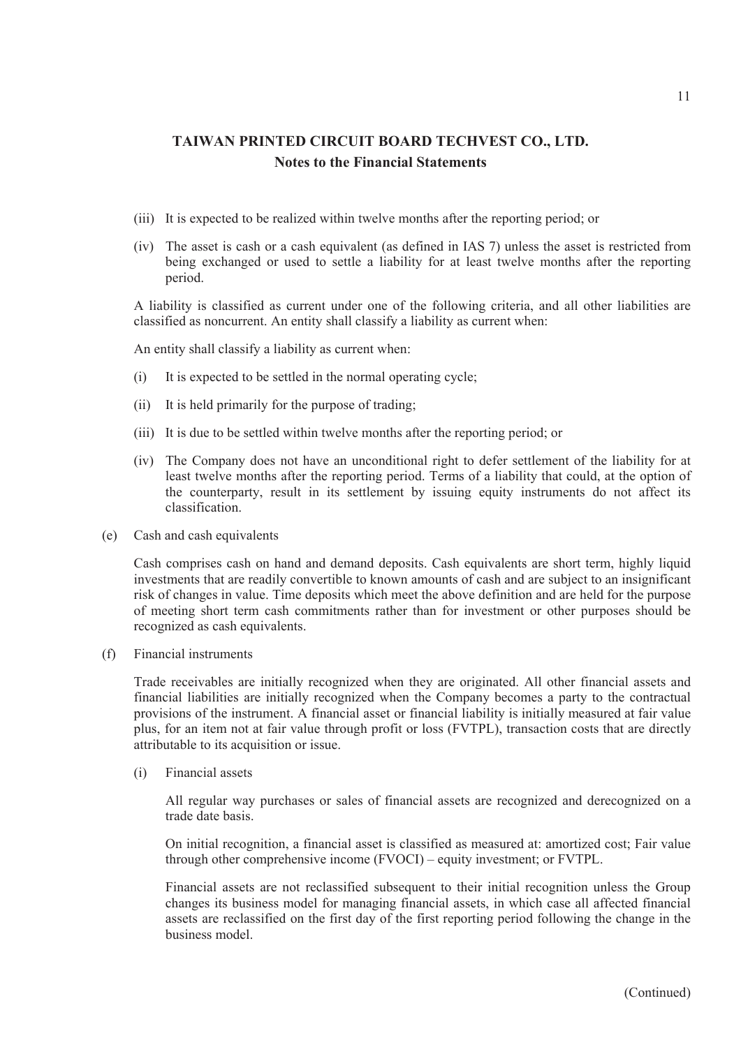- (iii) It is expected to be realized within twelve months after the reporting period; or
- (iv) The asset is cash or a cash equivalent (as defined in IAS 7) unless the asset is restricted from being exchanged or used to settle a liability for at least twelve months after the reporting period.

A liability is classified as current under one of the following criteria, and all other liabilities are classified as noncurrent. An entity shall classify a liability as current when:

An entity shall classify a liability as current when:

- (i) It is expected to be settled in the normal operating cycle;
- (ii) It is held primarily for the purpose of trading;
- (iii) It is due to be settled within twelve months after the reporting period; or
- (iv) The Company does not have an unconditional right to defer settlement of the liability for at least twelve months after the reporting period. Terms of a liability that could, at the option of the counterparty, result in its settlement by issuing equity instruments do not affect its classification.
- (e) Cash and cash equivalents

Cash comprises cash on hand and demand deposits. Cash equivalents are short term, highly liquid investments that are readily convertible to known amounts of cash and are subject to an insignificant risk of changes in value. Time deposits which meet the above definition and are held for the purpose of meeting short term cash commitments rather than for investment or other purposes should be recognized as cash equivalents.

(f) Financial instruments

Trade receivables are initially recognized when they are originated. All other financial assets and financial liabilities are initially recognized when the Company becomes a party to the contractual provisions of the instrument. A financial asset or financial liability is initially measured at fair value plus, for an item not at fair value through profit or loss (FVTPL), transaction costs that are directly attributable to its acquisition or issue.

(i) Financial assets

All regular way purchases or sales of financial assets are recognized and derecognized on a trade date basis.

On initial recognition, a financial asset is classified as measured at: amortized cost; Fair value through other comprehensive income (FVOCI) – equity investment; or FVTPL.

Financial assets are not reclassified subsequent to their initial recognition unless the Group changes its business model for managing financial assets, in which case all affected financial assets are reclassified on the first day of the first reporting period following the change in the business model.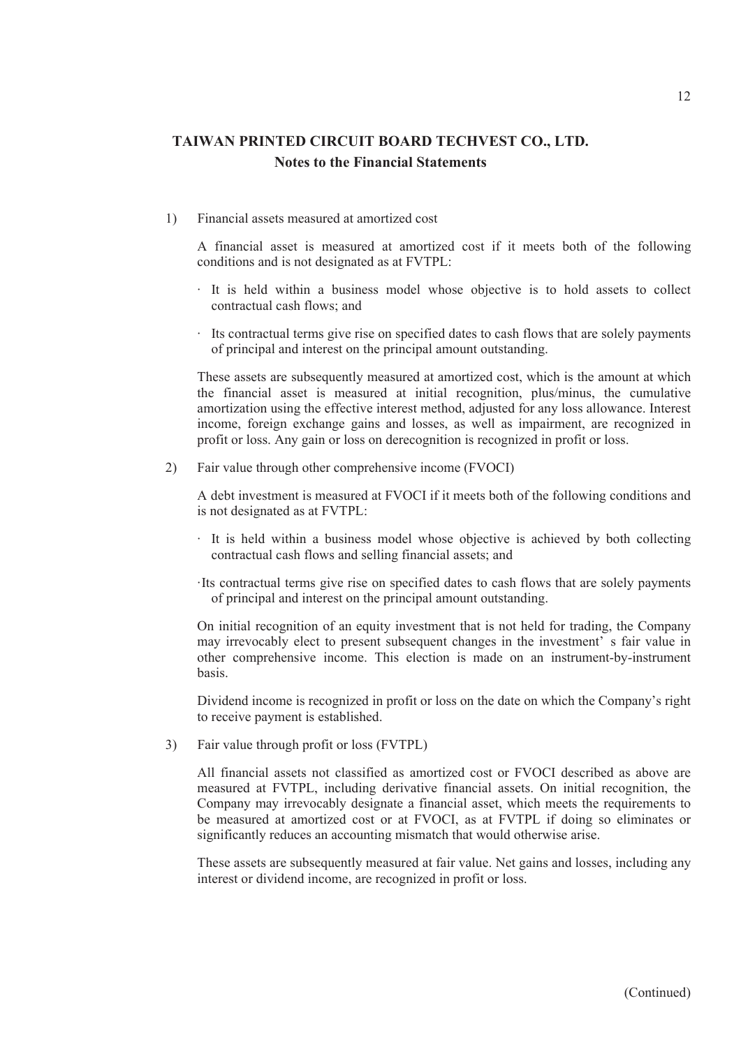1) Financial assets measured at amortized cost

A financial asset is measured at amortized cost if it meets both of the following conditions and is not designated as at FVTPL:

- ‧ It is held within a business model whose objective is to hold assets to collect contractual cash flows; and
- ‧ Its contractual terms give rise on specified dates to cash flows that are solely payments of principal and interest on the principal amount outstanding.

These assets are subsequently measured at amortized cost, which is the amount at which the financial asset is measured at initial recognition, plus/minus, the cumulative amortization using the effective interest method, adjusted for any loss allowance. Interest income, foreign exchange gains and losses, as well as impairment, are recognized in profit or loss. Any gain or loss on derecognition is recognized in profit or loss.

2) Fair value through other comprehensive income (FVOCI)

A debt investment is measured at FVOCI if it meets both of the following conditions and is not designated as at FVTPL:

- ‧ It is held within a business model whose objective is achieved by both collecting contractual cash flows and selling financial assets; and
- ‧Its contractual terms give rise on specified dates to cash flows that are solely payments of principal and interest on the principal amount outstanding.

On initial recognition of an equity investment that is not held for trading, the Company may irrevocably elect to present subsequent changes in the investment' s fair value in other comprehensive income. This election is made on an instrument-by-instrument basis.

Dividend income is recognized in profit or loss on the date on which the Company's right to receive payment is established.

3) Fair value through profit or loss (FVTPL)

All financial assets not classified as amortized cost or FVOCI described as above are measured at FVTPL, including derivative financial assets. On initial recognition, the Company may irrevocably designate a financial asset, which meets the requirements to be measured at amortized cost or at FVOCI, as at FVTPL if doing so eliminates or significantly reduces an accounting mismatch that would otherwise arise.

These assets are subsequently measured at fair value. Net gains and losses, including any interest or dividend income, are recognized in profit or loss.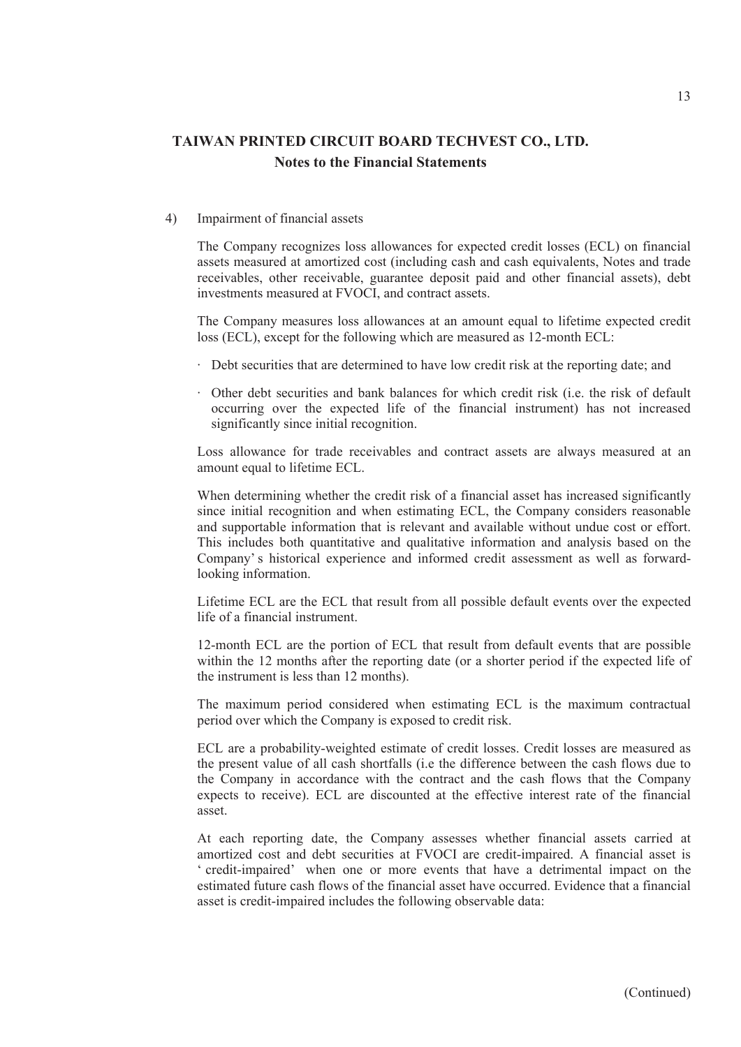#### 4) Impairment of financial assets

The Company recognizes loss allowances for expected credit losses (ECL) on financial assets measured at amortized cost (including cash and cash equivalents, Notes and trade receivables, other receivable, guarantee deposit paid and other financial assets), debt investments measured at FVOCI, and contract assets.

The Company measures loss allowances at an amount equal to lifetime expected credit loss (ECL), except for the following which are measured as 12-month ECL:

- ‧ Debt securities that are determined to have low credit risk at the reporting date; and
- ‧ Other debt securities and bank balances for which credit risk (i.e. the risk of default occurring over the expected life of the financial instrument) has not increased significantly since initial recognition.

Loss allowance for trade receivables and contract assets are always measured at an amount equal to lifetime ECL.

When determining whether the credit risk of a financial asset has increased significantly since initial recognition and when estimating ECL, the Company considers reasonable and supportable information that is relevant and available without undue cost or effort. This includes both quantitative and qualitative information and analysis based on the Company' s historical experience and informed credit assessment as well as forwardlooking information.

Lifetime ECL are the ECL that result from all possible default events over the expected life of a financial instrument.

12-month ECL are the portion of ECL that result from default events that are possible within the 12 months after the reporting date (or a shorter period if the expected life of the instrument is less than 12 months).

The maximum period considered when estimating ECL is the maximum contractual period over which the Company is exposed to credit risk.

ECL are a probability-weighted estimate of credit losses. Credit losses are measured as the present value of all cash shortfalls (i.e the difference between the cash flows due to the Company in accordance with the contract and the cash flows that the Company expects to receive). ECL are discounted at the effective interest rate of the financial asset.

At each reporting date, the Company assesses whether financial assets carried at amortized cost and debt securities at FVOCI are credit-impaired. A financial asset is ' credit-impaired' when one or more events that have a detrimental impact on the estimated future cash flows of the financial asset have occurred. Evidence that a financial asset is credit-impaired includes the following observable data: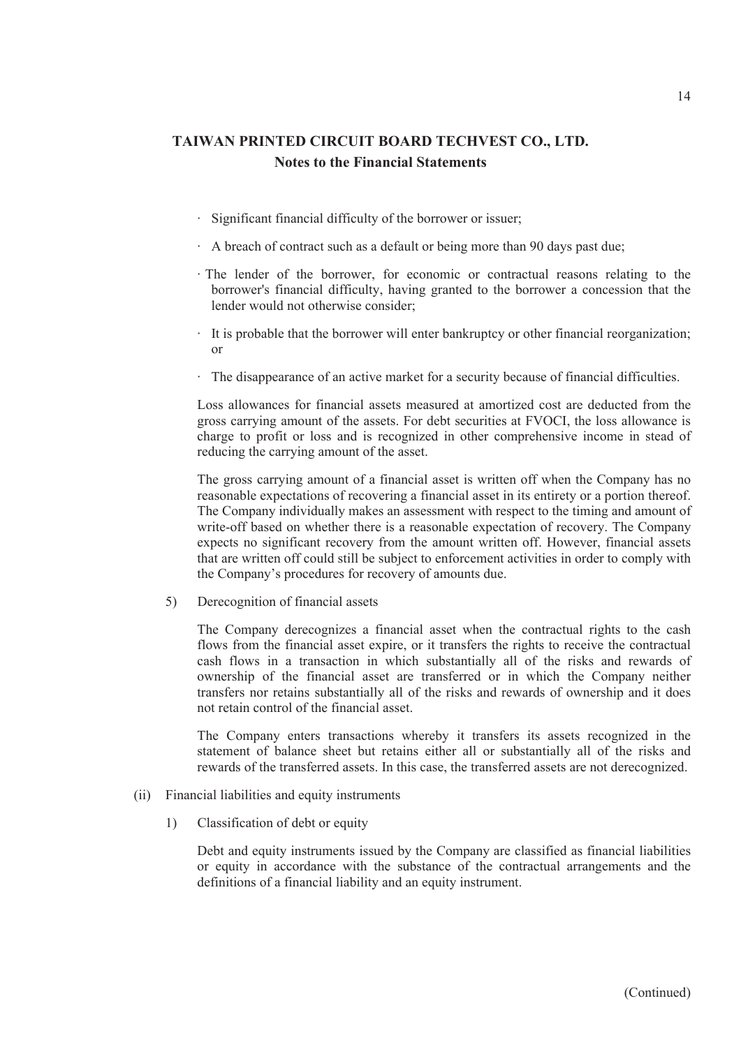- ‧ Significant financial difficulty of the borrower or issuer;
- ‧ A breach of contract such as a default or being more than 90 days past due;
- ‧ The lender of the borrower, for economic or contractual reasons relating to the borrower's financial difficulty, having granted to the borrower a concession that the lender would not otherwise consider;
- ‧ It is probable that the borrower will enter bankruptcy or other financial reorganization; or
- ‧ The disappearance of an active market for a security because of financial difficulties.

Loss allowances for financial assets measured at amortized cost are deducted from the gross carrying amount of the assets. For debt securities at FVOCI, the loss allowance is charge to profit or loss and is recognized in other comprehensive income in stead of reducing the carrying amount of the asset.

The gross carrying amount of a financial asset is written off when the Company has no reasonable expectations of recovering a financial asset in its entirety or a portion thereof. The Company individually makes an assessment with respect to the timing and amount of write-off based on whether there is a reasonable expectation of recovery. The Company expects no significant recovery from the amount written off. However, financial assets that are written off could still be subject to enforcement activities in order to comply with the Company's procedures for recovery of amounts due.

5) Derecognition of financial assets

The Company derecognizes a financial asset when the contractual rights to the cash flows from the financial asset expire, or it transfers the rights to receive the contractual cash flows in a transaction in which substantially all of the risks and rewards of ownership of the financial asset are transferred or in which the Company neither transfers nor retains substantially all of the risks and rewards of ownership and it does not retain control of the financial asset.

The Company enters transactions whereby it transfers its assets recognized in the statement of balance sheet but retains either all or substantially all of the risks and rewards of the transferred assets. In this case, the transferred assets are not derecognized.

- (ii) Financial liabilities and equity instruments
	- 1) Classification of debt or equity

Debt and equity instruments issued by the Company are classified as financial liabilities or equity in accordance with the substance of the contractual arrangements and the definitions of a financial liability and an equity instrument.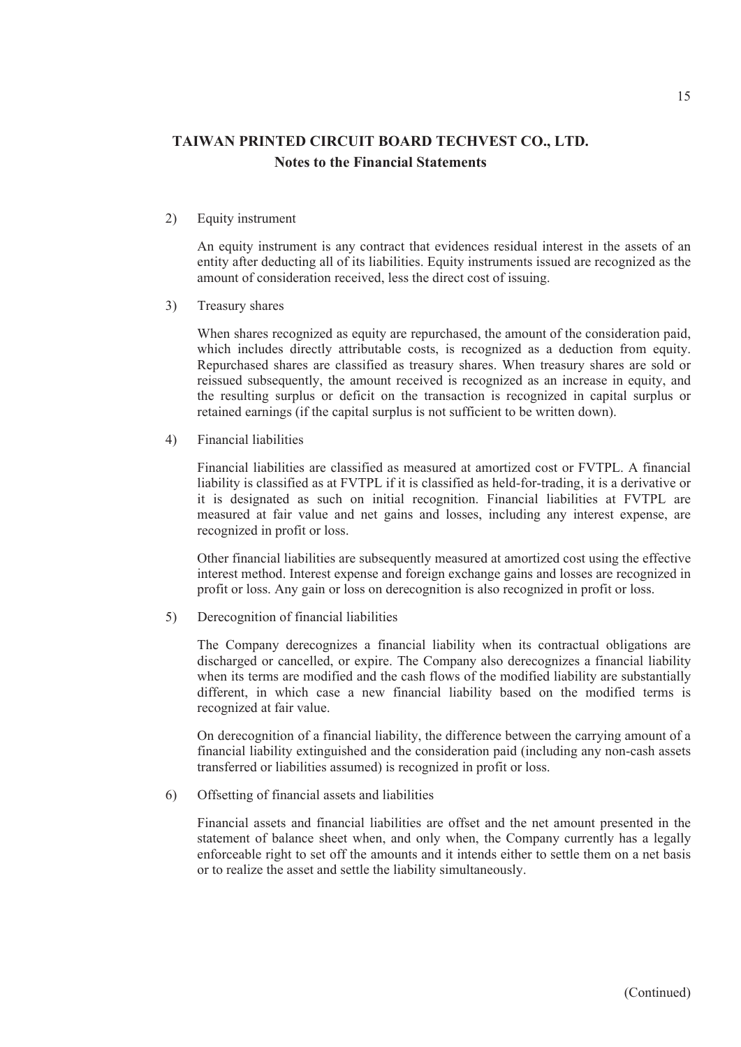2) Equity instrument

An equity instrument is any contract that evidences residual interest in the assets of an entity after deducting all of its liabilities. Equity instruments issued are recognized as the amount of consideration received, less the direct cost of issuing.

3) Treasury shares

When shares recognized as equity are repurchased, the amount of the consideration paid, which includes directly attributable costs, is recognized as a deduction from equity. Repurchased shares are classified as treasury shares. When treasury shares are sold or reissued subsequently, the amount received is recognized as an increase in equity, and the resulting surplus or deficit on the transaction is recognized in capital surplus or retained earnings (if the capital surplus is not sufficient to be written down).

4) Financial liabilities

Financial liabilities are classified as measured at amortized cost or FVTPL. A financial liability is classified as at FVTPL if it is classified as held-for-trading, it is a derivative or it is designated as such on initial recognition. Financial liabilities at FVTPL are measured at fair value and net gains and losses, including any interest expense, are recognized in profit or loss.

Other financial liabilities are subsequently measured at amortized cost using the effective interest method. Interest expense and foreign exchange gains and losses are recognized in profit or loss. Any gain or loss on derecognition is also recognized in profit or loss.

5) Derecognition of financial liabilities

The Company derecognizes a financial liability when its contractual obligations are discharged or cancelled, or expire. The Company also derecognizes a financial liability when its terms are modified and the cash flows of the modified liability are substantially different, in which case a new financial liability based on the modified terms is recognized at fair value.

On derecognition of a financial liability, the difference between the carrying amount of a financial liability extinguished and the consideration paid (including any non-cash assets transferred or liabilities assumed) is recognized in profit or loss.

6) Offsetting of financial assets and liabilities

Financial assets and financial liabilities are offset and the net amount presented in the statement of balance sheet when, and only when, the Company currently has a legally enforceable right to set off the amounts and it intends either to settle them on a net basis or to realize the asset and settle the liability simultaneously.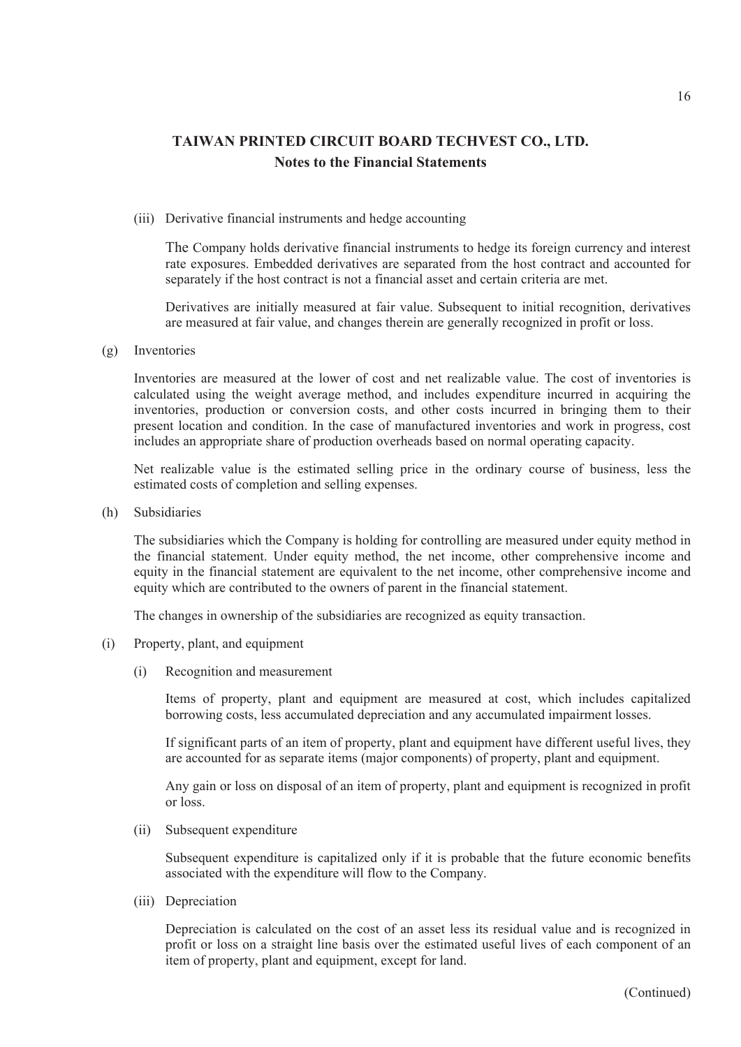#### (iii) Derivative financial instruments and hedge accounting

The Company holds derivative financial instruments to hedge its foreign currency and interest rate exposures. Embedded derivatives are separated from the host contract and accounted for separately if the host contract is not a financial asset and certain criteria are met.

Derivatives are initially measured at fair value. Subsequent to initial recognition, derivatives are measured at fair value, and changes therein are generally recognized in profit or loss.

(g) Inventories

Inventories are measured at the lower of cost and net realizable value. The cost of inventories is calculated using the weight average method, and includes expenditure incurred in acquiring the inventories, production or conversion costs, and other costs incurred in bringing them to their present location and condition. In the case of manufactured inventories and work in progress, cost includes an appropriate share of production overheads based on normal operating capacity.

Net realizable value is the estimated selling price in the ordinary course of business, less the estimated costs of completion and selling expenses.

(h) Subsidiaries

The subsidiaries which the Company is holding for controlling are measured under equity method in the financial statement. Under equity method, the net income, other comprehensive income and equity in the financial statement are equivalent to the net income, other comprehensive income and equity which are contributed to the owners of parent in the financial statement.

The changes in ownership of the subsidiaries are recognized as equity transaction.

- (i) Property, plant, and equipment
	- (i) Recognition and measurement

Items of property, plant and equipment are measured at cost, which includes capitalized borrowing costs, less accumulated depreciation and any accumulated impairment losses.

If significant parts of an item of property, plant and equipment have different useful lives, they are accounted for as separate items (major components) of property, plant and equipment.

Any gain or loss on disposal of an item of property, plant and equipment is recognized in profit or loss.

(ii) Subsequent expenditure

Subsequent expenditure is capitalized only if it is probable that the future economic benefits associated with the expenditure will flow to the Company.

(iii) Depreciation

Depreciation is calculated on the cost of an asset less its residual value and is recognized in profit or loss on a straight line basis over the estimated useful lives of each component of an item of property, plant and equipment, except for land.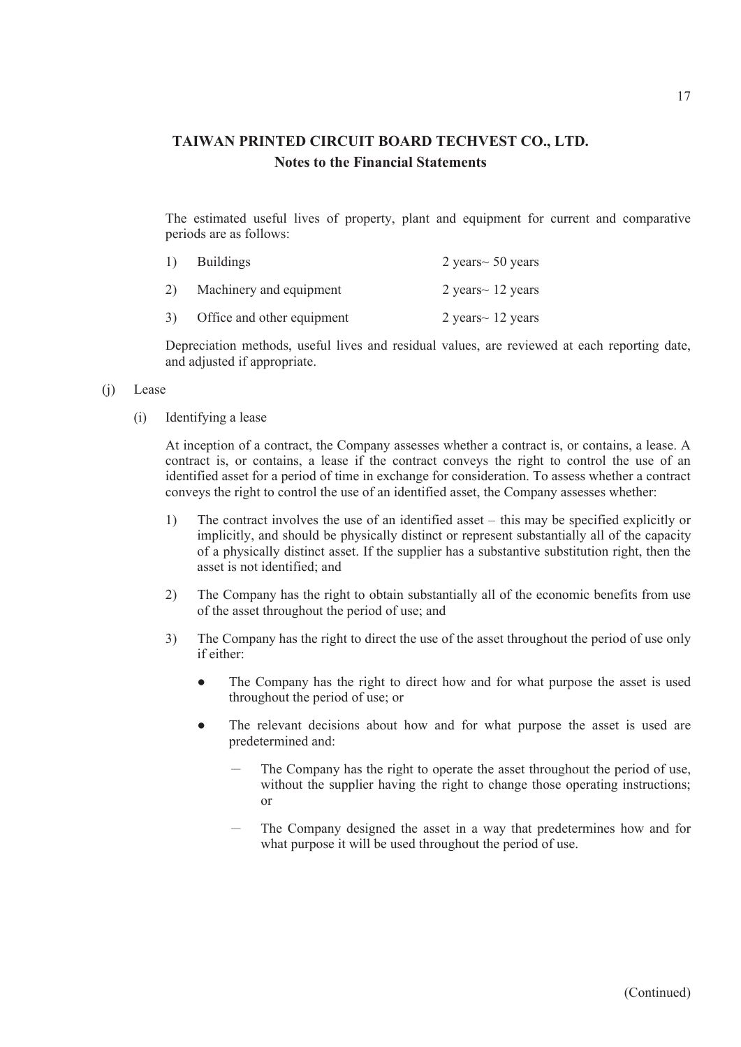The estimated useful lives of property, plant and equipment for current and comparative periods are as follows:

|                | <b>Buildings</b>           | 2 years $\sim$ 50 years |
|----------------|----------------------------|-------------------------|
| 2)             | Machinery and equipment    | 2 years $\sim$ 12 years |
| 3 <sup>)</sup> | Office and other equipment | 2 years $\sim$ 12 years |

Depreciation methods, useful lives and residual values, are reviewed at each reporting date, and adjusted if appropriate.

#### (j) Lease

(i) Identifying a lease

At inception of a contract, the Company assesses whether a contract is, or contains, a lease. A contract is, or contains, a lease if the contract conveys the right to control the use of an identified asset for a period of time in exchange for consideration. To assess whether a contract conveys the right to control the use of an identified asset, the Company assesses whether:

- 1) The contract involves the use of an identified asset this may be specified explicitly or implicitly, and should be physically distinct or represent substantially all of the capacity of a physically distinct asset. If the supplier has a substantive substitution right, then the asset is not identified; and
- 2) The Company has the right to obtain substantially all of the economic benefits from use of the asset throughout the period of use; and
- 3) The Company has the right to direct the use of the asset throughout the period of use only if either:
	- The Company has the right to direct how and for what purpose the asset is used throughout the period of use; or
	- The relevant decisions about how and for what purpose the asset is used are predetermined and:
		- The Company has the right to operate the asset throughout the period of use, without the supplier having the right to change those operating instructions; or
		- The Company designed the asset in a way that predetermines how and for what purpose it will be used throughout the period of use.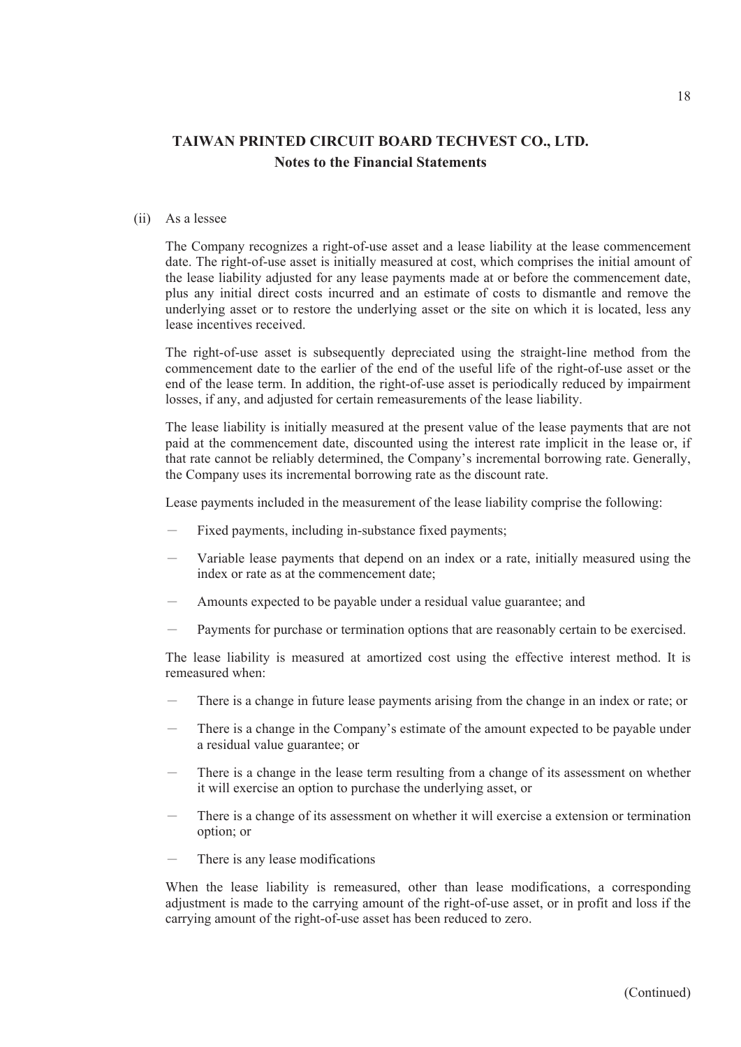#### (ii) As a lessee

The Company recognizes a right-of-use asset and a lease liability at the lease commencement date. The right-of-use asset is initially measured at cost, which comprises the initial amount of the lease liability adjusted for any lease payments made at or before the commencement date, plus any initial direct costs incurred and an estimate of costs to dismantle and remove the underlying asset or to restore the underlying asset or the site on which it is located, less any lease incentives received.

The right-of-use asset is subsequently depreciated using the straight-line method from the commencement date to the earlier of the end of the useful life of the right-of-use asset or the end of the lease term. In addition, the right-of-use asset is periodically reduced by impairment losses, if any, and adjusted for certain remeasurements of the lease liability.

The lease liability is initially measured at the present value of the lease payments that are not paid at the commencement date, discounted using the interest rate implicit in the lease or, if that rate cannot be reliably determined, the Company's incremental borrowing rate. Generally, the Company uses its incremental borrowing rate as the discount rate.

Lease payments included in the measurement of the lease liability comprise the following:

- Fixed payments, including in-substance fixed payments;
- Variable lease payments that depend on an index or a rate, initially measured using the index or rate as at the commencement date;
- Amounts expected to be payable under a residual value guarantee; and
- Payments for purchase or termination options that are reasonably certain to be exercised.

The lease liability is measured at amortized cost using the effective interest method. It is remeasured when:

- There is a change in future lease payments arising from the change in an index or rate; or
- There is a change in the Company's estimate of the amount expected to be payable under a residual value guarantee; or
- There is a change in the lease term resulting from a change of its assessment on whether it will exercise an option to purchase the underlying asset, or
- There is a change of its assessment on whether it will exercise a extension or termination option; or
- There is any lease modifications

When the lease liability is remeasured, other than lease modifications, a corresponding adjustment is made to the carrying amount of the right-of-use asset, or in profit and loss if the carrying amount of the right-of-use asset has been reduced to zero.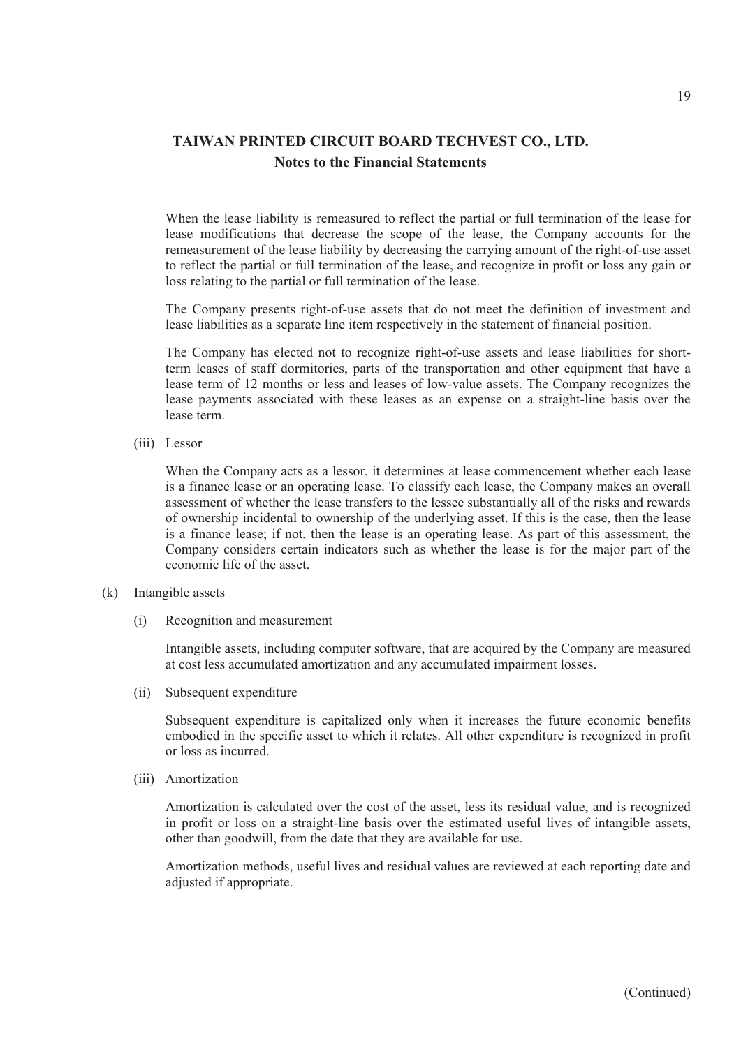When the lease liability is remeasured to reflect the partial or full termination of the lease for lease modifications that decrease the scope of the lease, the Company accounts for the remeasurement of the lease liability by decreasing the carrying amount of the right-of-use asset to reflect the partial or full termination of the lease, and recognize in profit or loss any gain or loss relating to the partial or full termination of the lease.

The Company presents right-of-use assets that do not meet the definition of investment and lease liabilities as a separate line item respectively in the statement of financial position.

The Company has elected not to recognize right-of-use assets and lease liabilities for shortterm leases of staff dormitories, parts of the transportation and other equipment that have a lease term of 12 months or less and leases of low-value assets. The Company recognizes the lease payments associated with these leases as an expense on a straight-line basis over the lease term.

(iii) Lessor

When the Company acts as a lessor, it determines at lease commencement whether each lease is a finance lease or an operating lease. To classify each lease, the Company makes an overall assessment of whether the lease transfers to the lessee substantially all of the risks and rewards of ownership incidental to ownership of the underlying asset. If this is the case, then the lease is a finance lease; if not, then the lease is an operating lease. As part of this assessment, the Company considers certain indicators such as whether the lease is for the major part of the economic life of the asset.

- (k) Intangible assets
	- (i) Recognition and measurement

Intangible assets, including computer software, that are acquired by the Company are measured at cost less accumulated amortization and any accumulated impairment losses.

(ii) Subsequent expenditure

Subsequent expenditure is capitalized only when it increases the future economic benefits embodied in the specific asset to which it relates. All other expenditure is recognized in profit or loss as incurred.

(iii) Amortization

Amortization is calculated over the cost of the asset, less its residual value, and is recognized in profit or loss on a straight-line basis over the estimated useful lives of intangible assets, other than goodwill, from the date that they are available for use.

Amortization methods, useful lives and residual values are reviewed at each reporting date and adjusted if appropriate.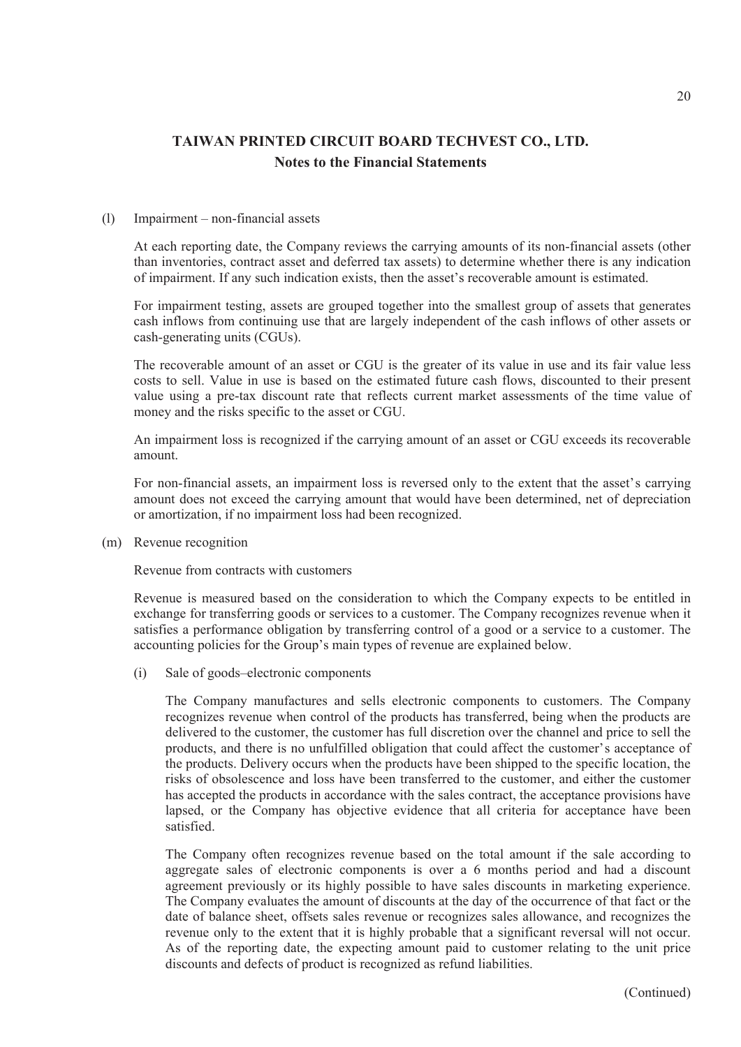#### (l) Impairment – non-financial assets

At each reporting date, the Company reviews the carrying amounts of its non-financial assets (other than inventories, contract asset and deferred tax assets) to determine whether there is any indication of impairment. If any such indication exists, then the asset's recoverable amount is estimated.

For impairment testing, assets are grouped together into the smallest group of assets that generates cash inflows from continuing use that are largely independent of the cash inflows of other assets or cash-generating units (CGUs).

The recoverable amount of an asset or CGU is the greater of its value in use and its fair value less costs to sell. Value in use is based on the estimated future cash flows, discounted to their present value using a pre-tax discount rate that reflects current market assessments of the time value of money and the risks specific to the asset or CGU.

An impairment loss is recognized if the carrying amount of an asset or CGU exceeds its recoverable amount.

For non-financial assets, an impairment loss is reversed only to the extent that the asset's carrying amount does not exceed the carrying amount that would have been determined, net of depreciation or amortization, if no impairment loss had been recognized.

(m) Revenue recognition

Revenue from contracts with customers

Revenue is measured based on the consideration to which the Company expects to be entitled in exchange for transferring goods or services to a customer. The Company recognizes revenue when it satisfies a performance obligation by transferring control of a good or a service to a customer. The accounting policies for the Group's main types of revenue are explained below.

(i) Sale of goods–electronic components

The Company manufactures and sells electronic components to customers. The Company recognizes revenue when control of the products has transferred, being when the products are delivered to the customer, the customer has full discretion over the channel and price to sell the products, and there is no unfulfilled obligation that could affect the customer's acceptance of the products. Delivery occurs when the products have been shipped to the specific location, the risks of obsolescence and loss have been transferred to the customer, and either the customer has accepted the products in accordance with the sales contract, the acceptance provisions have lapsed, or the Company has objective evidence that all criteria for acceptance have been satisfied.

The Company often recognizes revenue based on the total amount if the sale according to aggregate sales of electronic components is over a 6 months period and had a discount agreement previously or its highly possible to have sales discounts in marketing experience. The Company evaluates the amount of discounts at the day of the occurrence of that fact or the date of balance sheet, offsets sales revenue or recognizes sales allowance, and recognizes the revenue only to the extent that it is highly probable that a significant reversal will not occur. As of the reporting date, the expecting amount paid to customer relating to the unit price discounts and defects of product is recognized as refund liabilities.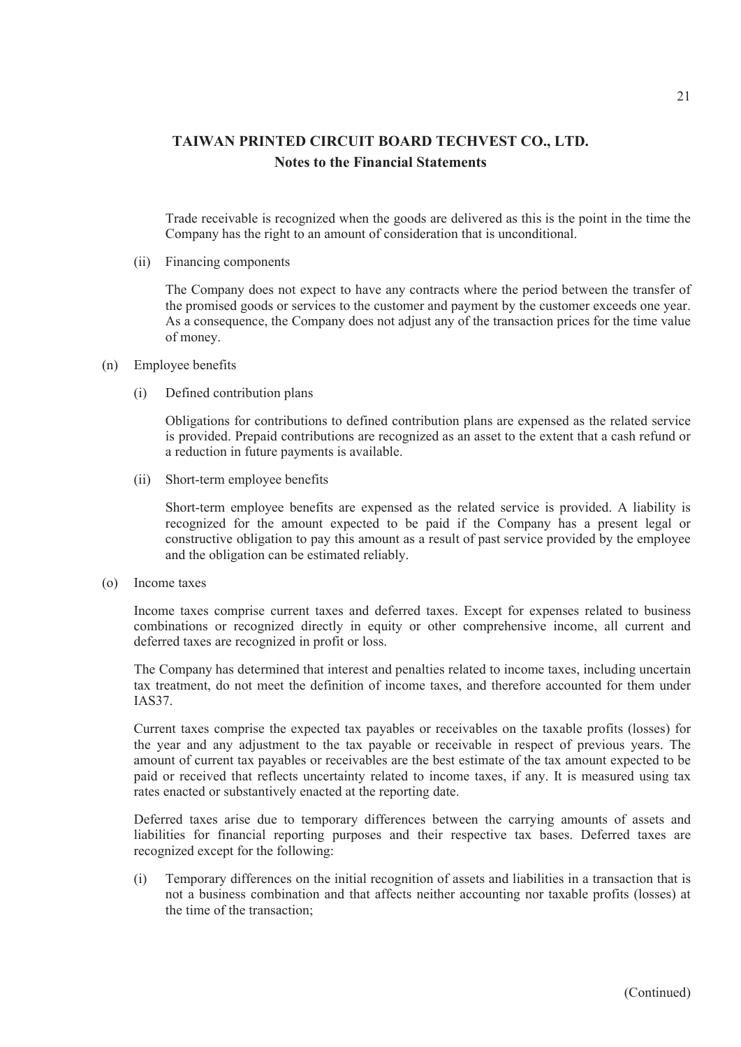Trade receivable is recognized when the goods are delivered as this is the point in the time the Company has the right to an amount of consideration that is unconditional.

(ii) Financing components

The Company does not expect to have any contracts where the period between the transfer of the promised goods or services to the customer and payment by the customer exceeds one year. As a consequence, the Company does not adjust any of the transaction prices for the time value of money.

- (n) Employee benefits
	- (i) Defined contribution plans

Obligations for contributions to defined contribution plans are expensed as the related service is provided. Prepaid contributions are recognized as an asset to the extent that a cash refund or a reduction in future payments is available.

(ii) Short-term employee benefits

Short-term employee benefits are expensed as the related service is provided. A liability is recognized for the amount expected to be paid if the Company has a present legal or constructive obligation to pay this amount as a result of past service provided by the employee and the obligation can be estimated reliably.

(o) Income taxes

Income taxes comprise current taxes and deferred taxes. Except for expenses related to business combinations or recognized directly in equity or other comprehensive income, all current and deferred taxes are recognized in profit or loss.

The Company has determined that interest and penalties related to income taxes, including uncertain tax treatment, do not meet the definition of income taxes, and therefore accounted for them under IAS37.

Current taxes comprise the expected tax payables or receivables on the taxable profits (losses) for the year and any adjustment to the tax payable or receivable in respect of previous years. The amount of current tax payables or receivables are the best estimate of the tax amount expected to be paid or received that reflects uncertainty related to income taxes, if any. It is measured using tax rates enacted or substantively enacted at the reporting date.

Deferred taxes arise due to temporary differences between the carrying amounts of assets and liabilities for financial reporting purposes and their respective tax bases. Deferred taxes are recognized except for the following:

(i) Temporary differences on the initial recognition of assets and liabilities in a transaction that is not a business combination and that affects neither accounting nor taxable profits (losses) at the time of the transaction;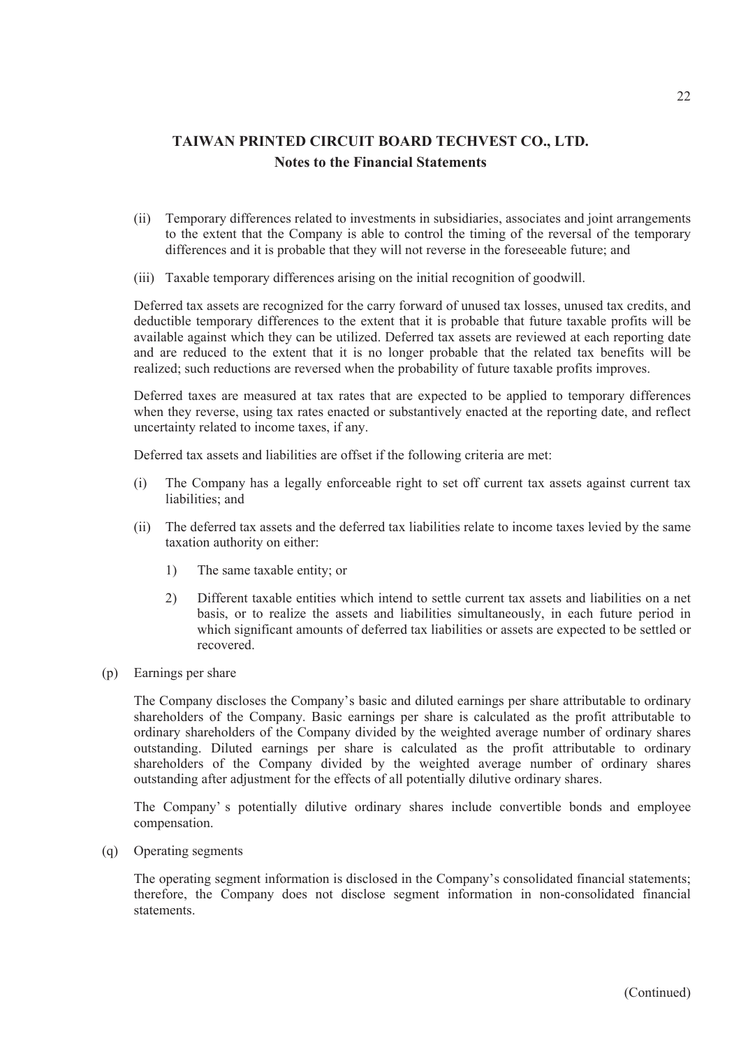- (ii) Temporary differences related to investments in subsidiaries, associates and joint arrangements to the extent that the Company is able to control the timing of the reversal of the temporary differences and it is probable that they will not reverse in the foreseeable future; and
- (iii) Taxable temporary differences arising on the initial recognition of goodwill.

Deferred tax assets are recognized for the carry forward of unused tax losses, unused tax credits, and deductible temporary differences to the extent that it is probable that future taxable profits will be available against which they can be utilized. Deferred tax assets are reviewed at each reporting date and are reduced to the extent that it is no longer probable that the related tax benefits will be realized; such reductions are reversed when the probability of future taxable profits improves.

Deferred taxes are measured at tax rates that are expected to be applied to temporary differences when they reverse, using tax rates enacted or substantively enacted at the reporting date, and reflect uncertainty related to income taxes, if any.

Deferred tax assets and liabilities are offset if the following criteria are met:

- (i) The Company has a legally enforceable right to set off current tax assets against current tax liabilities; and
- (ii) The deferred tax assets and the deferred tax liabilities relate to income taxes levied by the same taxation authority on either:
	- 1) The same taxable entity; or
	- 2) Different taxable entities which intend to settle current tax assets and liabilities on a net basis, or to realize the assets and liabilities simultaneously, in each future period in which significant amounts of deferred tax liabilities or assets are expected to be settled or recovered.
- (p) Earnings per share

The Company discloses the Company's basic and diluted earnings per share attributable to ordinary shareholders of the Company. Basic earnings per share is calculated as the profit attributable to ordinary shareholders of the Company divided by the weighted average number of ordinary shares outstanding. Diluted earnings per share is calculated as the profit attributable to ordinary shareholders of the Company divided by the weighted average number of ordinary shares outstanding after adjustment for the effects of all potentially dilutive ordinary shares.

The Company' s potentially dilutive ordinary shares include convertible bonds and employee compensation.

(q) Operating segments

The operating segment information is disclosed in the Company's consolidated financial statements; therefore, the Company does not disclose segment information in non-consolidated financial statements.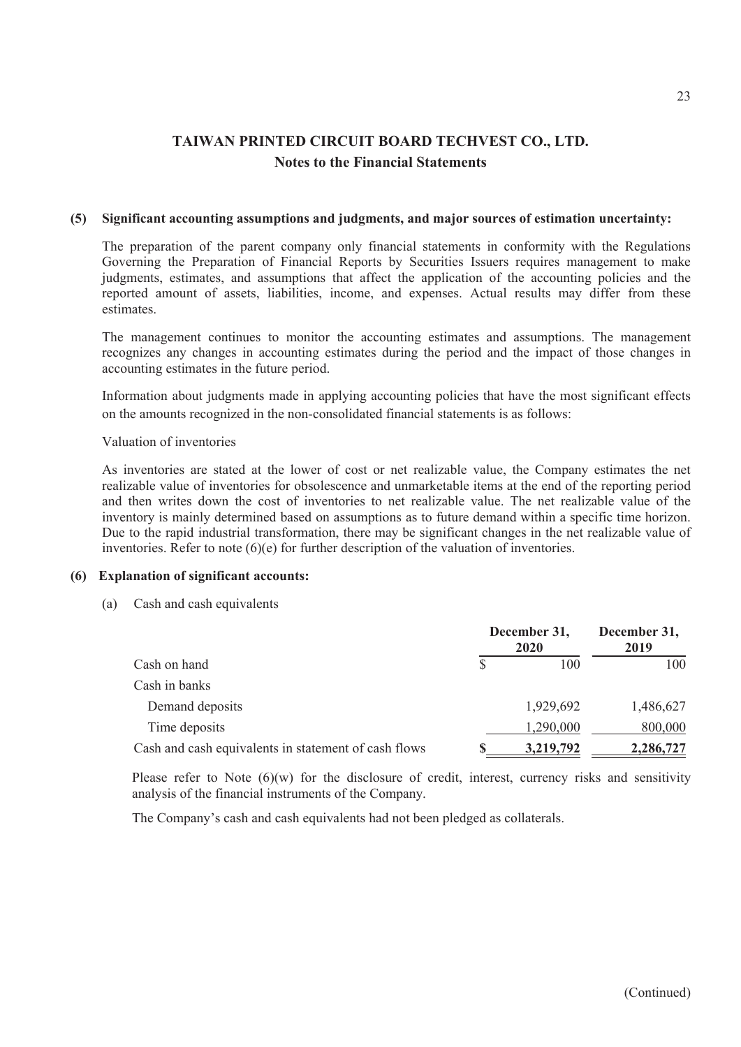#### **(5) Significant accounting assumptions and judgments, and major sources of estimation uncertainty:**

The preparation of the parent company only financial statements in conformity with the Regulations Governing the Preparation of Financial Reports by Securities Issuers requires management to make judgments, estimates, and assumptions that affect the application of the accounting policies and the reported amount of assets, liabilities, income, and expenses. Actual results may differ from these estimates.

The management continues to monitor the accounting estimates and assumptions. The management recognizes any changes in accounting estimates during the period and the impact of those changes in accounting estimates in the future period.

Information about judgments made in applying accounting policies that have the most significant effects on the amounts recognized in the non-consolidated financial statements is as follows:

### Valuation of inventories

As inventories are stated at the lower of cost or net realizable value, the Company estimates the net realizable value of inventories for obsolescence and unmarketable items at the end of the reporting period and then writes down the cost of inventories to net realizable value. The net realizable value of the inventory is mainly determined based on assumptions as to future demand within a specific time horizon. Due to the rapid industrial transformation, there may be significant changes in the net realizable value of inventories. Refer to note  $(6)(e)$  for further description of the valuation of inventories.

### **(6) Explanation of significant accounts:**

(a) Cash and cash equivalents

|                                                      |  | December 31,<br>2020 | December 31,<br>2019 |  |
|------------------------------------------------------|--|----------------------|----------------------|--|
| Cash on hand                                         |  | 100                  | 100                  |  |
| Cash in banks                                        |  |                      |                      |  |
| Demand deposits                                      |  | 1,929,692            | 1,486,627            |  |
| Time deposits                                        |  | 1,290,000            | 800,000              |  |
| Cash and cash equivalents in statement of cash flows |  | 3,219,792            | 2,286,727            |  |

Please refer to Note  $(6)(w)$  for the disclosure of credit, interest, currency risks and sensitivity analysis of the financial instruments of the Company.

The Company's cash and cash equivalents had not been pledged as collaterals.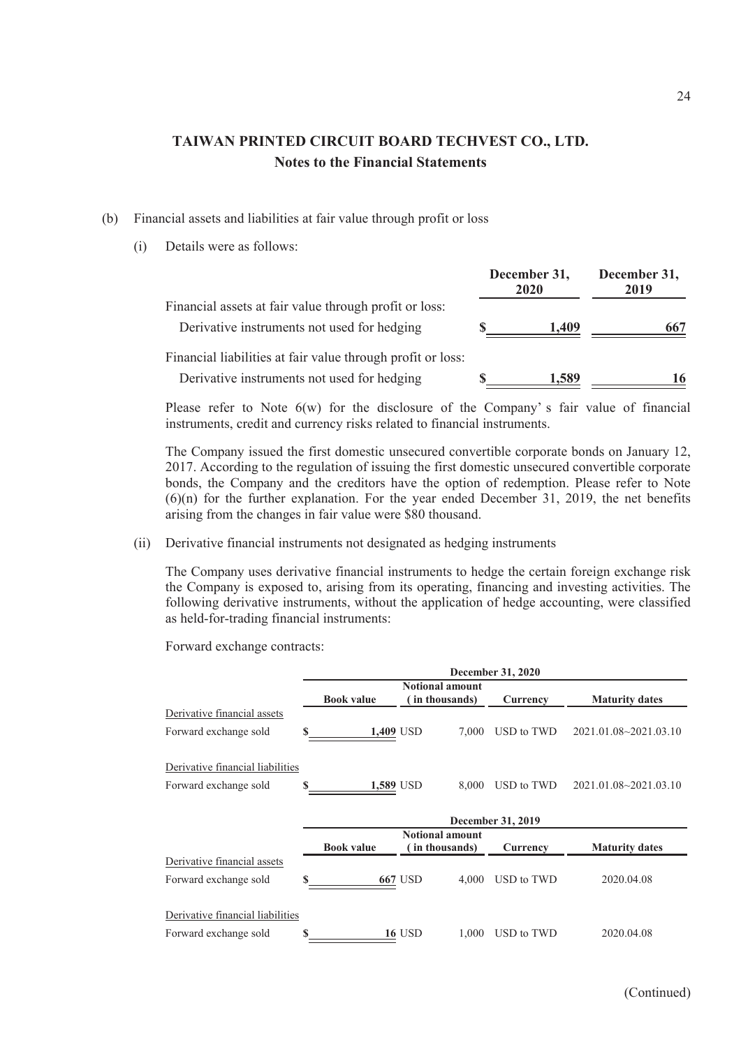- (b) Financial assets and liabilities at fair value through profit or loss
	- (i) Details were as follows:

|                                                             | December 31,<br>2020 |       | December 31,<br>2019 |  |
|-------------------------------------------------------------|----------------------|-------|----------------------|--|
| Financial assets at fair value through profit or loss:      |                      |       |                      |  |
| Derivative instruments not used for hedging                 |                      | 1,409 | 667                  |  |
| Financial liabilities at fair value through profit or loss: |                      |       |                      |  |
| Derivative instruments not used for hedging                 |                      | 1,589 | 16                   |  |

Please refer to Note  $6(w)$  for the disclosure of the Company's fair value of financial instruments, credit and currency risks related to financial instruments.

The Company issued the first domestic unsecured convertible corporate bonds on January 12, 2017. According to the regulation of issuing the first domestic unsecured convertible corporate bonds, the Company and the creditors have the option of redemption. Please refer to Note (6)(n) for the further explanation. For the year ended December 31, 2019, the net benefits arising from the changes in fair value were \$80 thousand.

(ii) Derivative financial instruments not designated as hedging instruments

The Company uses derivative financial instruments to hedge the certain foreign exchange risk the Company is exposed to, arising from its operating, financing and investing activities. The following derivative instruments, without the application of hedge accounting, were classified as held-for-trading financial instruments:

Forward exchange contracts:

|                                  |   | December 31, 2020 |               |                                         |                   |                           |  |  |  |
|----------------------------------|---|-------------------|---------------|-----------------------------------------|-------------------|---------------------------|--|--|--|
|                                  |   | <b>Book value</b> |               | <b>Notional amount</b><br>in thousands) | Currency          | <b>Maturity dates</b>     |  |  |  |
| Derivative financial assets      |   |                   |               |                                         |                   |                           |  |  |  |
| Forward exchange sold            |   | 1,409 USD         |               | 7.000                                   | USD to TWD        | $2021.01.08 - 2021.03.10$ |  |  |  |
| Derivative financial liabilities |   |                   |               |                                         |                   |                           |  |  |  |
| Forward exchange sold            | S | 1,589 USD         |               | 8,000                                   | USD to TWD        | $2021.01.08 - 2021.03.10$ |  |  |  |
|                                  |   |                   |               |                                         | December 31, 2019 |                           |  |  |  |
|                                  |   |                   |               | <b>Notional amount</b>                  |                   |                           |  |  |  |
|                                  |   | <b>Book value</b> |               | (in thousands)                          | Currency          | <b>Maturity dates</b>     |  |  |  |
| Derivative financial assets      |   |                   |               |                                         |                   |                           |  |  |  |
| Forward exchange sold            |   |                   | 667 USD       | 4.000                                   | USD to TWD        | 2020.04.08                |  |  |  |
| Derivative financial liabilities |   |                   |               |                                         |                   |                           |  |  |  |
| Forward exchange sold            | S |                   | <b>16 USD</b> | 1.000                                   | USD to TWD        | 2020.04.08                |  |  |  |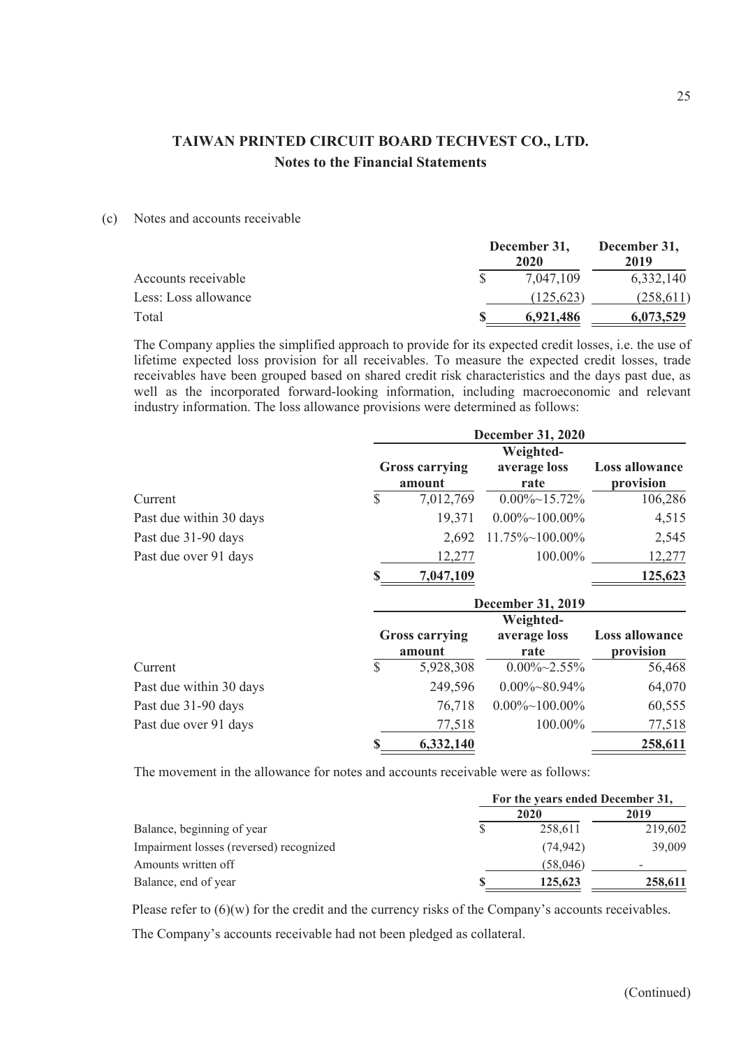(c) Notes and accounts receivable

|                      | December 31, | December 31,<br>2019 |           |  |
|----------------------|--------------|----------------------|-----------|--|
| Accounts receivable  |              | 7.047.109            | 6,332,140 |  |
| Less: Loss allowance |              | (125.623)            | (258,611) |  |
| Total                |              | 6.921.486            | 6,073,529 |  |

The Company applies the simplified approach to provide for its expected credit losses, i.e. the use of lifetime expected loss provision for all receivables. To measure the expected credit losses, trade receivables have been grouped based on shared credit risk characteristics and the days past due, as well as the incorporated forward-looking information, including macroeconomic and relevant industry information. The loss allowance provisions were determined as follows:

|                         | <b>December 31, 2020</b> |                                 |                                   |                                    |
|-------------------------|--------------------------|---------------------------------|-----------------------------------|------------------------------------|
|                         |                          | <b>Gross carrying</b><br>amount | Weighted-<br>average loss<br>rate | <b>Loss allowance</b><br>provision |
| Current                 | S                        | 7,012,769                       | $0.00\% \sim 15.72\%$             | 106,286                            |
| Past due within 30 days |                          | 19,371                          | $0.00\% \sim 100.00\%$            | 4,515                              |
| Past due 31-90 days     |                          | 2,692                           | $11.75\% \sim 100.00\%$           | 2,545                              |
| Past due over 91 days   |                          | 12,277                          | 100.00%                           | 12,277                             |
|                         | S                        | 7,047,109                       |                                   | 125,623                            |

|                         | <b>December 31, 2019</b> |                                 |                                   |                                    |
|-------------------------|--------------------------|---------------------------------|-----------------------------------|------------------------------------|
|                         |                          | <b>Gross carrying</b><br>amount | Weighted-<br>average loss<br>rate | <b>Loss allowance</b><br>provision |
| Current                 | S                        | 5,928,308                       | $0.00\%~2.55\%$                   | 56,468                             |
| Past due within 30 days |                          | 249,596                         | $0.00\% \sim 80.94\%$             | 64,070                             |
| Past due 31-90 days     |                          | 76,718                          | $0.00\% \sim 100.00\%$            | 60,555                             |
| Past due over 91 days   |                          | 77,518                          | 100.00%                           | 77,518                             |
|                         | S                        | 6,332,140                       |                                   | 258,611                            |

The movement in the allowance for notes and accounts receivable were as follows:

|                                         | For the years ended December 31, |           |         |
|-----------------------------------------|----------------------------------|-----------|---------|
|                                         |                                  | 2020      | 2019    |
| Balance, beginning of year              |                                  | 258.611   | 219,602 |
| Impairment losses (reversed) recognized |                                  | (74, 942) | 39,009  |
| Amounts written off                     |                                  | (58,046)  |         |
| Balance, end of year                    |                                  | 125,623   | 258,611 |

Please refer to  $(6)(w)$  for the credit and the currency risks of the Company's accounts receivables.

The Company's accounts receivable had not been pledged as collateral.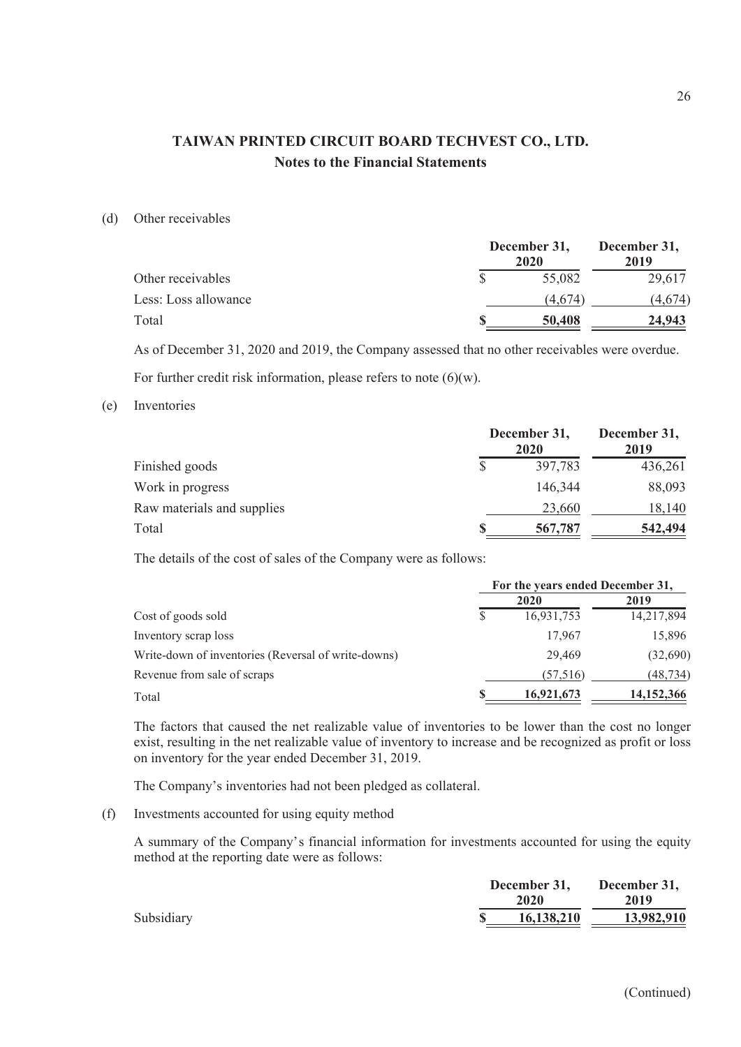#### (d) Other receivables

|                      | December 31,<br>2020 |         | December 31,<br>2019 |  |
|----------------------|----------------------|---------|----------------------|--|
| Other receivables    |                      | 55,082  | 29,617               |  |
| Less: Loss allowance |                      | (4.674) | (4.674)              |  |
| Total                |                      | 50,408  | 24,943               |  |

As of December 31, 2020 and 2019, the Company assessed that no other receivables were overdue. For further credit risk information, please refers to note  $(6)(w)$ .

#### (e) Inventories

|                            | December 31,<br>2020 |         |
|----------------------------|----------------------|---------|
| Finished goods             | 397,783              | 436,261 |
| Work in progress           | 146,344              | 88,093  |
| Raw materials and supplies | 23,660               | 18,140  |
| Total                      | 567,787              | 542,494 |

The details of the cost of sales of the Company were as follows:

|                                                     | For the years ended December 31, |            |              |
|-----------------------------------------------------|----------------------------------|------------|--------------|
|                                                     |                                  | 2020       | 2019         |
| Cost of goods sold                                  |                                  | 16,931,753 | 14,217,894   |
| Inventory scrap loss                                |                                  | 17.967     | 15,896       |
| Write-down of inventories (Reversal of write-downs) |                                  | 29,469     | (32,690)     |
| Revenue from sale of scraps                         |                                  | (57,516)   | (48,734)     |
| Total                                               |                                  | 16,921,673 | 14, 152, 366 |

The factors that caused the net realizable value of inventories to be lower than the cost no longer exist, resulting in the net realizable value of inventory to increase and be recognized as profit or loss on inventory for the year ended December 31, 2019.

The Company's inventories had not been pledged as collateral.

(f) Investments accounted for using equity method

A summary of the Company's financial information for investments accounted for using the equity method at the reporting date were as follows:

|            | December 31,<br>2020 | December 31,<br>2019 |
|------------|----------------------|----------------------|
| Subsidiary | 16,138,210           | 13,982,910           |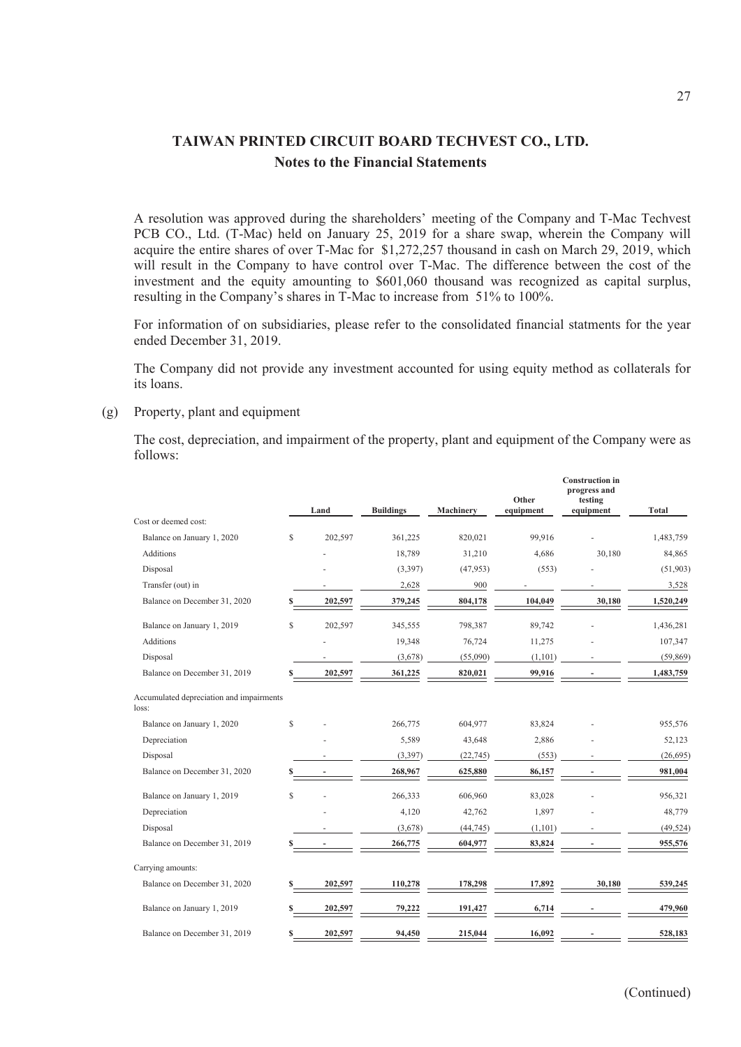A resolution was approved during the shareholders' meeting of the Company and T-Mac Techvest PCB CO., Ltd. (T-Mac) held on January 25, 2019 for a share swap, wherein the Company will acquire the entire shares of over T-Mac for \$1,272,257 thousand in cash on March 29, 2019, which will result in the Company to have control over T-Mac. The difference between the cost of the investment and the equity amounting to \$601,060 thousand was recognized as capital surplus, resulting in the Company's shares in T-Mac to increase from 51% to 100%.

For information of on subsidiaries, please refer to the consolidated financial statments for the year ended December 31, 2019.

The Company did not provide any investment accounted for using equity method as collaterals for its loans.

(g) Property, plant and equipment

The cost, depreciation, and impairment of the property, plant and equipment of the Company were as follows:

|                                                   |   | Land    | <b>Buildings</b> | Machinery | Other<br>equipment | <b>Construction in</b><br>progress and<br>testing<br>equipment | <b>Total</b> |
|---------------------------------------------------|---|---------|------------------|-----------|--------------------|----------------------------------------------------------------|--------------|
| Cost or deemed cost:                              |   |         |                  |           |                    |                                                                |              |
| Balance on January 1, 2020                        | S | 202,597 | 361,225          | 820,021   | 99,916             |                                                                | 1,483,759    |
| <b>Additions</b>                                  |   |         | 18,789           | 31,210    | 4,686              | 30,180                                                         | 84,865       |
| Disposal                                          |   |         | (3,397)          | (47,953)  | (553)              |                                                                | (51,903)     |
| Transfer (out) in                                 |   |         | 2,628            | 900       |                    |                                                                | 3,528        |
| Balance on December 31, 2020                      |   | 202,597 | 379,245          | 804,178   | 104,049            | 30,180                                                         | 1,520,249    |
| Balance on January 1, 2019                        | S | 202,597 | 345,555          | 798,387   | 89,742             |                                                                | 1,436,281    |
| Additions                                         |   |         | 19,348           | 76,724    | 11,275             |                                                                | 107,347      |
| Disposal                                          |   |         | (3,678)          | (55,090)  | (1,101)            |                                                                | (59, 869)    |
| Balance on December 31, 2019                      |   | 202,597 | 361,225          | 820,021   | 99,916             |                                                                | 1,483,759    |
| Accumulated depreciation and impairments<br>loss: |   |         |                  |           |                    |                                                                |              |
| Balance on January 1, 2020                        | S |         | 266,775          | 604,977   | 83,824             |                                                                | 955,576      |
| Depreciation                                      |   |         | 5,589            | 43,648    | 2,886              |                                                                | 52,123       |
| Disposal                                          |   |         | (3, 397)         | (22,745)  | (553)              |                                                                | (26, 695)    |
| Balance on December 31, 2020                      |   |         | 268,967          | 625,880   | 86,157             |                                                                | 981,004      |
| Balance on January 1, 2019                        | S |         | 266,333          | 606,960   | 83,028             |                                                                | 956,321      |
| Depreciation                                      |   |         | 4,120            | 42,762    | 1,897              |                                                                | 48,779       |
| Disposal                                          |   |         | (3,678)          | (44, 745) | (1,101)            |                                                                | (49, 524)    |
| Balance on December 31, 2019                      |   |         | 266,775          | 604,977   | 83,824             |                                                                | 955,576      |
| Carrying amounts:                                 |   |         |                  |           |                    |                                                                |              |
| Balance on December 31, 2020                      |   | 202,597 | 110,278          | 178,298   | 17,892             | 30,180                                                         | 539,245      |
| Balance on January 1, 2019                        |   | 202,597 | 79,222           | 191,427   | 6,714              |                                                                | 479,960      |
| Balance on December 31, 2019                      | S | 202,597 | 94,450           | 215,044   | 16,092             |                                                                | 528,183      |
|                                                   |   |         |                  |           |                    |                                                                |              |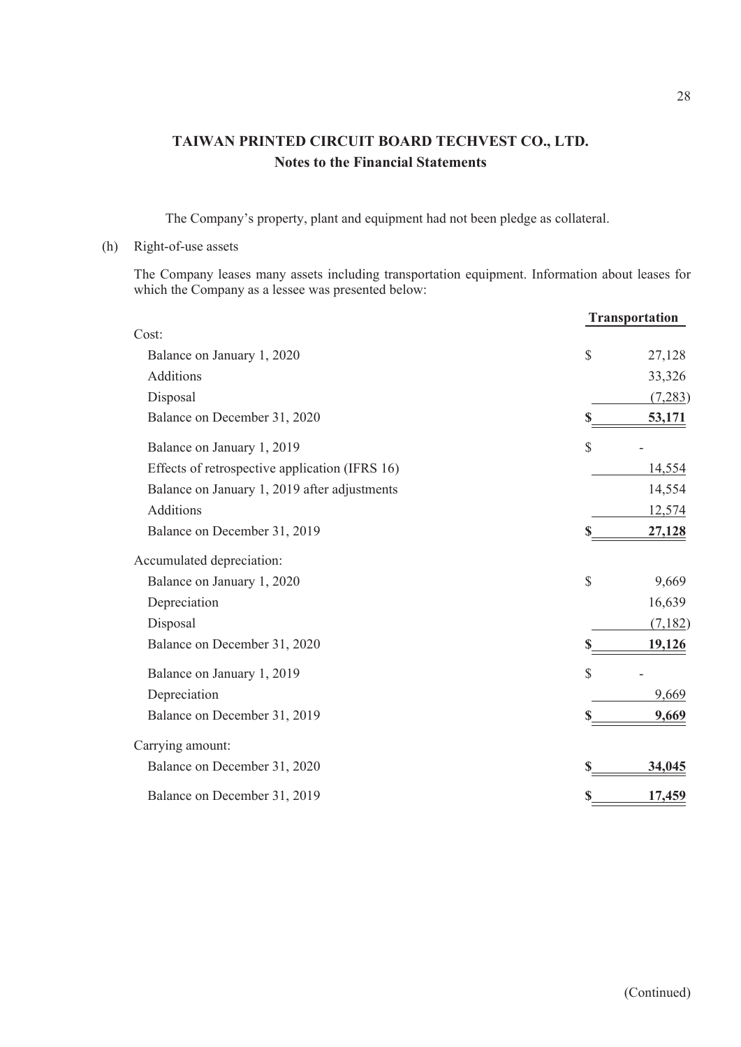The Company's property, plant and equipment had not been pledge as collateral.

### (h) Right-of-use assets

The Company leases many assets including transportation equipment. Information about leases for which the Company as a lessee was presented below:

|                                                |              | <b>Transportation</b> |
|------------------------------------------------|--------------|-----------------------|
| Cost:                                          |              |                       |
| Balance on January 1, 2020                     | \$           | 27,128                |
| Additions                                      |              | 33,326                |
| Disposal                                       |              | (7,283)               |
| Balance on December 31, 2020                   |              | 53,171                |
| Balance on January 1, 2019                     | $\mathbb{S}$ |                       |
| Effects of retrospective application (IFRS 16) |              | 14,554                |
| Balance on January 1, 2019 after adjustments   |              | 14,554                |
| <b>Additions</b>                               |              | 12,574                |
| Balance on December 31, 2019                   |              | 27,128                |
| Accumulated depreciation:                      |              |                       |
| Balance on January 1, 2020                     | \$           | 9,669                 |
| Depreciation                                   |              | 16,639                |
| Disposal                                       |              | (7,182)               |
| Balance on December 31, 2020                   |              | 19,126                |
| Balance on January 1, 2019                     | \$           |                       |
| Depreciation                                   |              | 9,669                 |
| Balance on December 31, 2019                   |              | 9,669                 |
| Carrying amount:                               |              |                       |
| Balance on December 31, 2020                   |              | 34,045                |
| Balance on December 31, 2019                   | \$           | 17,459                |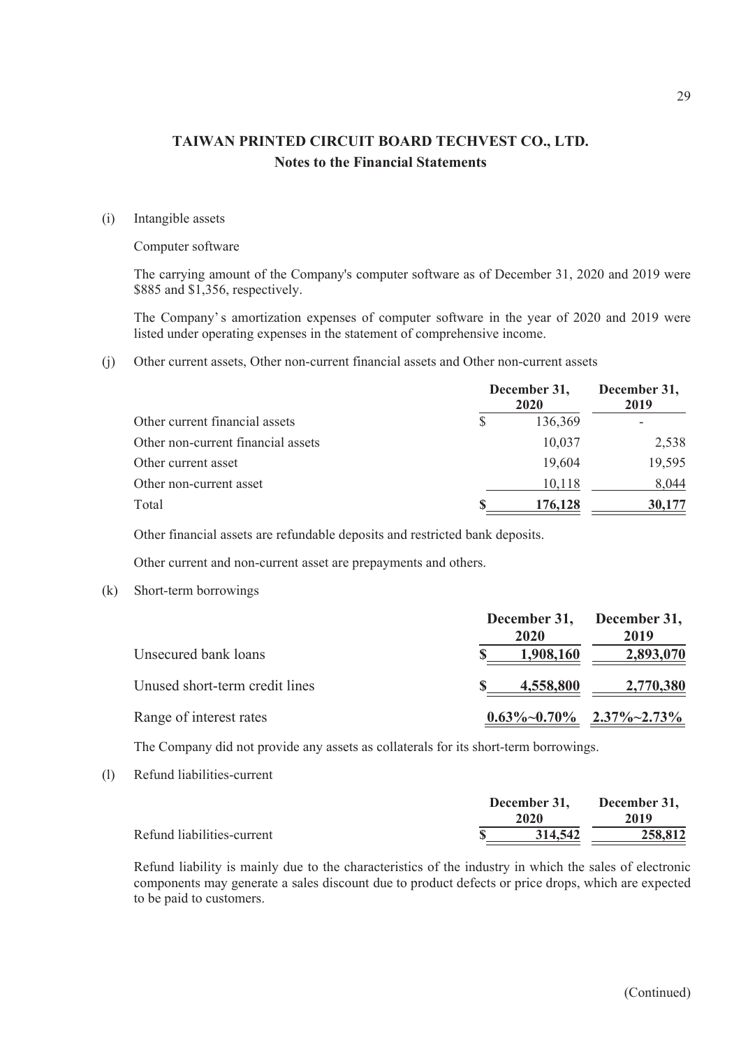### (i) Intangible assets

#### Computer software

The carrying amount of the Company's computer software as of December 31, 2020 and 2019 were \$885 and \$1,356, respectively.

The Company's amortization expenses of computer software in the year of 2020 and 2019 were listed under operating expenses in the statement of comprehensive income.

(j) Other current assets, Other non-current financial assets and Other non-current assets

|                                    | December 31,<br><b>2020</b> | December 31,<br>2019 |
|------------------------------------|-----------------------------|----------------------|
| Other current financial assets     | 136,369                     |                      |
| Other non-current financial assets | 10,037                      | 2,538                |
| Other current asset                | 19,604                      | 19,595               |
| Other non-current asset            | 10,118                      | 8,044                |
| Total                              | 176,128                     | 30,177               |

Other financial assets are refundable deposits and restricted bank deposits.

Other current and non-current asset are prepayments and others.

(k) Short-term borrowings

|                                | December 31, December 31,<br>2020 | 2019      |
|--------------------------------|-----------------------------------|-----------|
| Unsecured bank loans           | 1,908,160                         | 2,893,070 |
| Unused short-term credit lines | 4,558,800                         | 2,770,380 |
| Range of interest rates        | $0.63\%~0.70\%$ 2.37%~2.73%       |           |

The Company did not provide any assets as collaterals for its short-term borrowings.

(l) Refund liabilities-current

|                            | December 31, | December 31, |
|----------------------------|--------------|--------------|
|                            | 2020         | 2019         |
| Refund liabilities-current | 314,542      | 258,812      |

Refund liability is mainly due to the characteristics of the industry in which the sales of electronic components may generate a sales discount due to product defects or price drops, which are expected to be paid to customers.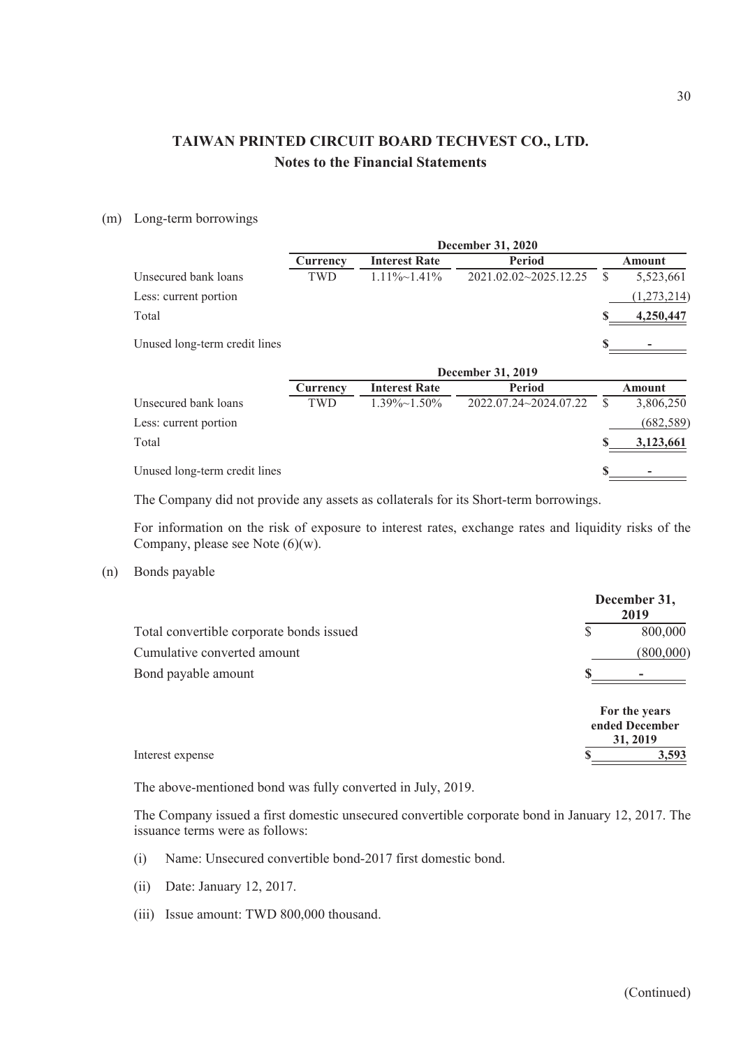### (m) Long-term borrowings

|                               | December 31, 2020 |                      |                       |                  |  |
|-------------------------------|-------------------|----------------------|-----------------------|------------------|--|
|                               | Currency          | <b>Interest Rate</b> | Period                | Amount           |  |
| Unsecured bank loans          | TWD               | $1.11\% \sim 1.41\%$ | 2021.02.02~2025.12.25 | \$.<br>5,523,661 |  |
| Less: current portion         |                   |                      |                       | (1,273,214)      |  |
| Total                         |                   |                      |                       | 4,250,447        |  |
| Unused long-term credit lines |                   |                      |                       |                  |  |
|                               |                   |                      | December 31, 2019     |                  |  |
|                               | Currency          | <b>Interest Rate</b> | <b>Period</b>         | Amount           |  |
| Unsecured bank loans          | TWD               | $1.39\% \sim 1.50\%$ | 2022.07.24~2024.07.22 | \$<br>3,806,250  |  |
| Less: current portion         |                   |                      |                       | (682, 589)       |  |
| Total                         |                   |                      |                       | 3,123,661        |  |
| Unused long-term credit lines |                   |                      |                       |                  |  |

The Company did not provide any assets as collaterals for its Short-term borrowings.

For information on the risk of exposure to interest rates, exchange rates and liquidity risks of the Company, please see Note (6)(w).

### (n) Bonds payable

|                                          | December 31,<br>2019                        |
|------------------------------------------|---------------------------------------------|
| Total convertible corporate bonds issued | 800,000                                     |
| Cumulative converted amount              | (800,000)                                   |
| Bond payable amount                      |                                             |
|                                          | For the years<br>ended December<br>31, 2019 |
| Interest expense                         | 3,593                                       |

The above-mentioned bond was fully converted in July, 2019.

The Company issued a first domestic unsecured convertible corporate bond in January 12, 2017. The issuance terms were as follows:

- (i) Name: Unsecured convertible bond-2017 first domestic bond.
- (ii) Date: January 12, 2017.
- (iii) Issue amount: TWD 800,000 thousand.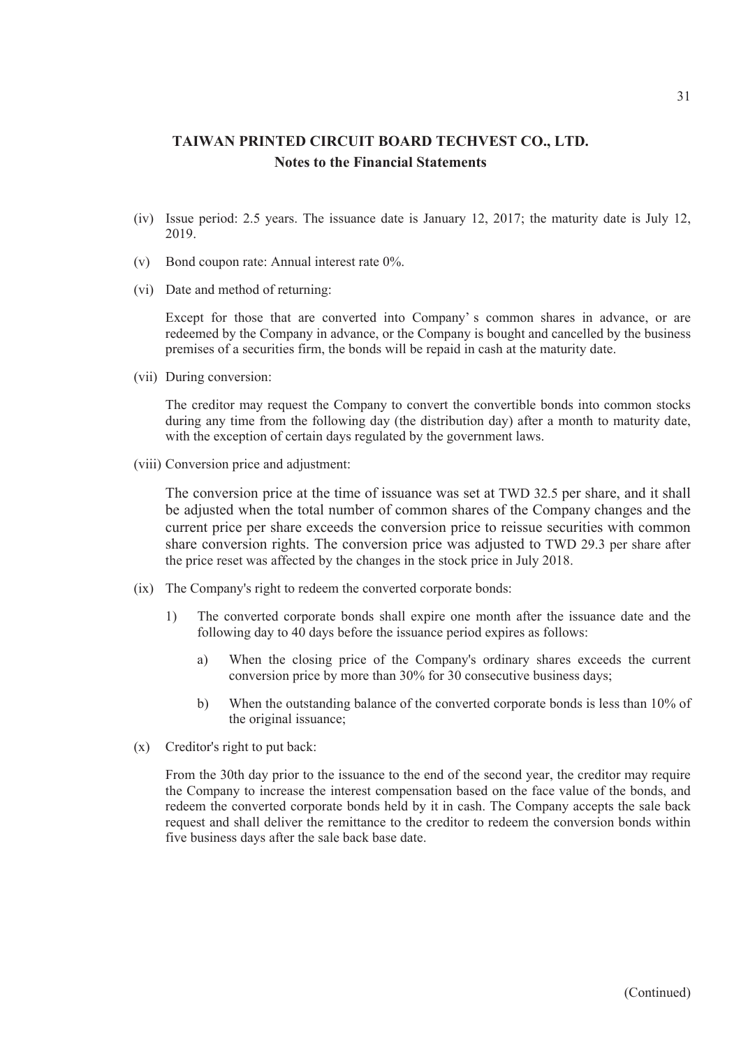- (iv) Issue period: 2.5 years. The issuance date is January 12, 2017; the maturity date is July 12, 2019.
- (v) Bond coupon rate: Annual interest rate 0%.
- (vi) Date and method of returning:

Except for those that are converted into Company' s common shares in advance, or are redeemed by the Company in advance, or the Company is bought and cancelled by the business premises of a securities firm, the bonds will be repaid in cash at the maturity date.

(vii) During conversion:

The creditor may request the Company to convert the convertible bonds into common stocks during any time from the following day (the distribution day) after a month to maturity date, with the exception of certain days regulated by the government laws.

(viii) Conversion price and adjustment:

The conversion price at the time of issuance was set at TWD 32.5 per share, and it shall be adjusted when the total number of common shares of the Company changes and the current price per share exceeds the conversion price to reissue securities with common share conversion rights. The conversion price was adjusted to TWD 29.3 per share after the price reset was affected by the changes in the stock price in July 2018.

- (ix) The Company's right to redeem the converted corporate bonds:
	- 1) The converted corporate bonds shall expire one month after the issuance date and the following day to 40 days before the issuance period expires as follows:
		- a) When the closing price of the Company's ordinary shares exceeds the current conversion price by more than 30% for 30 consecutive business days;
		- b) When the outstanding balance of the converted corporate bonds is less than 10% of the original issuance;
- (x) Creditor's right to put back:

From the 30th day prior to the issuance to the end of the second year, the creditor may require the Company to increase the interest compensation based on the face value of the bonds, and redeem the converted corporate bonds held by it in cash. The Company accepts the sale back request and shall deliver the remittance to the creditor to redeem the conversion bonds within five business days after the sale back base date.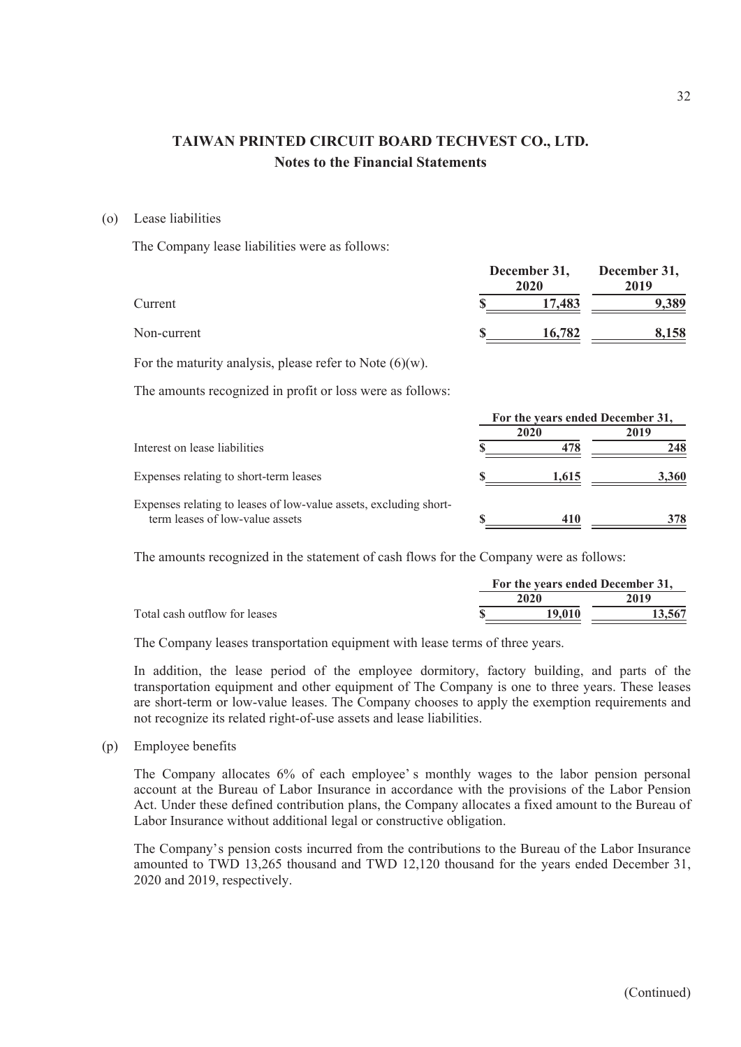#### (o) Lease liabilities

The Company lease liabilities were as follows:

|             | December 31,<br>2020 | December 31,<br>2019 |
|-------------|----------------------|----------------------|
| Current     | 17,483               | 9,389                |
| Non-current | 16,782               | 8,158                |

For the maturity analysis, please refer to Note  $(6)(w)$ .

The amounts recognized in profit or loss were as follows:

|                                                                   | For the years ended December 31, |            |       |
|-------------------------------------------------------------------|----------------------------------|------------|-------|
|                                                                   |                                  | 2020       | 2019  |
| Interest on lease liabilities                                     |                                  |            | 248   |
| Expenses relating to short-term leases                            |                                  | 1,615      | 3.360 |
| Expenses relating to leases of low-value assets, excluding short- |                                  |            |       |
| term leases of low-value assets                                   |                                  | <b>410</b> | 378   |

The amounts recognized in the statement of cash flows for the Company were as follows:

|                               | For the years ended December 31, |        |
|-------------------------------|----------------------------------|--------|
|                               | 2020                             | 2019   |
| Total cash outflow for leases | 19.010                           | 13.567 |
|                               |                                  |        |

The Company leases transportation equipment with lease terms of three years.

In addition, the lease period of the employee dormitory, factory building, and parts of the transportation equipment and other equipment of The Company is one to three years. These leases are short-term or low-value leases. The Company chooses to apply the exemption requirements and not recognize its related right-of-use assets and lease liabilities.

(p) Employee benefits

The Company allocates 6% of each employee' s monthly wages to the labor pension personal account at the Bureau of Labor Insurance in accordance with the provisions of the Labor Pension Act. Under these defined contribution plans, the Company allocates a fixed amount to the Bureau of Labor Insurance without additional legal or constructive obligation.

The Company's pension costs incurred from the contributions to the Bureau of the Labor Insurance amounted to TWD 13,265 thousand and TWD 12,120 thousand for the years ended December 31, 2020 and 2019, respectively.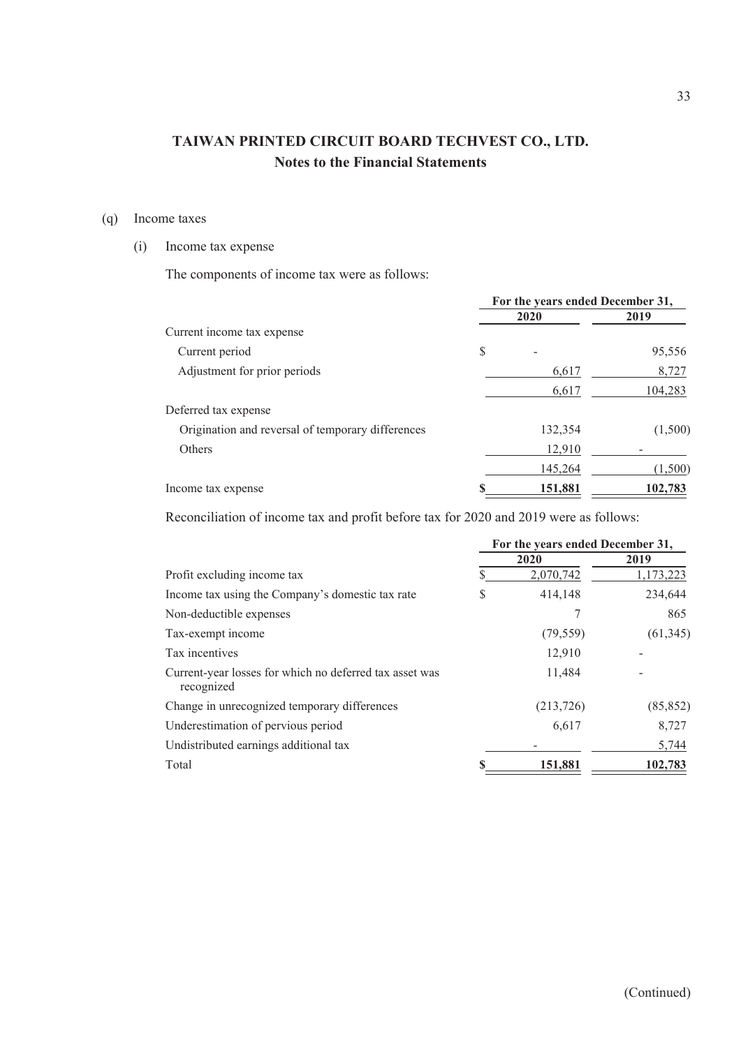### (q) Income taxes

### (i) Income tax expense

The components of income tax were as follows:

|                                                   | For the years ended December 31, |         |         |
|---------------------------------------------------|----------------------------------|---------|---------|
|                                                   |                                  | 2020    | 2019    |
| Current income tax expense                        |                                  |         |         |
| Current period                                    | \$                               |         | 95,556  |
| Adjustment for prior periods                      |                                  | 6,617   | 8,727   |
|                                                   |                                  | 6,617   | 104,283 |
| Deferred tax expense                              |                                  |         |         |
| Origination and reversal of temporary differences |                                  | 132,354 | (1,500) |
| Others                                            |                                  | 12,910  |         |
|                                                   |                                  | 145,264 | (1,500) |
| Income tax expense                                |                                  | 151,881 | 102,783 |

Reconciliation of income tax and profit before tax for 2020 and 2019 were as follows:

|                                                                       | For the years ended December 31, |            |           |  |
|-----------------------------------------------------------------------|----------------------------------|------------|-----------|--|
|                                                                       | 2020                             |            | 2019      |  |
| Profit excluding income tax                                           |                                  | 2,070,742  | 1,173,223 |  |
| Income tax using the Company's domestic tax rate                      | S                                | 414,148    | 234,644   |  |
| Non-deductible expenses                                               |                                  |            | 865       |  |
| Tax-exempt income                                                     |                                  | (79, 559)  | (61, 345) |  |
| Tax incentives                                                        |                                  | 12,910     |           |  |
| Current-year losses for which no deferred tax asset was<br>recognized |                                  | 11,484     |           |  |
| Change in unrecognized temporary differences                          |                                  | (213, 726) | (85, 852) |  |
| Underestimation of pervious period                                    |                                  | 6,617      | 8,727     |  |
| Undistributed earnings additional tax                                 |                                  |            | 5,744     |  |
| Total                                                                 |                                  | 151,881    | 102,783   |  |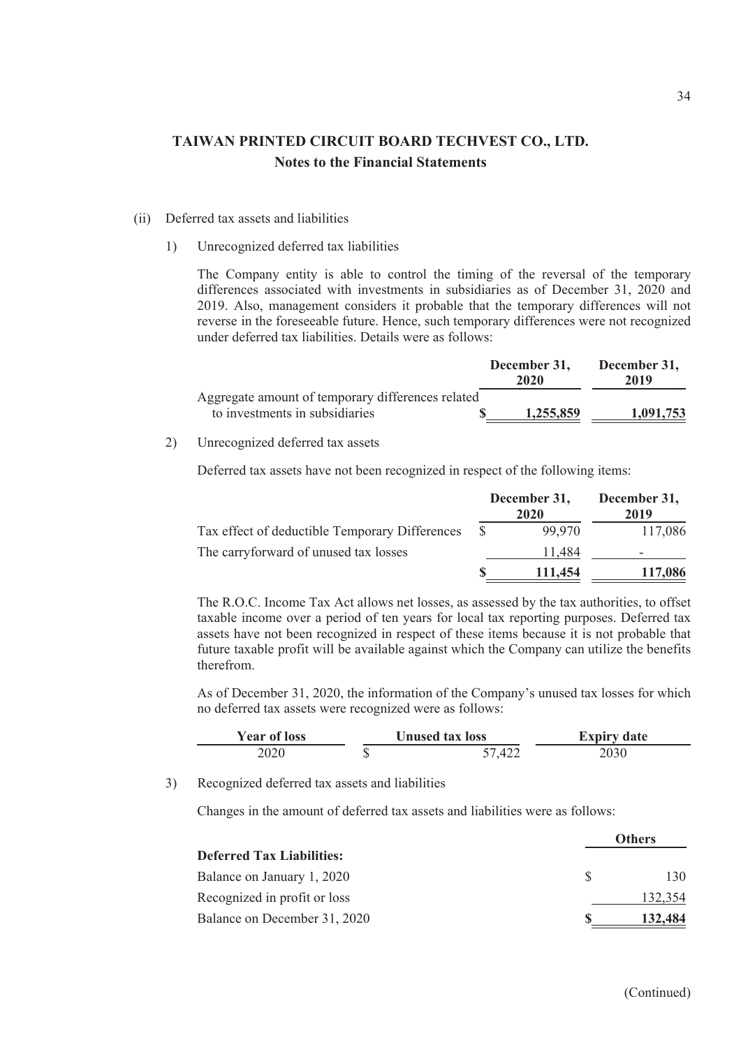#### (ii) Deferred tax assets and liabilities

1) Unrecognized deferred tax liabilities

The Company entity is able to control the timing of the reversal of the temporary differences associated with investments in subsidiaries as of December 31, 2020 and 2019. Also, management considers it probable that the temporary differences will not reverse in the foreseeable future. Hence, such temporary differences were not recognized under deferred tax liabilities. Details were as follows:

|                                                   | December 31,<br>2020 | December 31,<br>2019 |
|---------------------------------------------------|----------------------|----------------------|
| Aggregate amount of temporary differences related |                      |                      |
| to investments in subsidiaries                    | 1,255,859            | 1.091.753            |

### 2) Unrecognized deferred tax assets

Deferred tax assets have not been recognized in respect of the following items:

|                                                | December 31,<br>2020 |         | December 31,<br>2019 |
|------------------------------------------------|----------------------|---------|----------------------|
| Tax effect of deductible Temporary Differences |                      | 99.970  | 117,086              |
| The carryforward of unused tax losses          |                      | 11.484  |                      |
|                                                |                      | 111,454 | 117,086              |

The R.O.C. Income Tax Act allows net losses, as assessed by the tax authorities, to offset taxable income over a period of ten years for local tax reporting purposes. Deferred tax assets have not been recognized in respect of these items because it is not probable that future taxable profit will be available against which the Company can utilize the benefits therefrom.

As of December 31, 2020, the information of the Company's unused tax losses for which no deferred tax assets were recognized were as follows:

| <b>Year of loss</b> |    | <b>Unused tax loss</b> | <b>Expiry date</b> |
|---------------------|----|------------------------|--------------------|
| 2020                | ۰D | 57 A <sub>22</sub>     | 2030               |

3) Recognized deferred tax assets and liabilities

Changes in the amount of deferred tax assets and liabilities were as follows:

|                                  |     | Others  |
|----------------------------------|-----|---------|
| <b>Deferred Tax Liabilities:</b> |     |         |
| Balance on January 1, 2020       | SS. | 130     |
| Recognized in profit or loss     |     | 132,354 |
| Balance on December 31, 2020     |     | 132.484 |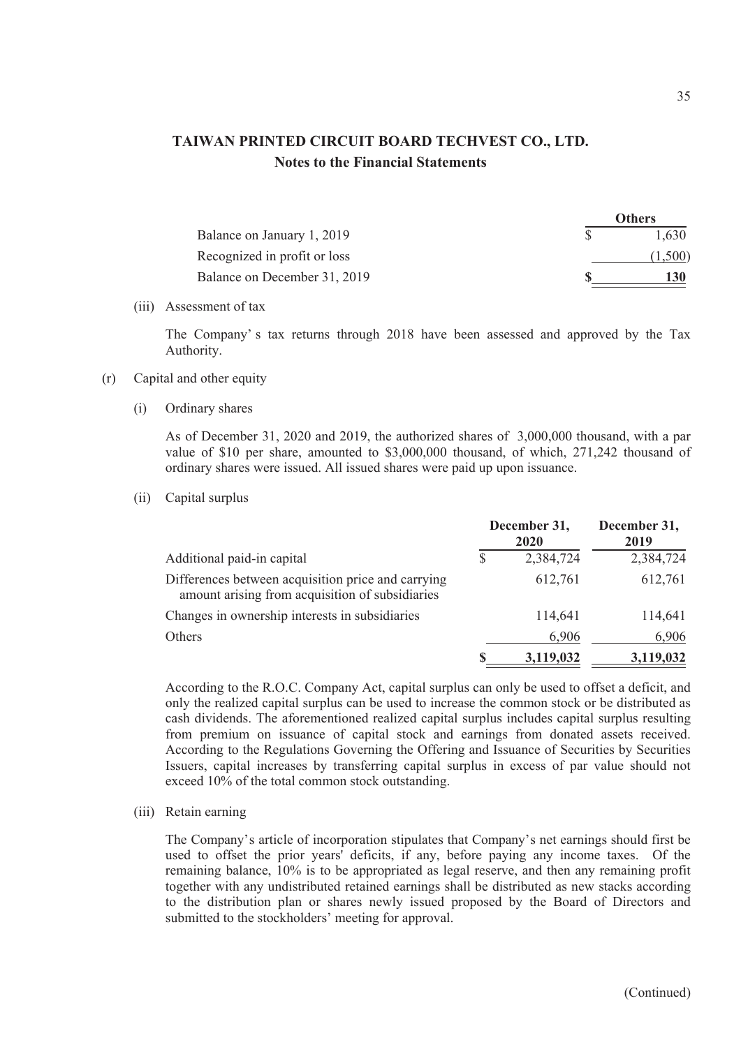|                              | <b>VUIELS</b> |
|------------------------------|---------------|
| Balance on January 1, 2019   | 1,630         |
| Recognized in profit or loss | (1,500)       |
| Balance on December 31, 2019 |               |

(iii) Assessment of tax

The Company' s tax returns through 2018 have been assessed and approved by the Tax Authority.

### (r) Capital and other equity

(i) Ordinary shares

As of December 31, 2020 and 2019, the authorized shares of 3,000,000 thousand, with a par value of \$10 per share, amounted to \$3,000,000 thousand, of which, 271,242 thousand of ordinary shares were issued. All issued shares were paid up upon issuance.

(ii) Capital surplus

|                                                                                                       |  | December 31,<br>2020 | December 31,<br>2019 |  |
|-------------------------------------------------------------------------------------------------------|--|----------------------|----------------------|--|
| Additional paid-in capital                                                                            |  | 2,384,724            | 2,384,724            |  |
| Differences between acquisition price and carrying<br>amount arising from acquisition of subsidiaries |  | 612,761              | 612,761              |  |
| Changes in ownership interests in subsidiaries                                                        |  | 114,641              | 114,641              |  |
| <b>Others</b>                                                                                         |  | 6,906                | 6,906                |  |
|                                                                                                       |  | 3,119,032            | 3,119,032            |  |

According to the R.O.C. Company Act, capital surplus can only be used to offset a deficit, and only the realized capital surplus can be used to increase the common stock or be distributed as cash dividends. The aforementioned realized capital surplus includes capital surplus resulting from premium on issuance of capital stock and earnings from donated assets received. According to the Regulations Governing the Offering and Issuance of Securities by Securities Issuers, capital increases by transferring capital surplus in excess of par value should not exceed 10% of the total common stock outstanding.

(iii) Retain earning

The Company's article of incorporation stipulates that Company's net earnings should first be used to offset the prior years' deficits, if any, before paying any income taxes. Of the remaining balance, 10% is to be appropriated as legal reserve, and then any remaining profit together with any undistributed retained earnings shall be distributed as new stacks according to the distribution plan or shares newly issued proposed by the Board of Directors and submitted to the stockholders' meeting for approval.

**Others**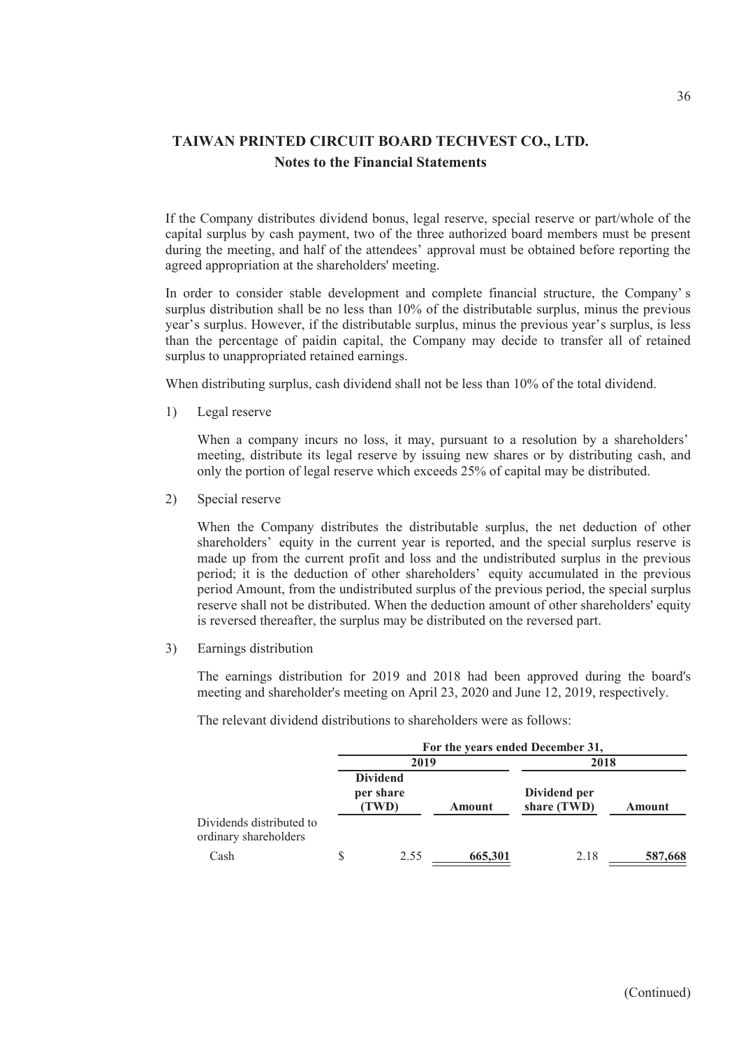If the Company distributes dividend bonus, legal reserve, special reserve or part/whole of the capital surplus by cash payment, two of the three authorized board members must be present during the meeting, and half of the attendees' approval must be obtained before reporting the agreed appropriation at the shareholders' meeting.

In order to consider stable development and complete financial structure, the Company' s surplus distribution shall be no less than 10% of the distributable surplus, minus the previous year's surplus. However, if the distributable surplus, minus the previous year's surplus, is less than the percentage of paidin capital, the Company may decide to transfer all of retained surplus to unappropriated retained earnings.

When distributing surplus, cash dividend shall not be less than 10% of the total dividend.

1) Legal reserve

When a company incurs no loss, it may, pursuant to a resolution by a shareholders' meeting, distribute its legal reserve by issuing new shares or by distributing cash, and only the portion of legal reserve which exceeds 25% of capital may be distributed.

2) Special reserve

When the Company distributes the distributable surplus, the net deduction of other shareholders' equity in the current year is reported, and the special surplus reserve is made up from the current profit and loss and the undistributed surplus in the previous period; it is the deduction of other shareholders' equity accumulated in the previous period Amount, from the undistributed surplus of the previous period, the special surplus reserve shall not be distributed. When the deduction amount of other shareholders' equity is reversed thereafter, the surplus may be distributed on the reversed part.

3) Earnings distribution

The earnings distribution for 2019 and 2018 had been approved during the board's meeting and shareholder's meeting on April 23, 2020 and June 12, 2019, respectively.

The relevant dividend distributions to shareholders were as follows:

|                                                   |   | For the years ended December 31,     |         |                             |         |  |  |
|---------------------------------------------------|---|--------------------------------------|---------|-----------------------------|---------|--|--|
|                                                   |   | 2019                                 |         | 2018                        |         |  |  |
|                                                   |   | <b>Dividend</b><br>per share<br>TWD) | Amount  | Dividend per<br>share (TWD) | Amount  |  |  |
| Dividends distributed to<br>ordinary shareholders |   |                                      |         |                             |         |  |  |
| Cash                                              | S | 2.55                                 | 665,301 | 2.18                        | 587,668 |  |  |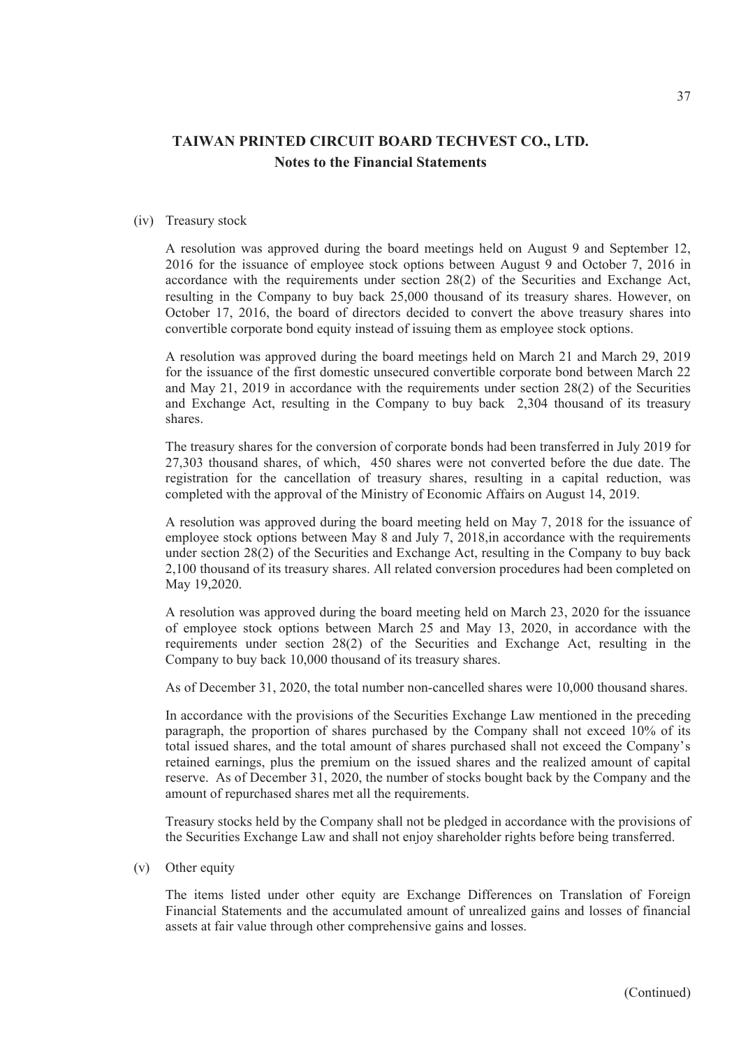#### (iv) Treasury stock

A resolution was approved during the board meetings held on August 9 and September 12, 2016 for the issuance of employee stock options between August 9 and October 7, 2016 in accordance with the requirements under section 28(2) of the Securities and Exchange Act, resulting in the Company to buy back 25,000 thousand of its treasury shares. However, on October 17, 2016, the board of directors decided to convert the above treasury shares into convertible corporate bond equity instead of issuing them as employee stock options.

A resolution was approved during the board meetings held on March 21 and March 29, 2019 for the issuance of the first domestic unsecured convertible corporate bond between March 22 and May 21, 2019 in accordance with the requirements under section 28(2) of the Securities and Exchange Act, resulting in the Company to buy back 2,304 thousand of its treasury shares.

The treasury shares for the conversion of corporate bonds had been transferred in July 2019 for 27,303 thousand shares, of which, 450 shares were not converted before the due date. The registration for the cancellation of treasury shares, resulting in a capital reduction, was completed with the approval of the Ministry of Economic Affairs on August 14, 2019.

A resolution was approved during the board meeting held on May 7, 2018 for the issuance of employee stock options between May 8 and July 7, 2018, in accordance with the requirements under section 28(2) of the Securities and Exchange Act, resulting in the Company to buy back 2,100 thousand of its treasury shares. All related conversion procedures had been completed on May 19,2020.

A resolution was approved during the board meeting held on March 23, 2020 for the issuance of employee stock options between March 25 and May 13, 2020, in accordance with the requirements under section 28(2) of the Securities and Exchange Act, resulting in the Company to buy back 10,000 thousand of its treasury shares.

As of December 31, 2020, the total number non-cancelled shares were 10,000 thousand shares.

In accordance with the provisions of the Securities Exchange Law mentioned in the preceding paragraph, the proportion of shares purchased by the Company shall not exceed 10% of its total issued shares, and the total amount of shares purchased shall not exceed the Company's retained earnings, plus the premium on the issued shares and the realized amount of capital reserve. As of December 31, 2020, the number of stocks bought back by the Company and the amount of repurchased shares met all the requirements.

Treasury stocks held by the Company shall not be pledged in accordance with the provisions of the Securities Exchange Law and shall not enjoy shareholder rights before being transferred.

### (v) Other equity

The items listed under other equity are Exchange Differences on Translation of Foreign Financial Statements and the accumulated amount of unrealized gains and losses of financial assets at fair value through other comprehensive gains and losses.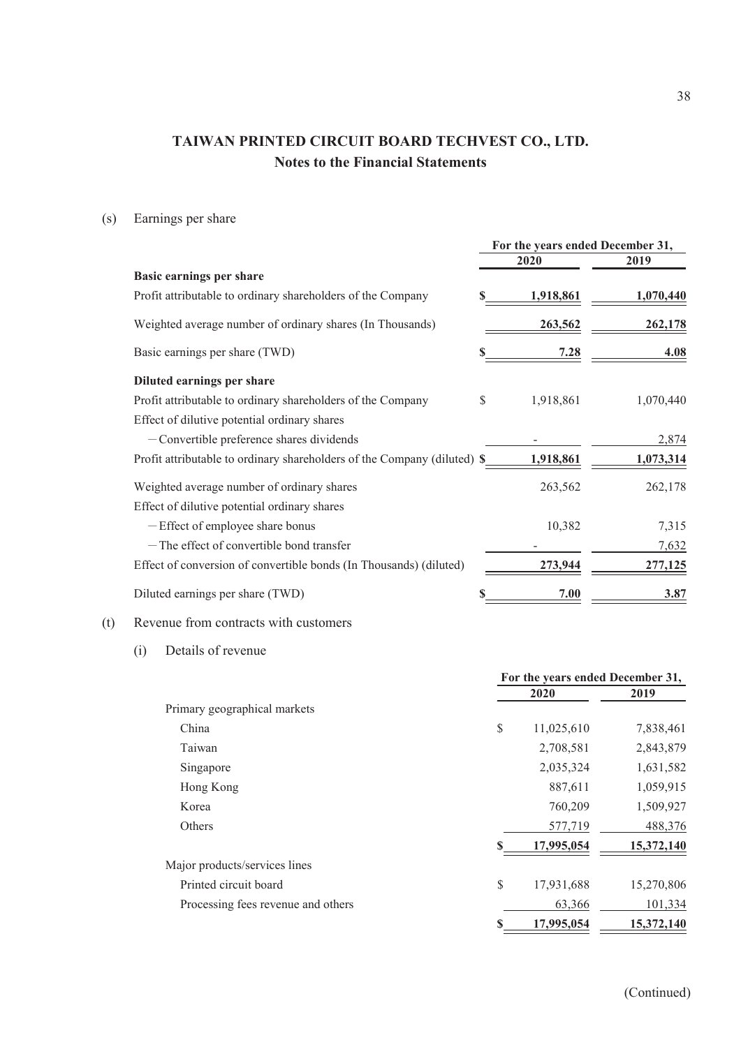(s) Earnings per share

|                                                                          | For the years ended December 31, |             |                |
|--------------------------------------------------------------------------|----------------------------------|-------------|----------------|
|                                                                          |                                  | 2020        | 2019           |
| Basic earnings per share                                                 |                                  |             |                |
| Profit attributable to ordinary shareholders of the Company              |                                  | 1,918,861   | 1,070,440      |
| Weighted average number of ordinary shares (In Thousands)                |                                  | 263,562     | 262,178        |
| Basic earnings per share (TWD)                                           |                                  | <u>7.28</u> | 4.08           |
| Diluted earnings per share                                               |                                  |             |                |
| Profit attributable to ordinary shareholders of the Company              | \$                               | 1,918,861   | 1,070,440      |
| Effect of dilutive potential ordinary shares                             |                                  |             |                |
| $-$ Convertible preference shares dividends                              |                                  |             | 2,874          |
| Profit attributable to ordinary shareholders of the Company (diluted) \$ |                                  | 1,918,861   | 1,073,314      |
| Weighted average number of ordinary shares                               |                                  | 263,562     | 262,178        |
| Effect of dilutive potential ordinary shares                             |                                  |             |                |
| -Effect of employee share bonus                                          |                                  | 10,382      | 7,315          |
| -The effect of convertible bond transfer                                 |                                  |             | 7,632          |
| Effect of conversion of convertible bonds (In Thousands) (diluted)       |                                  | 273,944     | <u>277,125</u> |
| Diluted earnings per share (TWD)                                         |                                  | 7.00        | 3.87           |

## (t) Revenue from contracts with customers

(i) Details of revenue

|                                    | For the years ended December 31, |            |            |
|------------------------------------|----------------------------------|------------|------------|
|                                    |                                  | 2020       | 2019       |
| Primary geographical markets       |                                  |            |            |
| China                              | \$                               | 11,025,610 | 7,838,461  |
| Taiwan                             |                                  | 2,708,581  | 2,843,879  |
| Singapore                          |                                  | 2,035,324  | 1,631,582  |
| Hong Kong                          |                                  | 887,611    | 1,059,915  |
| Korea                              |                                  | 760,209    | 1,509,927  |
| <b>Others</b>                      |                                  | 577,719    | 488,376    |
|                                    | \$                               | 17,995,054 | 15,372,140 |
| Major products/services lines      |                                  |            |            |
| Printed circuit board              | \$                               | 17,931,688 | 15,270,806 |
| Processing fees revenue and others |                                  | 63,366     | 101,334    |
|                                    |                                  | 17,995,054 | 15,372,140 |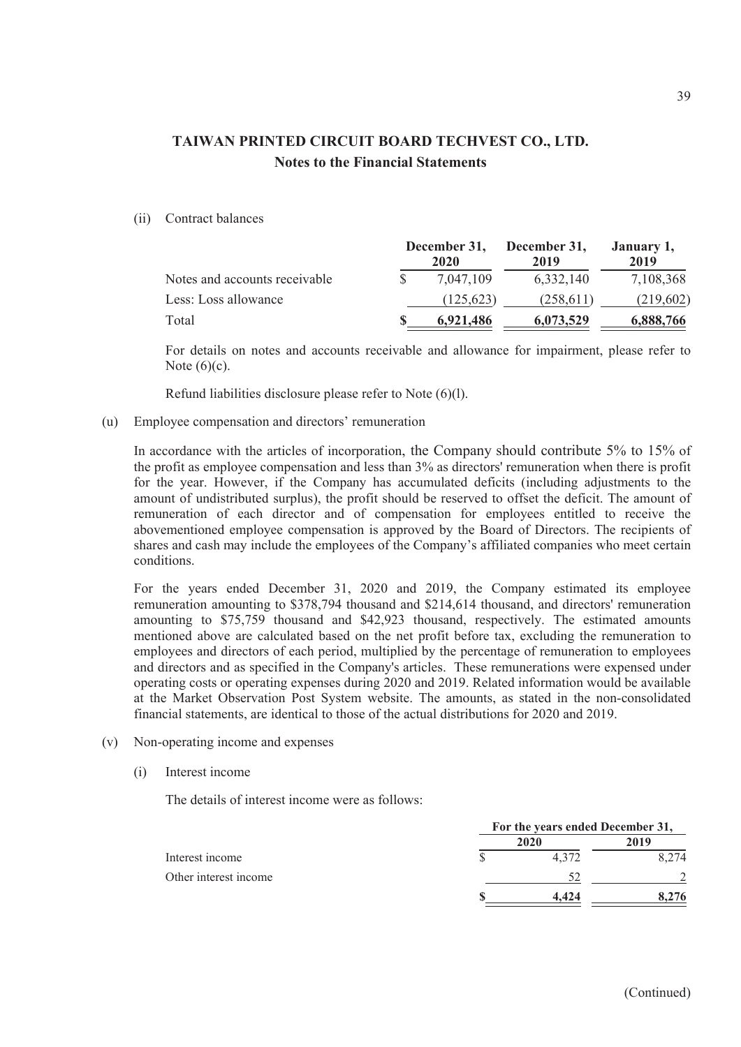(ii) Contract balances

|                               | December 31,<br>2020 | December 31,<br>2019 | January 1,<br>2019 |
|-------------------------------|----------------------|----------------------|--------------------|
| Notes and accounts receivable | 7.047.109            | 6,332,140            | 7,108,368          |
| Less: Loss allowance          | (125.623)            | (258, 611)           | (219,602)          |
| Total                         | 6.921.486            | 6,073,529            | 6,888,766          |

For details on notes and accounts receivable and allowance for impairment, please refer to Note  $(6)(c)$ .

Refund liabilities disclosure please refer to Note (6)(l).

(u) Employee compensation and directors' remuneration

In accordance with the articles of incorporation, the Company should contribute 5% to 15% of the profit as employee compensation and less than 3% as directors' remuneration when there is profit for the year. However, if the Company has accumulated deficits (including adjustments to the amount of undistributed surplus), the profit should be reserved to offset the deficit. The amount of remuneration of each director and of compensation for employees entitled to receive the abovementioned employee compensation is approved by the Board of Directors. The recipients of shares and cash may include the employees of the Company's affiliated companies who meet certain conditions.

For the years ended December 31, 2020 and 2019, the Company estimated its employee remuneration amounting to \$378,794 thousand and \$214,614 thousand, and directors' remuneration amounting to \$75,759 thousand and \$42,923 thousand, respectively. The estimated amounts mentioned above are calculated based on the net profit before tax, excluding the remuneration to employees and directors of each period, multiplied by the percentage of remuneration to employees and directors and as specified in the Company's articles. These remunerations were expensed under operating costs or operating expenses during 2020 and 2019. Related information would be available at the Market Observation Post System website. The amounts, as stated in the non-consolidated financial statements, are identical to those of the actual distributions for 2020 and 2019.

- (v) Non-operating income and expenses
	- (i) Interest income

The details of interest income were as follows:

|                       | For the years ended December 31, |       |       |
|-----------------------|----------------------------------|-------|-------|
|                       |                                  | 2020  | 2019  |
| Interest income       |                                  | 4.372 | 8.274 |
| Other interest income |                                  |       |       |
|                       |                                  | 4.424 | 8.276 |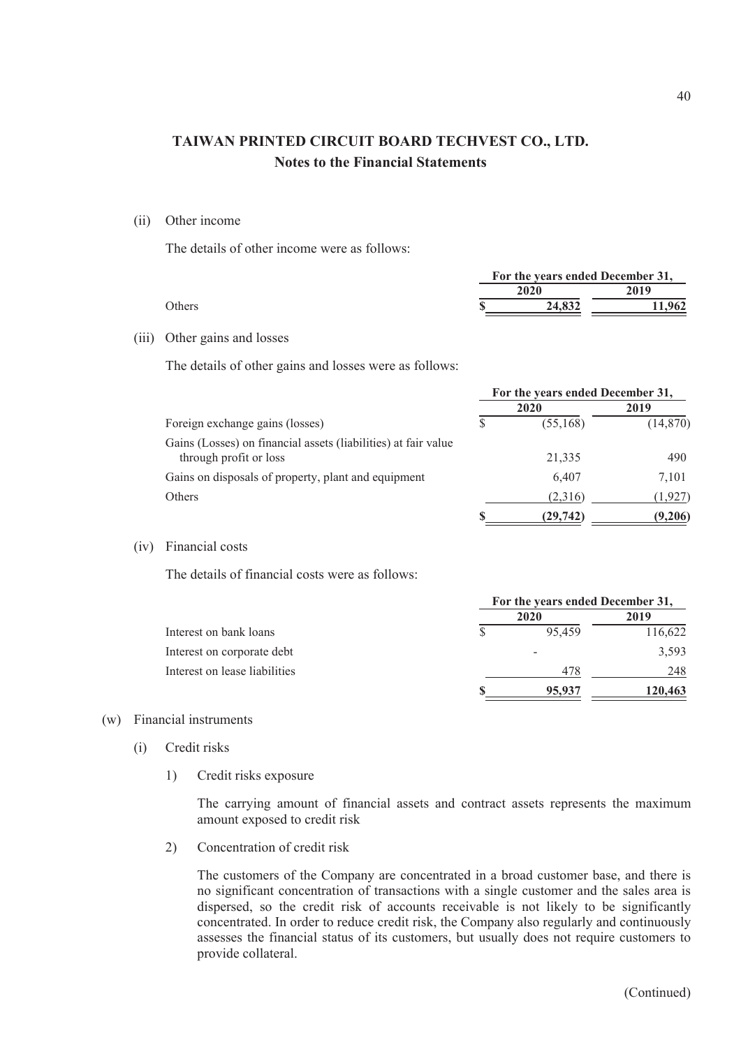(ii) Other income

The details of other income were as follows:

|  | For the years ended December 31, |        |  |
|--|----------------------------------|--------|--|
|  | 2020                             | 2019   |  |
|  | 24,832                           | 11.962 |  |
|  |                                  |        |  |

#### (iii) Other gains and losses

The details of other gains and losses were as follows:

|                                                                                          | For the years ended December 31, |           |           |  |
|------------------------------------------------------------------------------------------|----------------------------------|-----------|-----------|--|
|                                                                                          |                                  | 2020      | 2019      |  |
| Foreign exchange gains (losses)                                                          |                                  | (55, 168) | (14, 870) |  |
| Gains (Losses) on financial assets (liabilities) at fair value<br>through profit or loss |                                  | 21,335    | 490       |  |
| Gains on disposals of property, plant and equipment                                      |                                  | 6.407     | 7,101     |  |
| Others                                                                                   |                                  | (2,316)   | (1,927)   |  |
|                                                                                          |                                  | (29, 742) | (9,206)   |  |

(iv) Financial costs

The details of financial costs were as follows:

|                               | For the years ended December 31, |        |         |  |
|-------------------------------|----------------------------------|--------|---------|--|
|                               |                                  | 2020   | 2019    |  |
| Interest on bank loans        |                                  | 95.459 | 116,622 |  |
| Interest on corporate debt    |                                  |        | 3,593   |  |
| Interest on lease liabilities |                                  | 478    | 248     |  |
|                               |                                  | 95,937 | 120,463 |  |

#### (w) Financial instruments

- (i) Credit risks
	- 1) Credit risks exposure

The carrying amount of financial assets and contract assets represents the maximum amount exposed to credit risk

2) Concentration of credit risk

The customers of the Company are concentrated in a broad customer base, and there is no significant concentration of transactions with a single customer and the sales area is dispersed, so the credit risk of accounts receivable is not likely to be significantly concentrated. In order to reduce credit risk, the Company also regularly and continuously assesses the financial status of its customers, but usually does not require customers to provide collateral.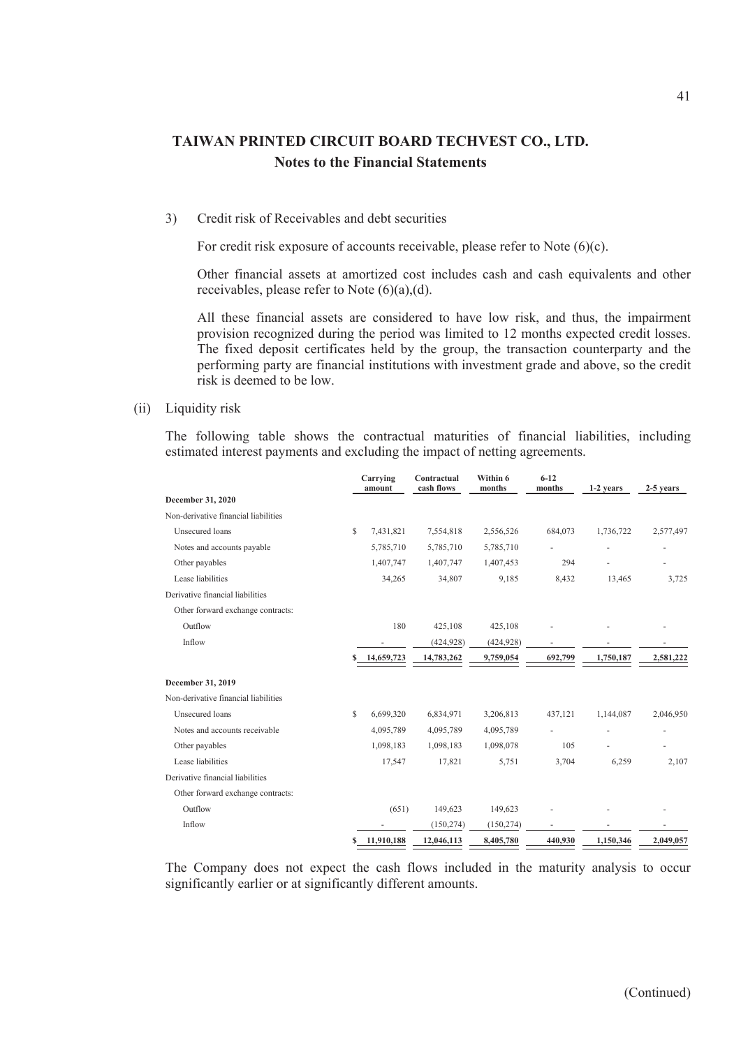#### 3) Credit risk of Receivables and debt securities

For credit risk exposure of accounts receivable, please refer to Note (6)(c).

Other financial assets at amortized cost includes cash and cash equivalents and other receivables, please refer to Note (6)(a),(d).

All these financial assets are considered to have low risk, and thus, the impairment provision recognized during the period was limited to 12 months expected credit losses. The fixed deposit certificates held by the group, the transaction counterparty and the performing party are financial institutions with investment grade and above, so the credit risk is deemed to be low.

#### (ii) Liquidity risk

The following table shows the contractual maturities of financial liabilities, including estimated interest payments and excluding the impact of netting agreements.

|                                      | Carrying<br>amount | Contractual<br>cash flows | Within 6<br>months | $6 - 12$<br>months | 1-2 years | 2-5 years |
|--------------------------------------|--------------------|---------------------------|--------------------|--------------------|-----------|-----------|
| December 31, 2020                    |                    |                           |                    |                    |           |           |
| Non-derivative financial liabilities |                    |                           |                    |                    |           |           |
| Unsecured loans                      | \$<br>7,431,821    | 7,554,818                 | 2,556,526          | 684,073            | 1,736,722 | 2,577,497 |
| Notes and accounts payable           | 5,785,710          | 5,785,710                 | 5,785,710          |                    |           |           |
| Other payables                       | 1,407,747          | 1,407,747                 | 1,407,453          | 294                |           |           |
| Lease liabilities                    | 34,265             | 34,807                    | 9,185              | 8,432              | 13,465    | 3,725     |
| Derivative financial liabilities     |                    |                           |                    |                    |           |           |
| Other forward exchange contracts:    |                    |                           |                    |                    |           |           |
| Outflow                              | 180                | 425,108                   | 425,108            |                    |           |           |
| Inflow                               |                    | (424, 928)                | (424, 928)         |                    |           |           |
|                                      | 14,659,723         | 14,783,262                | 9,759,054          | 692,799            | 1,750,187 | 2,581,222 |
| December 31, 2019                    |                    |                           |                    |                    |           |           |
| Non-derivative financial liabilities |                    |                           |                    |                    |           |           |
| Unsecured loans                      | \$<br>6,699,320    | 6,834,971                 | 3,206,813          | 437,121            | 1,144,087 | 2,046,950 |
| Notes and accounts receivable        | 4,095,789          | 4,095,789                 | 4,095,789          |                    |           |           |
| Other payables                       | 1,098,183          | 1,098,183                 | 1,098,078          | 105                |           |           |
| Lease liabilities                    | 17,547             | 17,821                    | 5,751              | 3,704              | 6,259     | 2,107     |
| Derivative financial liabilities     |                    |                           |                    |                    |           |           |
| Other forward exchange contracts:    |                    |                           |                    |                    |           |           |
| Outflow                              | (651)              | 149,623                   | 149,623            |                    |           |           |
| Inflow                               |                    | (150, 274)                | (150, 274)         |                    |           |           |
|                                      | \$<br>11,910,188   | 12,046,113                | 8,405,780          | 440,930            | 1,150,346 | 2,049,057 |

The Company does not expect the cash flows included in the maturity analysis to occur significantly earlier or at significantly different amounts.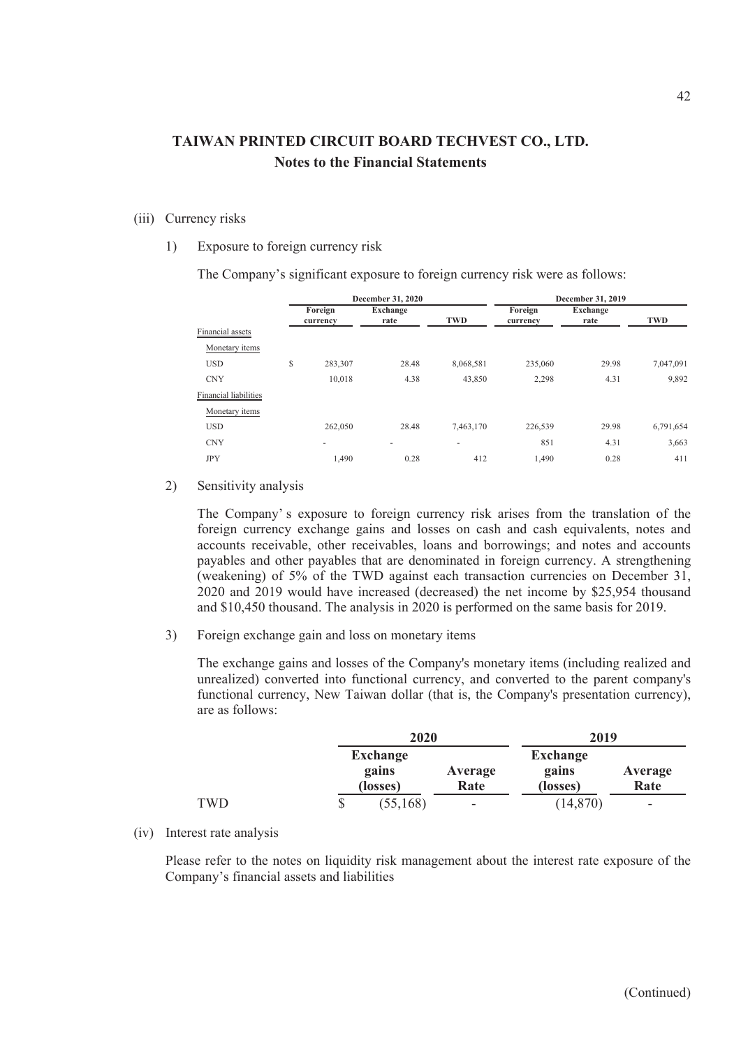## (iii) Currency risks

1) Exposure to foreign currency risk

The Company's significant exposure to foreign currency risk were as follows:

|                              |   |                     | December 31, 2020        |           | December 31, 2019   |                  |           |  |
|------------------------------|---|---------------------|--------------------------|-----------|---------------------|------------------|-----------|--|
|                              |   | Foreign<br>currency | <b>Exchange</b><br>rate  | TWD       | Foreign<br>currency | Exchange<br>rate | TWD       |  |
| Financial assets             |   |                     |                          |           |                     |                  |           |  |
| Monetary items               |   |                     |                          |           |                     |                  |           |  |
| <b>USD</b>                   | S | 283,307             | 28.48                    | 8,068,581 | 235,060             | 29.98            | 7,047,091 |  |
| <b>CNY</b>                   |   | 10,018              | 4.38                     | 43,850    | 2,298               | 4.31             | 9,892     |  |
| <b>Financial liabilities</b> |   |                     |                          |           |                     |                  |           |  |
| Monetary items               |   |                     |                          |           |                     |                  |           |  |
| <b>USD</b>                   |   | 262,050             | 28.48                    | 7,463,170 | 226,539             | 29.98            | 6,791,654 |  |
| <b>CNY</b>                   |   | ۰                   | $\overline{\phantom{a}}$ | -         | 851                 | 4.31             | 3,663     |  |
| <b>JPY</b>                   |   | 1,490               | 0.28                     | 412       | 1,490               | 0.28             | 411       |  |
|                              |   |                     |                          |           |                     |                  |           |  |

2) Sensitivity analysis

The Company' s exposure to foreign currency risk arises from the translation of the foreign currency exchange gains and losses on cash and cash equivalents, notes and accounts receivable, other receivables, loans and borrowings; and notes and accounts payables and other payables that are denominated in foreign currency. A strengthening (weakening) of 5% of the TWD against each transaction currencies on December 31, 2020 and 2019 would have increased (decreased) the net income by \$25,954 thousand and \$10,450 thousand. The analysis in 2020 is performed on the same basis for 2019.

3) Foreign exchange gain and loss on monetary items

The exchange gains and losses of the Company's monetary items (including realized and unrealized) converted into functional currency, and converted to the parent company's functional currency, New Taiwan dollar (that is, the Company's presentation currency), are as follows:

|            | 2020            |         | 2019            |         |  |
|------------|-----------------|---------|-----------------|---------|--|
|            | <b>Exchange</b> |         | <b>Exchange</b> |         |  |
|            | gains           | Average | gains           | Average |  |
|            | (losses)        | Rate    | (losses)        | Rate    |  |
| <b>TWD</b> | (55, 168)<br>\$ | ۰       | (14, 870)       | -       |  |

(iv) Interest rate analysis

Please refer to the notes on liquidity risk management about the interest rate exposure of the Company's financial assets and liabilities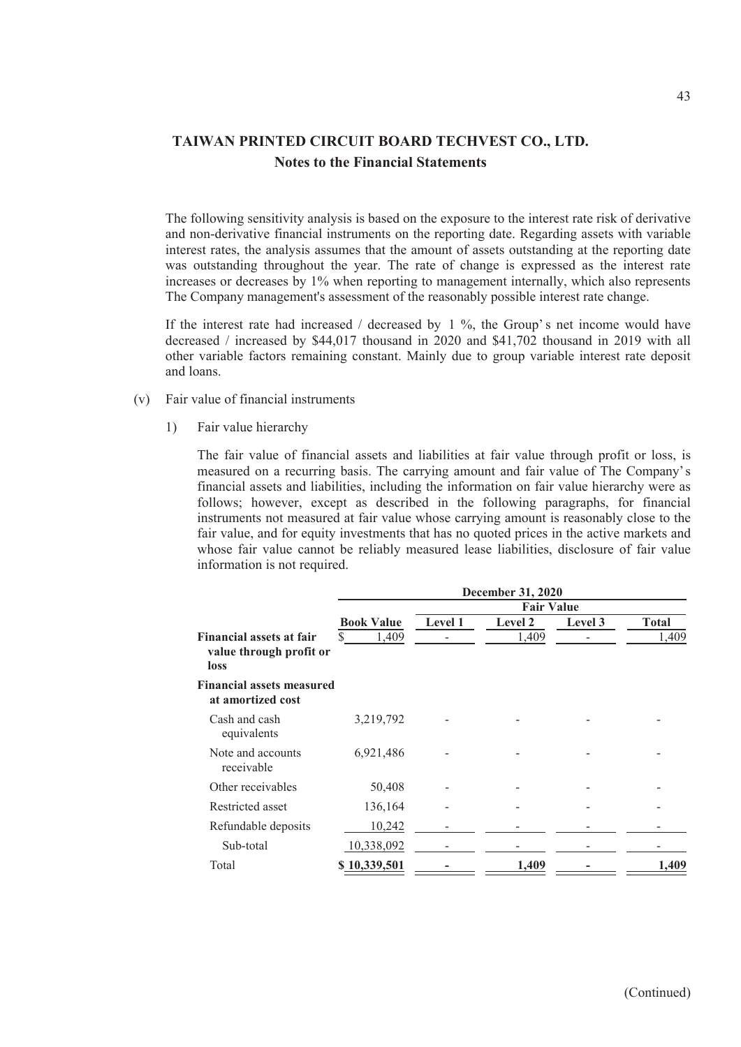The following sensitivity analysis is based on the exposure to the interest rate risk of derivative and non-derivative financial instruments on the reporting date. Regarding assets with variable interest rates, the analysis assumes that the amount of assets outstanding at the reporting date was outstanding throughout the year. The rate of change is expressed as the interest rate increases or decreases by 1% when reporting to management internally, which also represents The Company management's assessment of the reasonably possible interest rate change.

If the interest rate had increased / decreased by  $1\%$ , the Group's net income would have decreased / increased by \$44,017 thousand in 2020 and \$41,702 thousand in 2019 with all other variable factors remaining constant. Mainly due to group variable interest rate deposit and loans.

- (v) Fair value of financial instruments
	- 1) Fair value hierarchy

The fair value of financial assets and liabilities at fair value through profit or loss, is measured on a recurring basis. The carrying amount and fair value of The Company's financial assets and liabilities, including the information on fair value hierarchy were as follows; however, except as described in the following paragraphs, for financial instruments not measured at fair value whose carrying amount is reasonably close to the fair value, and for equity investments that has no quoted prices in the active markets and whose fair value cannot be reliably measured lease liabilities, disclosure of fair value information is not required.

|                                                                    | <b>December 31, 2020</b> |                   |         |         |              |  |  |
|--------------------------------------------------------------------|--------------------------|-------------------|---------|---------|--------------|--|--|
|                                                                    |                          | <b>Fair Value</b> |         |         |              |  |  |
|                                                                    | <b>Book Value</b>        | Level 1           | Level 2 | Level 3 | <b>Total</b> |  |  |
| <b>Financial assets at fair</b><br>value through profit or<br>loss | \$<br>1,409              |                   | 1,409   |         | 1,409        |  |  |
| <b>Financial assets measured</b><br>at amortized cost              |                          |                   |         |         |              |  |  |
| Cash and cash<br>equivalents                                       | 3,219,792                |                   |         |         |              |  |  |
| Note and accounts<br>receivable                                    | 6,921,486                |                   |         |         |              |  |  |
| Other receivables                                                  | 50,408                   |                   |         |         |              |  |  |
| Restricted asset                                                   | 136,164                  |                   |         |         |              |  |  |
| Refundable deposits                                                | 10,242                   |                   |         |         |              |  |  |
| Sub-total                                                          | 10,338,092               |                   |         |         |              |  |  |
| Total                                                              | \$10,339,501             |                   | 1,409   |         | .409         |  |  |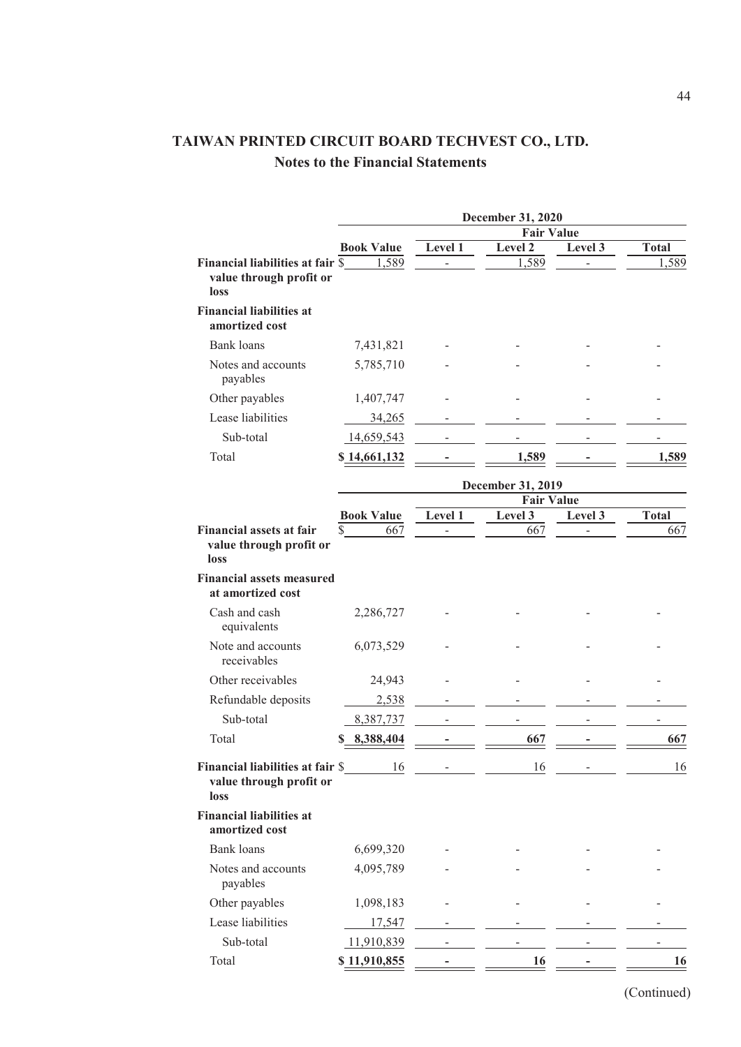|                                                                      | <b>December 31, 2020</b>       |                |                   |                |              |  |
|----------------------------------------------------------------------|--------------------------------|----------------|-------------------|----------------|--------------|--|
|                                                                      | <b>Fair Value</b>              |                |                   |                |              |  |
|                                                                      | <b>Book Value</b>              | Level 1        | Level 2           | Level 3        | <b>Total</b> |  |
| Financial liabilities at fair \$<br>value through profit or<br>loss  | 1,589                          | $\overline{a}$ | 1,589             |                | 1,589        |  |
| <b>Financial liabilities at</b><br>amortized cost                    |                                |                |                   |                |              |  |
| <b>Bank</b> loans                                                    | 7,431,821                      |                |                   |                |              |  |
| Notes and accounts<br>payables                                       | 5,785,710                      |                |                   |                |              |  |
| Other payables                                                       | 1,407,747                      |                |                   |                |              |  |
| Lease liabilities                                                    | 34,265                         |                |                   |                |              |  |
| Sub-total                                                            | 14,659,543                     |                |                   |                |              |  |
| Total                                                                | \$14,661,132                   |                | 1,589             |                | 1,589        |  |
|                                                                      |                                |                | December 31, 2019 |                |              |  |
|                                                                      |                                |                | <b>Fair Value</b> |                |              |  |
|                                                                      | <b>Book Value</b>              | <b>Level 1</b> | Level 3           | Level 3        | <b>Total</b> |  |
| <b>Financial assets at fair</b><br>value through profit or<br>loss   | \$<br>667                      | $\overline{a}$ | 667               | $\overline{a}$ | 667          |  |
| <b>Financial assets measured</b><br>at amortized cost                |                                |                |                   |                |              |  |
| Cash and cash<br>equivalents                                         | 2,286,727                      |                |                   |                |              |  |
| Note and accounts<br>receivables                                     | 6,073,529                      |                |                   |                |              |  |
| Other receivables                                                    | 24,943                         |                |                   |                |              |  |
| Refundable deposits                                                  | 2,538                          |                |                   |                |              |  |
| Sub-total                                                            | 8,387,737                      |                |                   |                |              |  |
| Total                                                                | 8,388,404                      |                | 667               |                | 667          |  |
| Financial liabilities at fair \$_<br>value through profit or<br>loss | 16<br>$\overline{\phantom{a}}$ |                | 16                |                | 16           |  |
| <b>Financial liabilities at</b><br>amortized cost                    |                                |                |                   |                |              |  |
| <b>Bank</b> loans                                                    | 6,699,320                      |                |                   |                |              |  |
| Notes and accounts<br>payables                                       | 4,095,789                      |                |                   |                |              |  |
| Other payables                                                       | 1,098,183                      |                |                   |                |              |  |
| Lease liabilities                                                    | 17,547                         |                |                   |                |              |  |
| Sub-total                                                            | 11,910,839                     |                |                   |                |              |  |
| Total                                                                | \$11,910,855                   |                | 16                |                | 16           |  |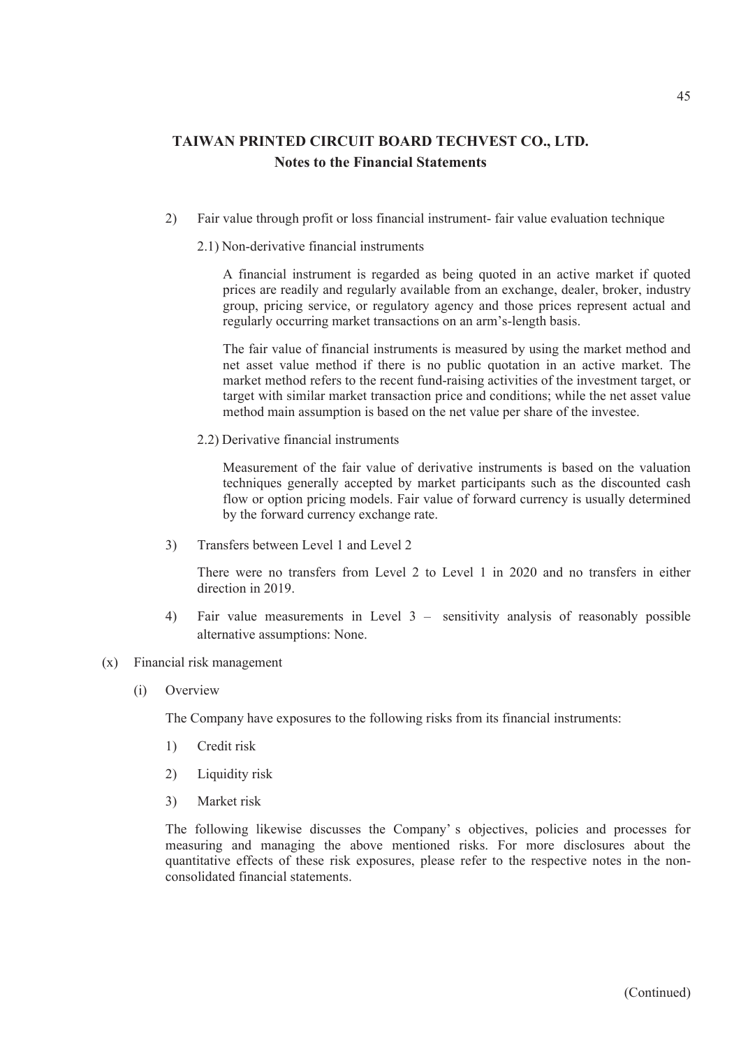2) Fair value through profit or loss financial instrument- fair value evaluation technique

### 2.1) Non-derivative financial instruments

A financial instrument is regarded as being quoted in an active market if quoted prices are readily and regularly available from an exchange, dealer, broker, industry group, pricing service, or regulatory agency and those prices represent actual and regularly occurring market transactions on an arm's-length basis.

The fair value of financial instruments is measured by using the market method and net asset value method if there is no public quotation in an active market. The market method refers to the recent fund-raising activities of the investment target, or target with similar market transaction price and conditions; while the net asset value method main assumption is based on the net value per share of the investee.

2.2) Derivative financial instruments

Measurement of the fair value of derivative instruments is based on the valuation techniques generally accepted by market participants such as the discounted cash flow or option pricing models. Fair value of forward currency is usually determined by the forward currency exchange rate.

3) Transfers between Level 1 and Level 2

There were no transfers from Level 2 to Level 1 in 2020 and no transfers in either direction in 2019.

- 4) Fair value measurements in Level 3 sensitivity analysis of reasonably possible alternative assumptions: None.
- (x) Financial risk management
	- (i) Overview

The Company have exposures to the following risks from its financial instruments:

- 1) Credit risk
- 2) Liquidity risk
- 3) Market risk

The following likewise discusses the Company' s objectives, policies and processes for measuring and managing the above mentioned risks. For more disclosures about the quantitative effects of these risk exposures, please refer to the respective notes in the nonconsolidated financial statements.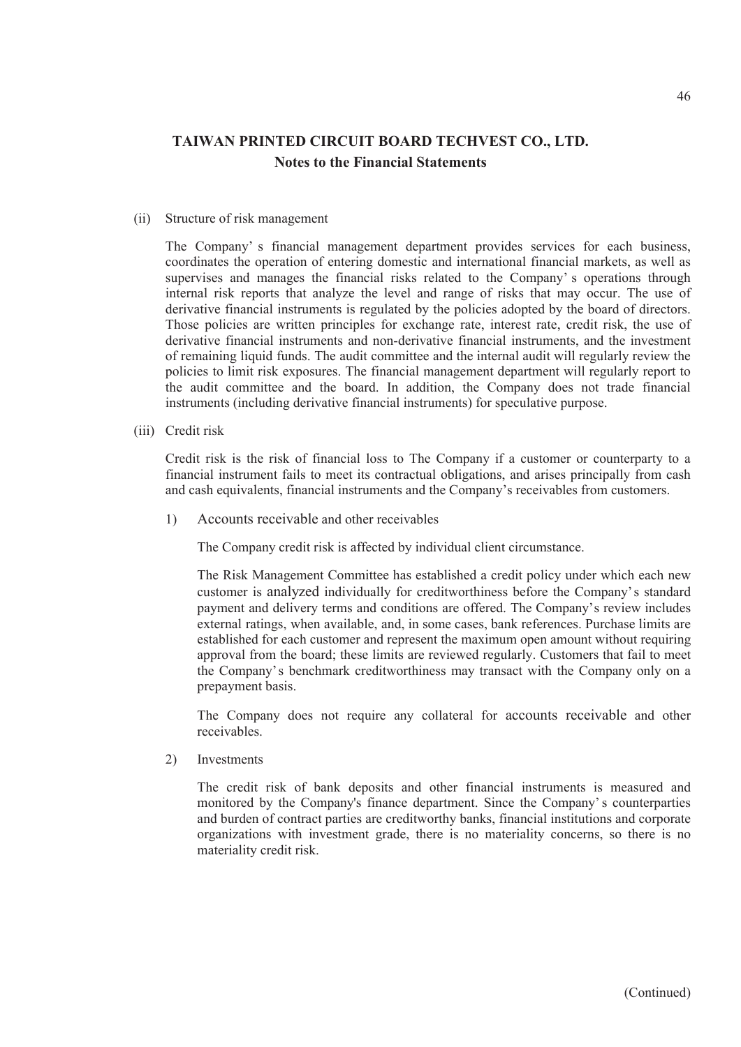#### (ii) Structure of risk management

The Company' s financial management department provides services for each business, coordinates the operation of entering domestic and international financial markets, as well as supervises and manages the financial risks related to the Company' s operations through internal risk reports that analyze the level and range of risks that may occur. The use of derivative financial instruments is regulated by the policies adopted by the board of directors. Those policies are written principles for exchange rate, interest rate, credit risk, the use of derivative financial instruments and non-derivative financial instruments, and the investment of remaining liquid funds. The audit committee and the internal audit will regularly review the policies to limit risk exposures. The financial management department will regularly report to the audit committee and the board. In addition, the Company does not trade financial instruments (including derivative financial instruments) for speculative purpose.

(iii) Credit risk

Credit risk is the risk of financial loss to The Company if a customer or counterparty to a financial instrument fails to meet its contractual obligations, and arises principally from cash and cash equivalents, financial instruments and the Company's receivables from customers.

1) Accounts receivable and other receivables

The Company credit risk is affected by individual client circumstance.

The Risk Management Committee has established a credit policy under which each new customer is analyzed individually for creditworthiness before the Company's standard payment and delivery terms and conditions are offered. The Company's review includes external ratings, when available, and, in some cases, bank references. Purchase limits are established for each customer and represent the maximum open amount without requiring approval from the board; these limits are reviewed regularly. Customers that fail to meet the Company's benchmark creditworthiness may transact with the Company only on a prepayment basis.

The Company does not require any collateral for accounts receivable and other receivables.

2) Investments

The credit risk of bank deposits and other financial instruments is measured and monitored by the Company's finance department. Since the Company' s counterparties and burden of contract parties are creditworthy banks, financial institutions and corporate organizations with investment grade, there is no materiality concerns, so there is no materiality credit risk.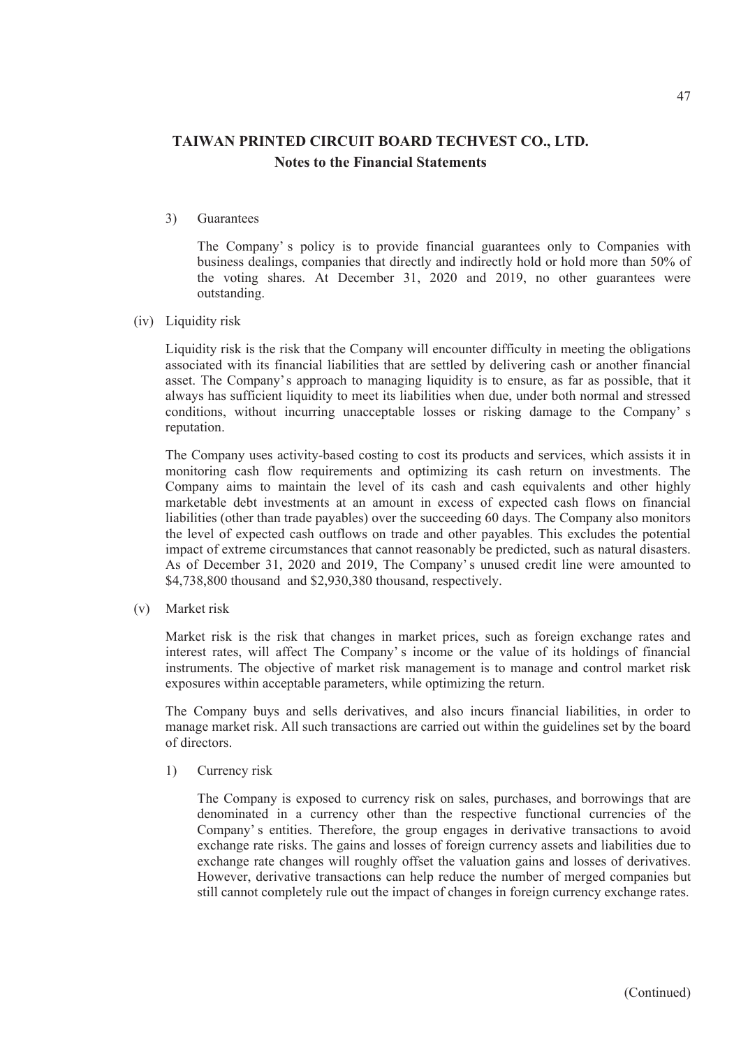3) Guarantees

The Company' s policy is to provide financial guarantees only to Companies with business dealings, companies that directly and indirectly hold or hold more than 50% of the voting shares. At December 31, 2020 and 2019, no other guarantees were outstanding.

(iv) Liquidity risk

Liquidity risk is the risk that the Company will encounter difficulty in meeting the obligations associated with its financial liabilities that are settled by delivering cash or another financial asset. The Company's approach to managing liquidity is to ensure, as far as possible, that it always has sufficient liquidity to meet its liabilities when due, under both normal and stressed conditions, without incurring unacceptable losses or risking damage to the Company' s reputation.

The Company uses activity-based costing to cost its products and services, which assists it in monitoring cash flow requirements and optimizing its cash return on investments. The Company aims to maintain the level of its cash and cash equivalents and other highly marketable debt investments at an amount in excess of expected cash flows on financial liabilities (other than trade payables) over the succeeding 60 days. The Company also monitors the level of expected cash outflows on trade and other payables. This excludes the potential impact of extreme circumstances that cannot reasonably be predicted, such as natural disasters. As of December 31, 2020 and 2019, The Company' s unused credit line were amounted to \$4,738,800 thousand and \$2,930,380 thousand, respectively.

(v) Market risk

Market risk is the risk that changes in market prices, such as foreign exchange rates and interest rates, will affect The Company' s income or the value of its holdings of financial instruments. The objective of market risk management is to manage and control market risk exposures within acceptable parameters, while optimizing the return.

The Company buys and sells derivatives, and also incurs financial liabilities, in order to manage market risk. All such transactions are carried out within the guidelines set by the board of directors.

1) Currency risk

The Company is exposed to currency risk on sales, purchases, and borrowings that are denominated in a currency other than the respective functional currencies of the Company' s entities. Therefore, the group engages in derivative transactions to avoid exchange rate risks. The gains and losses of foreign currency assets and liabilities due to exchange rate changes will roughly offset the valuation gains and losses of derivatives. However, derivative transactions can help reduce the number of merged companies but still cannot completely rule out the impact of changes in foreign currency exchange rates.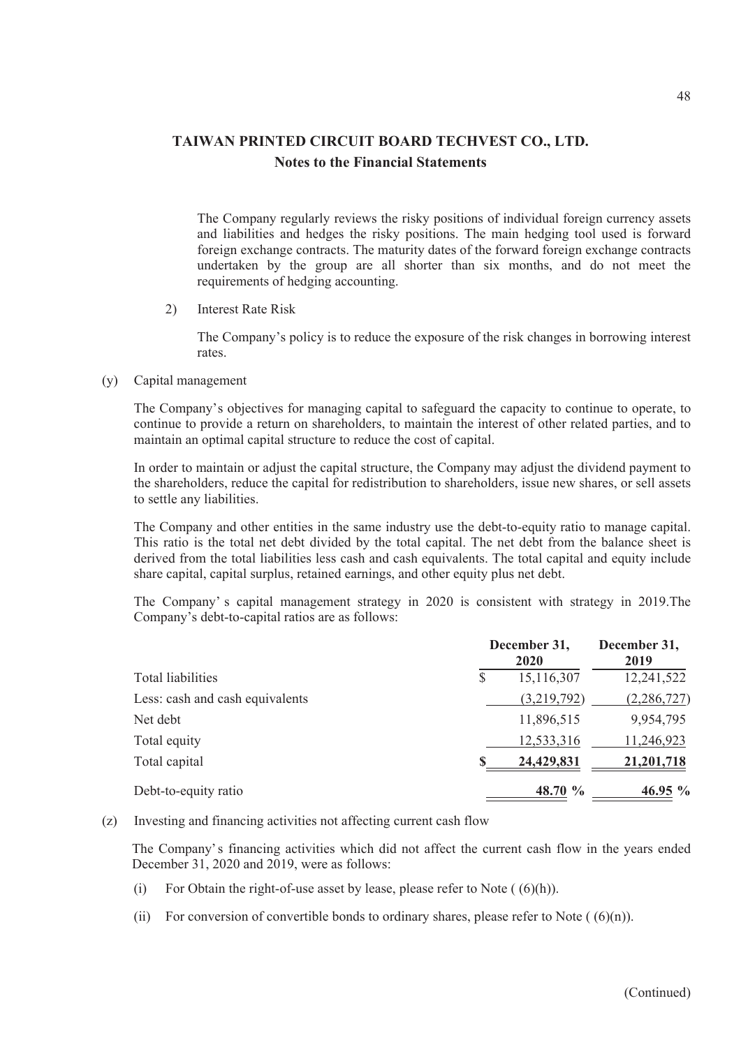The Company regularly reviews the risky positions of individual foreign currency assets and liabilities and hedges the risky positions. The main hedging tool used is forward foreign exchange contracts. The maturity dates of the forward foreign exchange contracts undertaken by the group are all shorter than six months, and do not meet the requirements of hedging accounting.

2) Interest Rate Risk

The Company's policy is to reduce the exposure of the risk changes in borrowing interest rates.

(y) Capital management

The Company's objectives for managing capital to safeguard the capacity to continue to operate, to continue to provide a return on shareholders, to maintain the interest of other related parties, and to maintain an optimal capital structure to reduce the cost of capital.

In order to maintain or adjust the capital structure, the Company may adjust the dividend payment to the shareholders, reduce the capital for redistribution to shareholders, issue new shares, or sell assets to settle any liabilities.

The Company and other entities in the same industry use the debt-to-equity ratio to manage capital. This ratio is the total net debt divided by the total capital. The net debt from the balance sheet is derived from the total liabilities less cash and cash equivalents. The total capital and equity include share capital, capital surplus, retained earnings, and other equity plus net debt.

The Company' s capital management strategy in 2020 is consistent with strategy in 2019.The Company's debt-to-capital ratios are as follows:

|                                 |   | December 31,<br>2020 |               |  |
|---------------------------------|---|----------------------|---------------|--|
| Total liabilities               | S | 15,116,307           | 12,241,522    |  |
| Less: cash and cash equivalents |   | (3,219,792)          | (2, 286, 727) |  |
| Net debt                        |   | 11,896,515           | 9,954,795     |  |
| Total equity                    |   | 12,533,316           | 11,246,923    |  |
| Total capital                   |   | 24,429,831           | 21,201,718    |  |
| Debt-to-equity ratio            |   | 48.70 %              | 46.95 %       |  |

(z) Investing and financing activities not affecting current cash flow

The Company's financing activities which did not affect the current cash flow in the years ended December 31, 2020 and 2019, were as follows:

- (i) For Obtain the right-of-use asset by lease, please refer to Note  $( (6)(h))$ .
- (ii) For conversion of convertible bonds to ordinary shares, please refer to Note  $((6)(n))$ .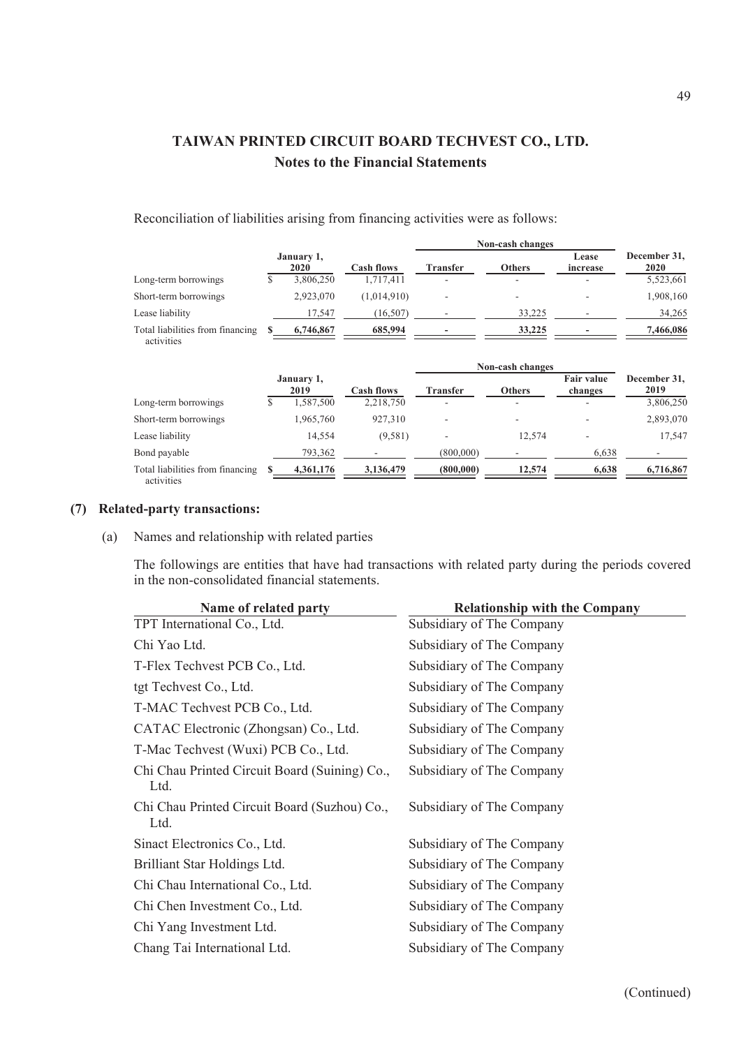Reconciliation of liabilities arising from financing activities were as follows:

|                                                |    |                    |                   | Non-cash changes |                  |                              |                      |
|------------------------------------------------|----|--------------------|-------------------|------------------|------------------|------------------------------|----------------------|
|                                                |    | January 1,<br>2020 | <b>Cash flows</b> | <b>Transfer</b>  | <b>Others</b>    | Lease<br>increase            | December 31.<br>2020 |
| Long-term borrowings                           | \$ | 3,806,250          | 1,717,411         |                  |                  |                              | 5,523,661            |
| Short-term borrowings                          |    | 2,923,070          | (1,014,910)       |                  |                  |                              | 1,908,160            |
| Lease liability                                |    | 17,547             | (16, 507)         |                  | 33,225           |                              | 34,265               |
| Total liabilities from financing<br>activities |    | 6,746,867          | 685,994           |                  | 33,225           |                              | 7,466,086            |
|                                                |    |                    |                   |                  | Non-cash changes |                              |                      |
|                                                |    | January 1,<br>2019 | <b>Cash flows</b> | <b>Transfer</b>  | <b>Others</b>    | <b>Fair value</b><br>changes | December 31,<br>2019 |
| Long-term borrowings                           | \$ | 1,587,500          | 2,218,750         |                  |                  |                              | 3,806,250            |
| Short-term borrowings                          |    | 1,965,760          | 927,310           |                  |                  |                              | 2,893,070            |
| Lease liability                                |    | 14,554             | (9,581)           |                  | 12,574           |                              | 17,547               |
| Bond payable                                   |    | 793,362            |                   | (800,000)        |                  | 6,638                        |                      |
| Total liabilities from financing<br>activities | S  | 4,361,176          | 3,136,479         | (800,000)        | 12,574           | 6,638                        | 6,716,867            |

### **(7) Related-party transactions:**

(a) Names and relationship with related parties

The followings are entities that have had transactions with related party during the periods covered in the non-consolidated financial statements.

| Name of related party                                 | <b>Relationship with the Company</b> |
|-------------------------------------------------------|--------------------------------------|
| TPT International Co., Ltd.                           | Subsidiary of The Company            |
| Chi Yao Ltd.                                          | Subsidiary of The Company            |
| T-Flex Techvest PCB Co., Ltd.                         | Subsidiary of The Company            |
| tgt Techvest Co., Ltd.                                | Subsidiary of The Company            |
| T-MAC Techvest PCB Co., Ltd.                          | Subsidiary of The Company            |
| CATAC Electronic (Zhongsan) Co., Ltd.                 | Subsidiary of The Company            |
| T-Mac Techvest (Wuxi) PCB Co., Ltd.                   | Subsidiary of The Company            |
| Chi Chau Printed Circuit Board (Suining) Co.,<br>Ltd. | Subsidiary of The Company            |
| Chi Chau Printed Circuit Board (Suzhou) Co.,<br>Ltd.  | Subsidiary of The Company            |
| Sinact Electronics Co., Ltd.                          | Subsidiary of The Company            |
| Brilliant Star Holdings Ltd.                          | Subsidiary of The Company            |
| Chi Chau International Co., Ltd.                      | Subsidiary of The Company            |
| Chi Chen Investment Co., Ltd.                         | Subsidiary of The Company            |
| Chi Yang Investment Ltd.                              | Subsidiary of The Company            |
| Chang Tai International Ltd.                          | Subsidiary of The Company            |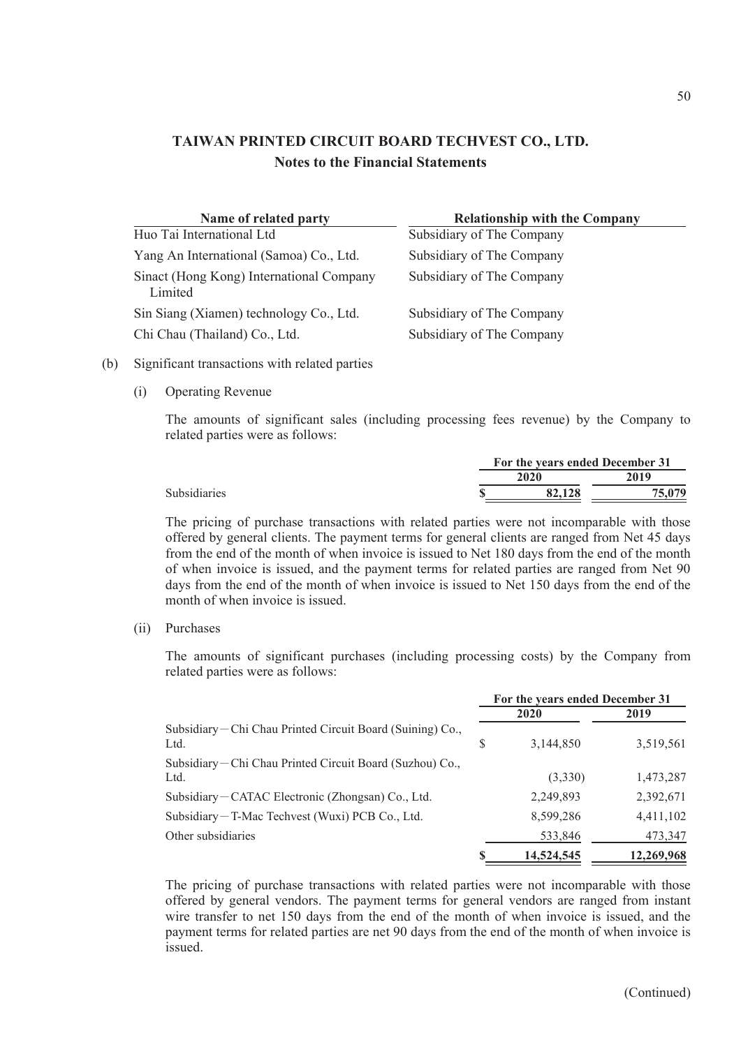| Name of related party                               | <b>Relationship with the Company</b> |
|-----------------------------------------------------|--------------------------------------|
| Huo Tai International Ltd                           | Subsidiary of The Company            |
| Yang An International (Samoa) Co., Ltd.             | Subsidiary of The Company            |
| Sinact (Hong Kong) International Company<br>Limited | Subsidiary of The Company            |
| Sin Siang (Xiamen) technology Co., Ltd.             | Subsidiary of The Company            |
| Chi Chau (Thailand) Co., Ltd.                       | Subsidiary of The Company            |

### (b) Significant transactions with related parties

(i) Operating Revenue

The amounts of significant sales (including processing fees revenue) by the Company to related parties were as follows:

|  | For the years ended December 31 |        |
|--|---------------------------------|--------|
|  | 2020                            | 2019   |
|  | 82,128                          | 75,079 |
|  |                                 |        |

The pricing of purchase transactions with related parties were not incomparable with those offered by general clients. The payment terms for general clients are ranged from Net 45 days from the end of the month of when invoice is issued to Net 180 days from the end of the month of when invoice is issued, and the payment terms for related parties are ranged from Net 90 days from the end of the month of when invoice is issued to Net 150 days from the end of the month of when invoice is issued.

(ii) Purchases

The amounts of significant purchases (including processing costs) by the Company from related parties were as follows:

|                                                                    |   | For the years ended December 31 |            |  |  |  |  |
|--------------------------------------------------------------------|---|---------------------------------|------------|--|--|--|--|
|                                                                    |   | 2020                            | 2019       |  |  |  |  |
| Subsidiary – Chi Chau Printed Circuit Board (Suining) Co.,<br>Ltd. | S | 3,144,850                       | 3,519,561  |  |  |  |  |
| Subsidiary-Chi Chau Printed Circuit Board (Suzhou) Co.,<br>Ltd.    |   | (3,330)                         | 1,473,287  |  |  |  |  |
| Subsidiary-CATAC Electronic (Zhongsan) Co., Ltd.                   |   | 2,249,893                       | 2,392,671  |  |  |  |  |
| Subsidiary-T-Mac Techvest (Wuxi) PCB Co., Ltd.                     |   | 8,599,286                       | 4,411,102  |  |  |  |  |
| Other subsidiaries                                                 |   | 533,846                         | 473,347    |  |  |  |  |
|                                                                    |   | 14,524,545                      | 12,269,968 |  |  |  |  |

The pricing of purchase transactions with related parties were not incomparable with those offered by general vendors. The payment terms for general vendors are ranged from instant wire transfer to net 150 days from the end of the month of when invoice is issued, and the payment terms for related parties are net 90 days from the end of the month of when invoice is issued.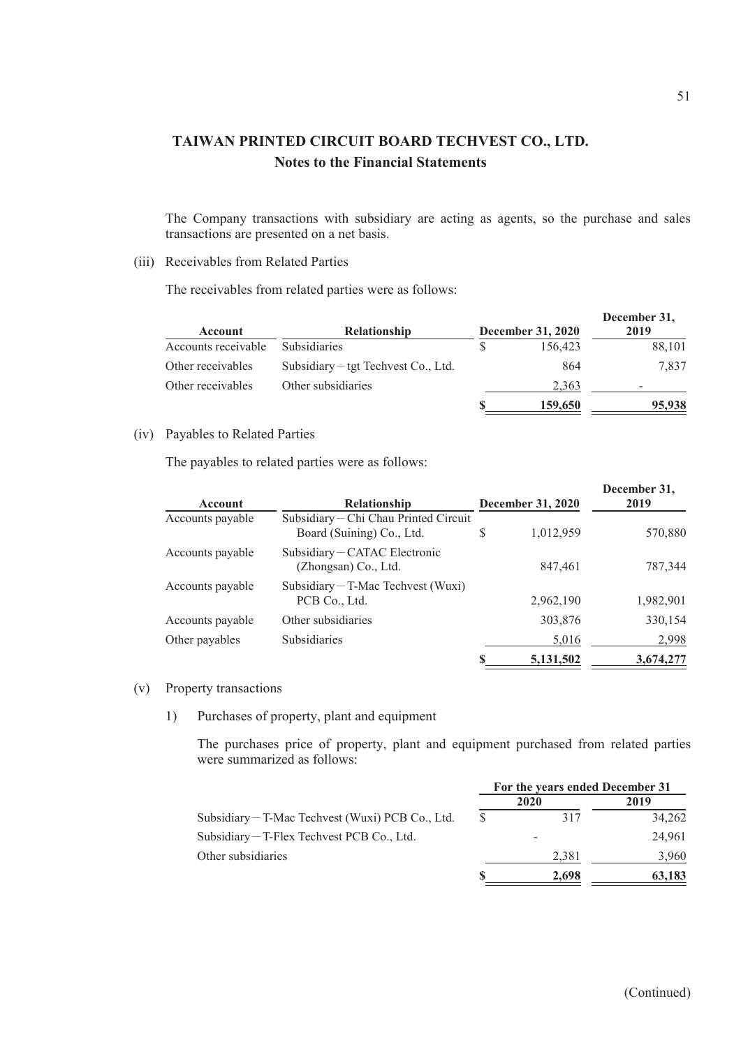The Company transactions with subsidiary are acting as agents, so the purchase and sales transactions are presented on a net basis.

## (iii) Receivables from Related Parties

The receivables from related parties were as follows:

| Account             | <b>Relationship</b>                 | <b>December 31, 2020</b> | December 31,<br>2019 |
|---------------------|-------------------------------------|--------------------------|----------------------|
| Accounts receivable | <b>Subsidiaries</b>                 | 156,423                  | 88,101               |
| Other receivables   | Subsidiary – tgt Techvest Co., Ltd. | 864                      | 7.837                |
| Other receivables   | Other subsidiaries                  | 2,363                    |                      |
|                     |                                     | 159,650                  | 95,938               |

## (iv) Payables to Related Parties

The payables to related parties were as follows:

| Account          | <b>Relationship</b>                                              |   | <b>December 31, 2020</b> | December 31,<br>2019 |
|------------------|------------------------------------------------------------------|---|--------------------------|----------------------|
| Accounts payable | Subsidiary-Chi Chau Printed Circuit<br>Board (Suining) Co., Ltd. | S | 1,012,959                | 570,880              |
| Accounts payable | Subsidiary-CATAC Electronic<br>(Zhongsan) Co., Ltd.              |   | 847.461                  | 787,344              |
| Accounts payable | Subsidiary $-T$ -Mac Techvest (Wuxi)<br>PCB Co., Ltd.            |   | 2,962,190                | 1,982,901            |
| Accounts payable | Other subsidiaries                                               |   | 303,876                  | 330,154              |
| Other payables   | Subsidiaries                                                     |   | 5,016                    | 2,998                |
|                  |                                                                  |   | 5,131,502                | 3,674,277            |

#### (v) Property transactions

1) Purchases of property, plant and equipment

The purchases price of property, plant and equipment purchased from related parties were summarized as follows:

|                                                  | For the years ended December 31 |       |        |  |  |
|--------------------------------------------------|---------------------------------|-------|--------|--|--|
|                                                  |                                 | 2020  | 2019   |  |  |
| Subsidiary – T-Mac Techvest (Wuxi) PCB Co., Ltd. | \$.                             | 317   | 34,262 |  |  |
| Subsidiary – T-Flex Techvest PCB Co., Ltd.       |                                 |       | 24,961 |  |  |
| Other subsidiaries                               |                                 | 2,381 | 3.960  |  |  |
|                                                  |                                 | 2.698 | 63,183 |  |  |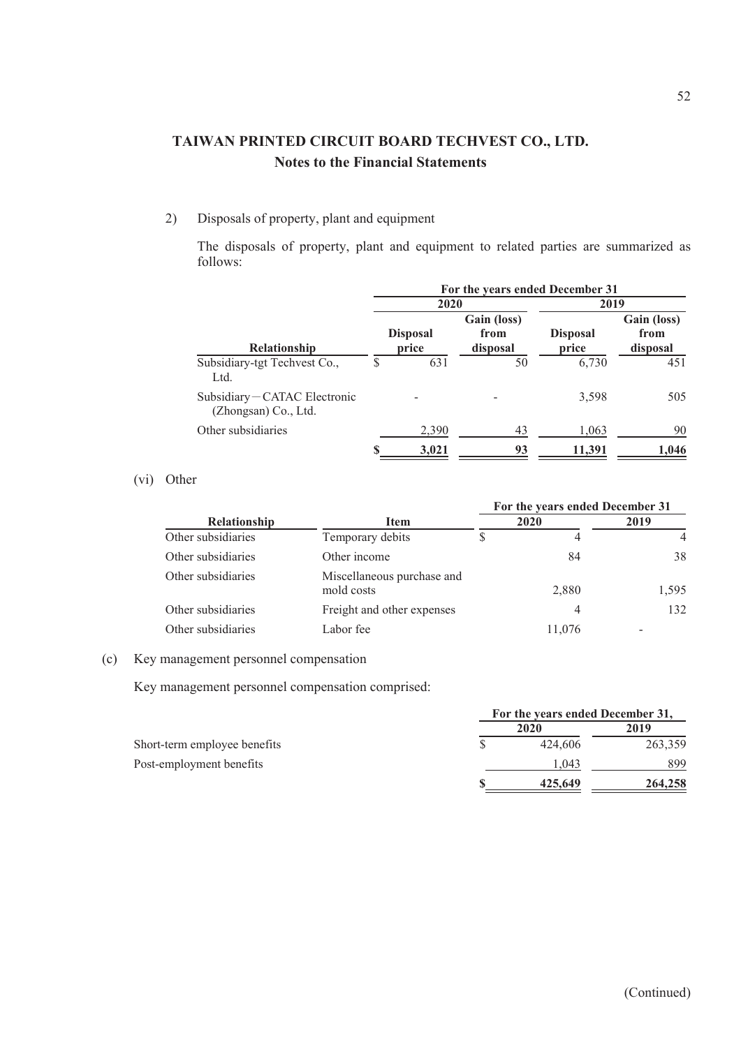## 2) Disposals of property, plant and equipment

The disposals of property, plant and equipment to related parties are summarized as follows:

|                                                     |                          |       | For the years ended December 31 |                          |                                 |  |  |
|-----------------------------------------------------|--------------------------|-------|---------------------------------|--------------------------|---------------------------------|--|--|
|                                                     |                          | 2020  |                                 |                          | 2019                            |  |  |
| <b>Relationship</b>                                 | <b>Disposal</b><br>price |       | Gain (loss)<br>from<br>disposal | <b>Disposal</b><br>price | Gain (loss)<br>from<br>disposal |  |  |
| Subsidiary-tgt Techvest Co.,<br>Ltd.                |                          | 631   | 50                              | 6,730                    | 451                             |  |  |
| Subsidiary-CATAC Electronic<br>(Zhongsan) Co., Ltd. |                          |       |                                 | 3,598                    | 505                             |  |  |
| Other subsidiaries                                  |                          | 2,390 | 43                              | 1,063                    | 90                              |  |  |
|                                                     |                          | 3,021 | 93                              | 11,391                   | 1,046                           |  |  |

## (vi) Other

|                     |                                          |      | For the years ended December 31 |       |
|---------------------|------------------------------------------|------|---------------------------------|-------|
| <b>Relationship</b> | <b>Item</b>                              | 2020 |                                 | 2019  |
| Other subsidiaries  | Temporary debits                         |      | 4                               | 4     |
| Other subsidiaries  | Other income                             |      | 84                              | 38    |
| Other subsidiaries  | Miscellaneous purchase and<br>mold costs |      | 2,880                           | 1,595 |
| Other subsidiaries  | Freight and other expenses               |      | 4                               | 132   |
| Other subsidiaries  | Labor fee                                |      | 11,076                          |       |

### (c) Key management personnel compensation

Key management personnel compensation comprised:

|                              |  | For the years ended December 31, |         |
|------------------------------|--|----------------------------------|---------|
|                              |  | 2019                             |         |
| Short-term employee benefits |  | 424,606                          | 263,359 |
| Post-employment benefits     |  | 1.043                            | 899     |
|                              |  | 425,649                          | 264,258 |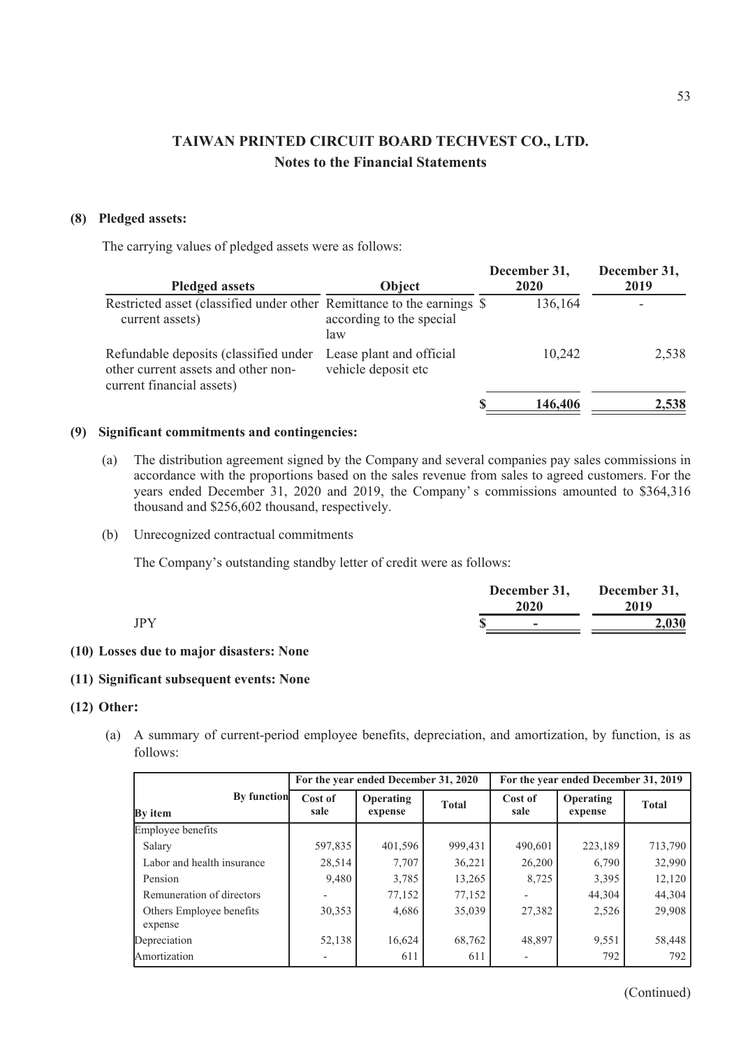## **(8) Pledged assets:**

The carrying values of pledged assets were as follows:

| <b>Pledged assets</b>                                                                                     | Object                                          | December 31,<br>2020 | December 31,<br>2019 |
|-----------------------------------------------------------------------------------------------------------|-------------------------------------------------|----------------------|----------------------|
| Restricted asset (classified under other Remittance to the earnings \$<br>current assets)                 | according to the special<br>law                 | 136,164              |                      |
| Refundable deposits (classified under<br>other current assets and other non-<br>current financial assets) | Lease plant and official<br>vehicle deposit etc | 10,242               | 2,538                |
|                                                                                                           |                                                 | 146,406              | 2,538                |

## **(9) Significant commitments and contingencies:**

- (a) The distribution agreement signed by the Company and several companies pay sales commissions in accordance with the proportions based on the sales revenue from sales to agreed customers. For the years ended December 31, 2020 and 2019, the Company' s commissions amounted to \$364,316 thousand and \$256,602 thousand, respectively.
- (b) Unrecognized contractual commitments

The Company's outstanding standby letter of credit were as follows:

|            | December 31,<br>2020 | December 31,<br>2019 |
|------------|----------------------|----------------------|
| <b>JPY</b> | ۰                    | 2,030                |

## **(10) Losses due to major disasters: None**

### **(11) Significant subsequent events: None**

## **(12) Other:**

(a) A summary of current-period employee benefits, depreciation, and amortization, by function, is as follows:

|                                      |                 | For the year ended December 31, 2020 |              |                                                | For the year ended December 31, 2019 |              |
|--------------------------------------|-----------------|--------------------------------------|--------------|------------------------------------------------|--------------------------------------|--------------|
| <b>By function</b><br><b>By</b> item | Cost of<br>sale | Operating<br>expense                 | <b>Total</b> | Cost of<br><b>Operating</b><br>sale<br>expense |                                      | <b>Total</b> |
| Employee benefits                    |                 |                                      |              |                                                |                                      |              |
| Salary                               | 597,835         | 401,596                              | 999,431      | 490,601                                        | 223,189                              | 713,790      |
| Labor and health insurance           | 28,514          | 7,707                                | 36,221       | 26,200                                         | 6,790                                | 32,990       |
| Pension                              | 9,480           | 3,785                                | 13,265       | 8,725                                          | 3,395                                | 12,120       |
| Remuneration of directors            |                 | 77,152                               | 77,152       |                                                | 44,304                               | 44,304       |
| Others Employee benefits<br>expense  | 30,353          | 4,686                                | 35,039       | 27,382                                         | 2,526                                | 29,908       |
| Depreciation                         | 52,138          | 16,624                               | 68,762       | 48,897                                         | 9,551                                | 58,448       |
| Amortization                         |                 | 611                                  | 611          |                                                | 792                                  | 792          |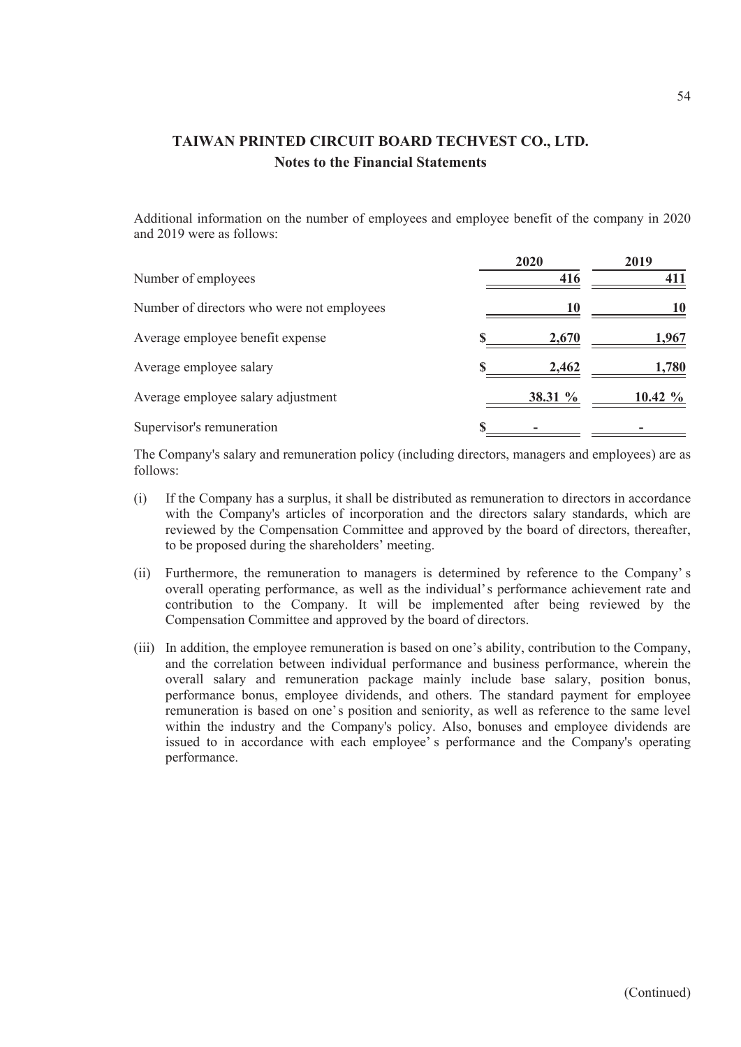Additional information on the number of employees and employee benefit of the company in 2020 and 2019 were as follows:

|                                            | 2020    | 2019       |
|--------------------------------------------|---------|------------|
| Number of employees                        | 416     |            |
| Number of directors who were not employees | 10      |            |
| Average employee benefit expense           | 2,670   | 1,967      |
| Average employee salary                    | 2,462   | 1,780      |
| Average employee salary adjustment         | 38.31 % | 10.42 $\%$ |
| Supervisor's remuneration                  |         |            |

The Company's salary and remuneration policy (including directors, managers and employees) are as follows:

- (i) If the Company has a surplus, it shall be distributed as remuneration to directors in accordance with the Company's articles of incorporation and the directors salary standards, which are reviewed by the Compensation Committee and approved by the board of directors, thereafter, to be proposed during the shareholders' meeting.
- (ii) Furthermore, the remuneration to managers is determined by reference to the Company' s overall operating performance, as well as the individual's performance achievement rate and contribution to the Company. It will be implemented after being reviewed by the Compensation Committee and approved by the board of directors.
- (iii) In addition, the employee remuneration is based on one's ability, contribution to the Company, and the correlation between individual performance and business performance, wherein the overall salary and remuneration package mainly include base salary, position bonus, performance bonus, employee dividends, and others. The standard payment for employee remuneration is based on one's position and seniority, as well as reference to the same level within the industry and the Company's policy. Also, bonuses and employee dividends are issued to in accordance with each employee' s performance and the Company's operating performance.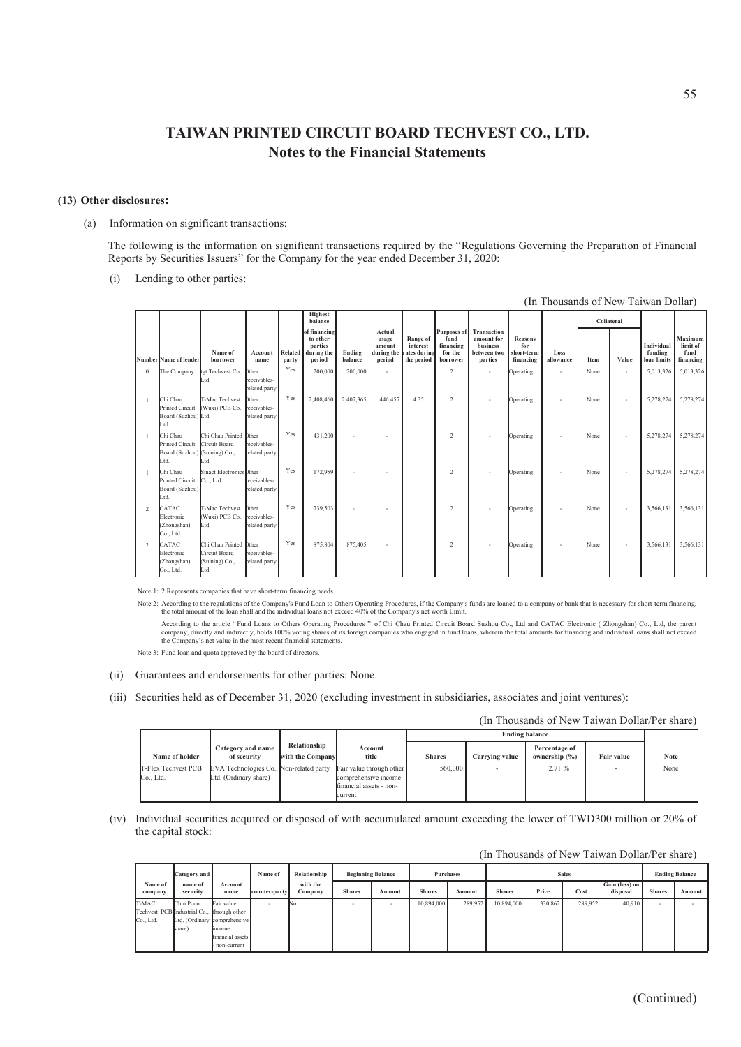### **(13) Other disclosures:**

(a) Information on significant transactions:

The following is the information on significant transactions required by the "Regulations Governing the Preparation of Financial Reports by Securities Issuers" for the Company for the year ended December 31, 2020:

(i) Lending to other parties:

|              | (In Thousands of New Taiwan Dollar)                                  |                                                                   |                                        |                  |                                                             |                   |                                     |                                                               |                                                         |                                                                 |                                                  |                          |            |                          |                                      |                                          |
|--------------|----------------------------------------------------------------------|-------------------------------------------------------------------|----------------------------------------|------------------|-------------------------------------------------------------|-------------------|-------------------------------------|---------------------------------------------------------------|---------------------------------------------------------|-----------------------------------------------------------------|--------------------------------------------------|--------------------------|------------|--------------------------|--------------------------------------|------------------------------------------|
|              |                                                                      |                                                                   |                                        |                  | Highest<br>balance                                          |                   |                                     |                                                               |                                                         |                                                                 |                                                  |                          | Collateral |                          |                                      |                                          |
|              | Number Name of lender                                                | Name of<br>borrower                                               | Account<br>name                        | Related<br>party | of financing<br>to other<br>parties<br>during the<br>period | Ending<br>balance | Actual<br>usage<br>amount<br>period | Range of<br>interest<br>during the rates during<br>the period | Purposes of<br>fund<br>financing<br>for the<br>borrower | Transaction<br>amount for<br>business<br>between two<br>parties | <b>Reasons</b><br>for<br>short-term<br>financing | Loss<br>allowance        | Item       | Value                    | Individual<br>funding<br>loan limits | Maximum<br>limit of<br>fund<br>financing |
| $\mathbf{0}$ | The Company                                                          | tgt Techvest Co.,<br>Ltd.                                         | 0ther<br>receivables-<br>related party | Yes              | 200,000                                                     | 200,000           | $\sim$                              |                                                               | 2                                                       | ٠                                                               | Operating                                        | ٠                        | None       | $\overline{\phantom{a}}$ | 5,013,326                            | 5,013,326                                |
|              | Chi Chau<br>Printed Circuit<br>Board (Suzhou) Ltd.<br>Ltd.           | T-Mac Techvest<br>(Wuxi) PCB Co., receivables-                    | Other<br>related party                 | Yes              | 2,408,460                                                   | 2,407,365         | 446,457                             | 4.35                                                          | $\overline{c}$                                          | $\sim$                                                          | Operating                                        | ٠                        | None       | ٠                        | 5,278,274                            | 5,278,274                                |
|              | Chi Chau<br>Printed Circuit<br>Board (Suzhou) (Suining) Co.,<br>Ltd. | Chi Chau Printed 0ther<br>Circuit Board<br>Ltd.                   | receivables-<br>related party          | Yes              | 431,200                                                     | ٠                 | $\sim$                              |                                                               | 2                                                       | $\sim$                                                          | Operating                                        | ٠                        | None       | $\overline{\phantom{a}}$ | 5,278,274                            | 5,278,274                                |
|              | Chi Chau<br>Printed Circuit<br>Board (Suzhou)<br>Ltd.                | Sinact Electronics Other<br>Co., Ltd.                             | receivables-<br>related party          | Yes              | 172,959                                                     | ٠                 |                                     |                                                               | $\overline{c}$                                          |                                                                 | Operating                                        | ٠                        | None       | ٠                        | 5,278,274                            | 5,278,274                                |
| 2            | CATAC<br>Electronic<br>(Zhongshan)<br>Co., Ltd.                      | T-Mac Techvest<br>(Wuxi) PCB Co., receivables-<br>Ltd.            | Other<br>related party                 | Yes              | 739,503                                                     | ٠                 | $\sim$                              |                                                               | $\overline{2}$                                          |                                                                 | Operating                                        | $\overline{\phantom{a}}$ | None       | ٠                        | 3,566,131                            | 3,566,131                                |
| 2            | CATAC<br>Electronic<br>(Zhongshan)<br>Co., Ltd.                      | Chi Chau Printed Other<br>Circuit Board<br>(Suining) Co.,<br>Ltd. | receivables-<br>related party          | Yes              | 875,804                                                     | 875,405           | $\sim$                              |                                                               | 2                                                       |                                                                 | Operating                                        | ٠                        | None       | ٠                        | 3,566,131                            | 3.566.131                                |

Note 1: 2 Represents companies that have short-term financing needs

Note 2: According to the regulations of the Company's Fund Loan to Others Operating Procedures, if the Company's funds are loaned to a company or bank that is necessary for short-term financing<br>the total amount of the loan

According to the article "Fund Loans to Others Operating Procedures " of Chi Chau Printed Circuit Board Suzhou Co., Ltd and CATAC Electronic ( Zhongshan) Co., Ltd, the parent of parent of the state of the company, directly

Note 3: Fund loan and quota approved by the board of directors.

#### (ii) Guarantees and endorsements for other parties: None.

(iii) Securities held as of December 31, 2020 (excluding investment in subsidiaries, associates and joint ventures):

(In Thousands of New Taiwan Dollar/Per share)

|                                  |                                                                  |                                  |                                                                                        |               | <b>Ending balance</b> |                                   |                   |             |  |
|----------------------------------|------------------------------------------------------------------|----------------------------------|----------------------------------------------------------------------------------------|---------------|-----------------------|-----------------------------------|-------------------|-------------|--|
| Name of holder                   | Category and name<br>of security                                 | Relationship<br>with the Company | Account<br>title                                                                       | <b>Shares</b> | Carrying value        | Percentage of<br>ownership $(\%)$ | <b>Fair value</b> | <b>Note</b> |  |
| T-Flex Techvest PCB<br>Co., Ltd. | EVA Technologies Co., Non-related party<br>Ltd. (Ordinary share) |                                  | Fair value through other<br>comprehensive income<br>financial assets - non-<br>current | 560,000       |                       | 2.71%                             |                   | None        |  |

(iv) Individual securities acquired or disposed of with accumulated amount exceeding the lower of TWD300 million or 20% of the capital stock:

|  | (In Thousands of New Taiwan Dollar/Per share) |
|--|-----------------------------------------------|
|--|-----------------------------------------------|

|                                            | Category and        |                              | Name of       | Relationship        |               | <b>Beginning Balance</b> |               | Purchases |               | <b>Sales</b> |         |                            |               | <b>Ending Balance</b> |
|--------------------------------------------|---------------------|------------------------------|---------------|---------------------|---------------|--------------------------|---------------|-----------|---------------|--------------|---------|----------------------------|---------------|-----------------------|
| Name of<br>company                         | name of<br>security | Account<br>name              | counter-party | with the<br>Company | <b>Shares</b> | Amount                   | <b>Shares</b> | Amount    | <b>Shares</b> | Price        | Cost    | Gain (loss) on<br>disposal | <b>Shares</b> | Amount                |
| T-MAC                                      | Chin Poon           | Fair value                   |               | No                  |               | ٠                        | 10,894,000    | 289,952   | 10,894,000    | 330,862      | 289,952 | 40.910                     | $\sim$        |                       |
| Techvest PCB Industrial Co., through other |                     |                              |               |                     |               |                          |               |           |               |              |         |                            |               |                       |
| Co., Ltd.                                  |                     | Ltd. (Ordinary comprehensive |               |                     |               |                          |               |           |               |              |         |                            |               |                       |
|                                            | share)              | income                       |               |                     |               |                          |               |           |               |              |         |                            |               |                       |
|                                            |                     | financial assets             |               |                     |               |                          |               |           |               |              |         |                            |               |                       |
|                                            |                     | - non-current                |               |                     |               |                          |               |           |               |              |         |                            |               |                       |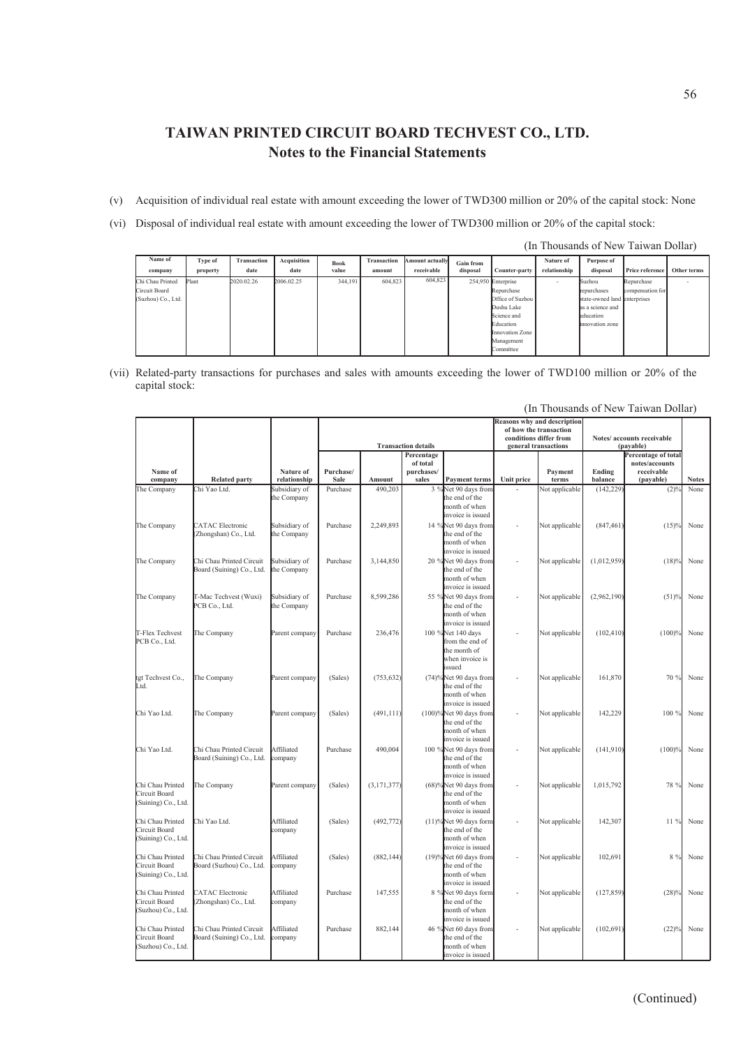- (v) Acquisition of individual real estate with amount exceeding the lower of TWD300 million or 20% of the capital stock: None
- (vi) Disposal of individual real estate with amount exceeding the lower of TWD300 million or 20% of the capital stock:

| (In Thousands of New Taiwan Dollar) |          |                    |             |             |                    |                 |                  |                    |              |                              |                  |             |
|-------------------------------------|----------|--------------------|-------------|-------------|--------------------|-----------------|------------------|--------------------|--------------|------------------------------|------------------|-------------|
| Name of                             | Type of  | <b>Transaction</b> | Acquisition | <b>Book</b> | <b>Transaction</b> | Amount actually | <b>Gain from</b> |                    | Nature of    | Purpose of                   |                  |             |
| company                             | property | date               | date        | value       | amount             | receivable      | disposal         | Counter-party      | relationship | disposal                     | Price reference  | Other terms |
| Chi Chau Printed                    | Plant    | 2020.02.26         | 2006.02.25  | 344,191     | 604.823            | 604,823         |                  | 254,950 Enterprise |              | Suzhou                       | Repurchase       |             |
| Circuit Board                       |          |                    |             |             |                    |                 |                  | Repurchase         |              | repurchases                  | compensation for |             |
| (Suzhou) Co., Ltd.                  |          |                    |             |             |                    |                 |                  | Office of Suzhou   |              | state-owned land enterprises |                  |             |
|                                     |          |                    |             |             |                    |                 |                  | Dushu Lake         |              | as a science and             |                  |             |
|                                     |          |                    |             |             |                    |                 |                  | Science and        |              | education                    |                  |             |
|                                     |          |                    |             |             |                    |                 |                  | Education          |              | innovation zone              |                  |             |
|                                     |          |                    |             |             |                    |                 |                  | Innovation Zone    |              |                              |                  |             |
|                                     |          |                    |             |             |                    |                 |                  | Management         |              |                              |                  |             |
|                                     |          |                    |             |             |                    |                 |                  | Committee          |              |                              |                  |             |

(vii) Related-party transactions for purchases and sales with amounts exceeding the lower of TWD100 million or 20% of the capital stock:

|                                                          |                                                       |                              |                   |               | <b>Transaction details</b>                    |                                                                                   |                   | <b>Reasons why and description</b><br>of how the transaction<br>conditions differ from<br>general transactions | Notes/ accounts receivable |                                                                               |              |
|----------------------------------------------------------|-------------------------------------------------------|------------------------------|-------------------|---------------|-----------------------------------------------|-----------------------------------------------------------------------------------|-------------------|----------------------------------------------------------------------------------------------------------------|----------------------------|-------------------------------------------------------------------------------|--------------|
| Name of<br>company                                       | <b>Related party</b>                                  | Nature of<br>relationship    | Purchase/<br>Sale | Amount        | Percentage<br>of total<br>purchases/<br>sales | <b>Payment terms</b>                                                              | <b>Unit price</b> | Payment<br>terms                                                                                               | Ending<br>balance          | (payable)<br>Percentage of total<br>notes/accounts<br>receivable<br>(payable) | <b>Notes</b> |
| The Company                                              | Chi Yao Ltd.                                          | Subsidiary of<br>the Company | Purchase          | 490,203       |                                               | 3 %Net 90 days from<br>the end of the<br>month of when<br>invoice is issued       |                   | Not applicable                                                                                                 | (142, 229)                 | $(2)$ <sup>0</sup>                                                            | None         |
| The Company                                              | <b>CATAC</b> Electronic<br>(Zhongshan) Co., Ltd.      | Subsidiary of<br>the Company | Purchase          | 2,249,893     |                                               | 14 %Net 90 days from<br>the end of the<br>month of when<br>invoice is issued      |                   | Not applicable                                                                                                 | (847, 461)                 | (15)%                                                                         | None         |
| The Company                                              | Chi Chau Printed Circuit<br>Board (Suining) Co., Ltd. | Subsidiary of<br>the Company | Purchase          | 3,144,850     |                                               | 20 %Net 90 days from<br>the end of the<br>month of when<br>invoice is issued      |                   | Not applicable                                                                                                 | (1,012,959)                | (18)%                                                                         | None         |
| The Company                                              | T-Mac Techvest (Wuxi)<br>PCB Co., Ltd.                | Subsidiary of<br>the Company | Purchase          | 8,599,286     |                                               | 55 %Net 90 days from<br>the end of the<br>month of when<br>invoice is issued      |                   | Not applicable                                                                                                 | (2,962,190)                | (51)%                                                                         | None         |
| T-Flex Techvest<br>PCB Co., Ltd.                         | The Company                                           | Parent company               | Purchase          | 236,476       |                                               | 100 %Net 140 days<br>from the end of<br>the month of<br>when invoice is<br>issued |                   | Not applicable                                                                                                 | (102, 410)                 | (100)%                                                                        | None         |
| tgt Techvest Co.,<br>Ltd.                                | The Company                                           | Parent company               | (Sales)           | (753, 632)    |                                               | (74)%Net 90 days from<br>the end of the<br>month of when<br>invoice is issued     |                   | Not applicable                                                                                                 | 161,870                    | 70 %                                                                          | None         |
| Chi Yao Ltd.                                             | The Company                                           | Parent company               | (Sales)           | (491, 111)    |                                               | $(100)$ %Net 90 days from<br>the end of the<br>month of when<br>invoice is issued |                   | Not applicable                                                                                                 | 142,229                    | 100 %                                                                         | None         |
| Chi Yao Ltd.                                             | Chi Chau Printed Circuit<br>Board (Suining) Co., Ltd. | Affiliated<br>company        | Purchase          | 490,004       |                                               | 100 %Net 90 days from<br>the end of the<br>month of when<br>invoice is issued     |                   | Not applicable                                                                                                 | (141, 910)                 | (100)%                                                                        | None         |
| Chi Chau Printed<br>Circuit Board<br>(Suining) Co., Ltd. | The Company                                           | Parent company               | (Sales)           | (3, 171, 377) |                                               | (68)%Net 90 days from<br>the end of the<br>month of when<br>invoice is issued     |                   | Not applicable                                                                                                 | 1,015,792                  | 78 %                                                                          | None         |
| Chi Chau Printed<br>Circuit Board<br>(Suining) Co., Ltd. | Chi Yao Ltd.                                          | Affiliated<br>company        | (Sales)           | (492, 772)    |                                               | $(11)$ %Net 90 days form<br>the end of the<br>month of when<br>invoice is issued  |                   | Not applicable                                                                                                 | 142,307                    | 11%                                                                           | None         |
| Chi Chau Printed<br>Circuit Board<br>(Suining) Co., Ltd. | Chi Chau Printed Circuit<br>Board (Suzhou) Co., Ltd.  | Affiliated<br>company        | (Sales)           | (882, 144)    |                                               | $(19)$ %Net 60 days from<br>the end of the<br>month of when<br>invoice is issued  |                   | Not applicable                                                                                                 | 102,691                    | 8 %                                                                           | None         |
| Chi Chau Printed<br>Circuit Board<br>Suzhou) Co., Ltd.   | <b>CATAC</b> Electronic<br>(Zhongshan) Co., Ltd.      | Affiliated<br>company        | Purchase          | 147,555       |                                               | 8 %Net 90 days form<br>the end of the<br>month of when<br>invoice is issued       |                   | Not applicable                                                                                                 | (127, 859)                 | (28)%                                                                         | None         |
| Chi Chau Printed<br>Circuit Board<br>(Suzhou) Co., Ltd.  | Chi Chau Printed Circuit<br>Board (Suining) Co., Ltd. | Affiliated<br>company        | Purchase          | 882,144       |                                               | 46 %Net 60 days from<br>the end of the<br>month of when<br>invoice is issued      |                   | Not applicable                                                                                                 | (102, 691)                 | (22)%                                                                         | None         |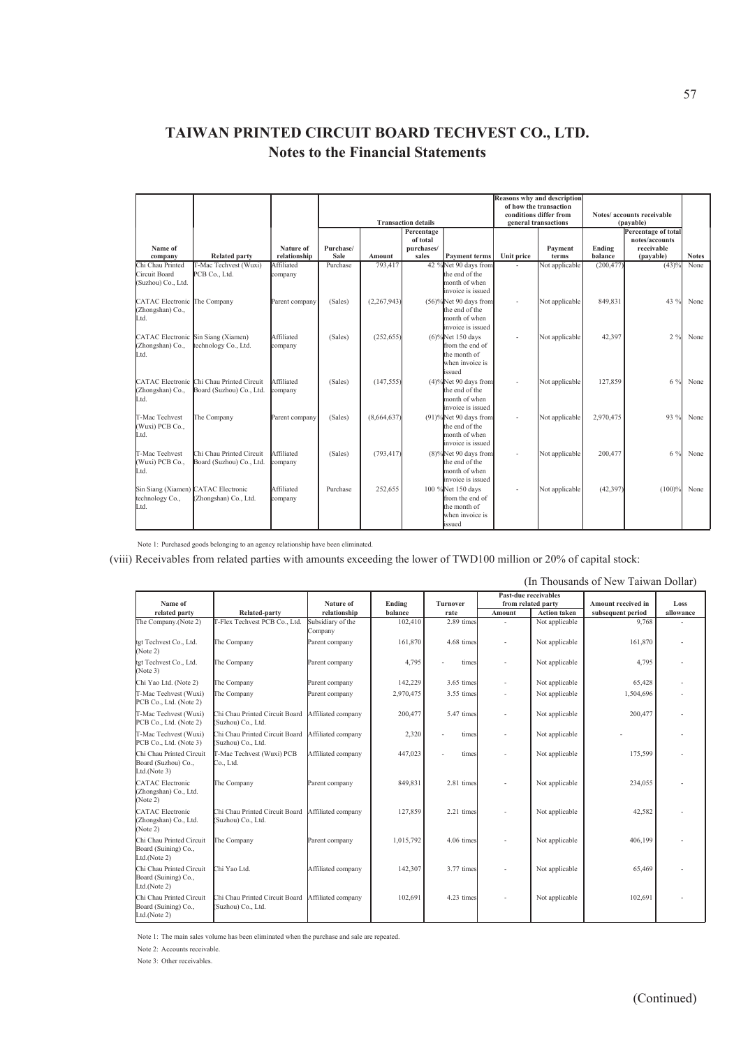|                                                          |                                                                       |                           | <b>Transaction details</b> |             |                                               |                                                                                      |            | <b>Reasons why and description</b><br>of how the transaction<br>conditions differ from<br>general transactions |                   | Notes/accounts receivable<br>(pavable)                           |              |
|----------------------------------------------------------|-----------------------------------------------------------------------|---------------------------|----------------------------|-------------|-----------------------------------------------|--------------------------------------------------------------------------------------|------------|----------------------------------------------------------------------------------------------------------------|-------------------|------------------------------------------------------------------|--------------|
| Name of<br>company                                       | <b>Related party</b>                                                  | Nature of<br>relationship | Purchase/<br>Sale          | Amount      | Percentage<br>of total<br>purchases/<br>sales | <b>Payment terms</b>                                                                 | Unit price | Payment<br>terms                                                                                               | Ending<br>balance | Percentage of total<br>notes/accounts<br>receivable<br>(payable) | <b>Notes</b> |
| Chi Chau Printed                                         | T-Mac Techvest (Wuxi)                                                 | Affiliated                | Purchase                   | 793,417     |                                               | 42 %Net 90 days from                                                                 |            | Not applicable                                                                                                 | (200, 477)        | (43)%                                                            | None         |
| Circuit Board<br>(Suzhou) Co., Ltd.                      | PCB Co., Ltd.                                                         | company                   |                            |             |                                               | the end of the<br>month of when<br>invoice is issued                                 |            |                                                                                                                |                   |                                                                  |              |
| CATAC Electronic The Company<br>(Zhongshan) Co.,<br>Ltd. |                                                                       | Parent company            | (Sales)                    | (2,267,943) |                                               | $(56)\%$ Net 90 days from<br>the end of the<br>month of when<br>invoice is issued    |            | Not applicable                                                                                                 | 849,831           | 43 %                                                             | None         |
| (Zhongshan) Co.,<br>Ltd.                                 | CATAC Electronic Sin Siang (Xiamen)<br>technology Co., Ltd.           | Affiliated<br>company     | (Sales)                    | (252, 655)  |                                               | $(6)\%$ Net 150 days<br>from the end of<br>the month of<br>when invoice is<br>issued |            | Not applicable                                                                                                 | 42,397            | $2\frac{9}{6}$                                                   | None         |
| (Zhongshan) Co.,<br>Ltd.                                 | CATAC Electronic Chi Chau Printed Circuit<br>Board (Suzhou) Co., Ltd. | Affiliated<br>company     | (Sales)                    | (147, 555)  |                                               | $(4)$ %Net 90 days from<br>the end of the<br>month of when<br>invoice is issued      |            | Not applicable                                                                                                 | 127,859           | 6 %                                                              | None         |
| T-Mac Techvest<br>(Wuxi) PCB Co.,<br>Ltd.                | The Company                                                           | Parent company            | (Sales)                    | (8,664,637) |                                               | $(91)$ %Net 90 days from<br>the end of the<br>month of when<br>invoice is issued     |            | Not applicable                                                                                                 | 2,970,475         | 93 %                                                             | None         |
| T-Mac Techvest<br>(Wuxi) PCB Co.,<br>Ltd.                | Chi Chau Printed Circuit<br>Board (Suzhou) Co., Ltd.                  | Affiliated<br>company     | (Sales)                    | (793, 417)  |                                               | $(8)$ %Net 90 days from<br>the end of the<br>month of when<br>invoice is issued      |            | Not applicable                                                                                                 | 200,477           | 6 %                                                              | None         |
| technology Co.,<br>Ltd.                                  | Sin Siang (Xiamen) CATAC Electronic<br>(Zhongshan) Co., Ltd.          | Affiliated<br>company     | Purchase                   | 252,655     |                                               | 100 %Net 150 days<br>from the end of<br>the month of<br>when invoice is<br>issued    |            | Not applicable                                                                                                 | (42, 397)         | (100)%                                                           | None         |

Note 1: Purchased goods belonging to an agency relationship have been eliminated.

(viii) Receivables from related parties with amounts exceeding the lower of TWD100 million or 20% of capital stock:

|                                                                  | (In Thousands of New Taiwan Dollar)                  |                              |           |                 |                      |                     |                    |           |  |  |
|------------------------------------------------------------------|------------------------------------------------------|------------------------------|-----------|-----------------|----------------------|---------------------|--------------------|-----------|--|--|
| Name of                                                          |                                                      | Nature of                    | Ending    | <b>Turnover</b> | Past-due receivables | from related party  | Amount received in | Loss      |  |  |
| related party                                                    | Related-party                                        | relationship                 | balance   | rate            | Amount               | <b>Action taken</b> | subsequent period  | allowance |  |  |
| The Company.(Note 2)                                             | T-Flex Techvest PCB Co., Ltd.                        | Subsidiary of the<br>Company | 102,410   | 2.89 times      |                      | Not applicable      | 9.768              |           |  |  |
| tgt Techvest Co., Ltd.<br>(Note 2)                               | The Company                                          | Parent company               | 161,870   | 4.68 times      |                      | Not applicable      | 161,870            |           |  |  |
| tgt Techvest Co., Ltd.<br>(Note 3)                               | The Company                                          | Parent company               | 4,795     | times           |                      | Not applicable      | 4,795              |           |  |  |
| Chi Yao Ltd. (Note 2)                                            | The Company                                          | Parent company               | 142,229   | 3.65 times      |                      | Not applicable      | 65,428             |           |  |  |
| T-Mac Techvest (Wuxi)<br>PCB Co., Ltd. (Note 2)                  | The Company                                          | Parent company               | 2,970,475 | 3.55 times      |                      | Not applicable      | 1,504,696          |           |  |  |
| T-Mac Techvest (Wuxi)<br>PCB Co., Ltd. (Note 2)                  | Chi Chau Printed Circuit Board<br>(Suzhou) Co., Ltd. | Affiliated company           | 200,477   | 5.47 times      |                      | Not applicable      | 200,477            |           |  |  |
| T-Mac Techvest (Wuxi)<br>PCB Co., Ltd. (Note 3)                  | Chi Chau Printed Circuit Board<br>(Suzhou) Co., Ltd. | Affiliated company           | 2,320     | times           |                      | Not applicable      |                    |           |  |  |
| Chi Chau Printed Circuit<br>Board (Suzhou) Co.,<br>Ltd.(Note 3)  | <b>T-Mac Techvest (Wuxi) PCB</b><br>Co., Ltd.        | Affiliated company           | 447,023   | times           |                      | Not applicable      | 175,599            |           |  |  |
| CATAC Electronic<br>(Zhongshan) Co., Ltd.<br>(Note 2)            | The Company                                          | Parent company               | 849,831   | 2.81 times      |                      | Not applicable      | 234,055            |           |  |  |
| CATAC Electronic<br>(Zhongshan) Co., Ltd.<br>(Note 2)            | Chi Chau Printed Circuit Board<br>(Suzhou) Co., Ltd. | Affiliated company           | 127,859   | 2.21 times      |                      | Not applicable      | 42,582             |           |  |  |
| Chi Chau Printed Circuit<br>Board (Suining) Co.,<br>Ltd.(Note 2) | The Company                                          | Parent company               | 1,015,792 | 4.06 times      |                      | Not applicable      | 406,199            |           |  |  |
| Chi Chau Printed Circuit<br>Board (Suining) Co.,<br>Ltd.(Note 2) | Chi Yao Ltd.                                         | Affiliated company           | 142,307   | 3.77 times      |                      | Not applicable      | 65,469             |           |  |  |
| Chi Chau Printed Circuit<br>Board (Suining) Co.,<br>Ltd.(Note 2) | Chi Chau Printed Circuit Board<br>(Suzhou) Co., Ltd. | Affiliated company           | 102,691   | 4.23 times      |                      | Not applicable      | 102,691            |           |  |  |

Note 1: The main sales volume has been eliminated when the purchase and sale are repeated.

Note 2: Accounts receivable.

Note 3: Other receivables.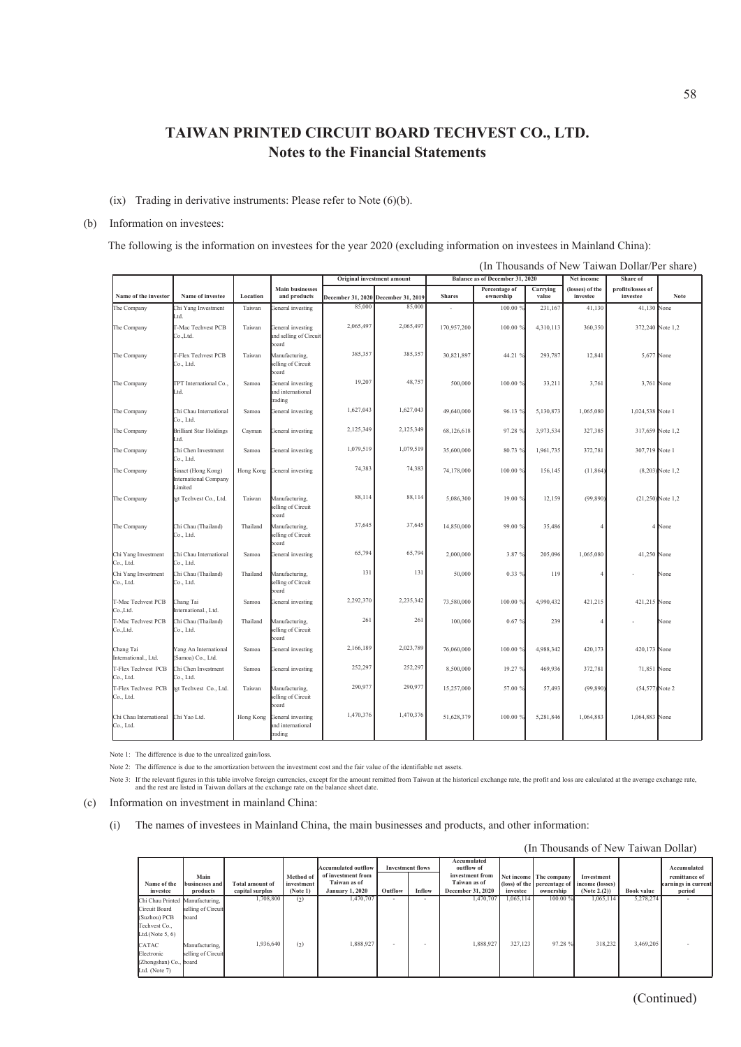#### (ix) Trading in derivative instruments: Please refer to Note  $(6)(b)$ .

#### (b) Information on investees:

The following is the information on investees for the year 2020 (excluding information on investees in Mainland China):

|                                     |                                                        |           |                                                      | Original investment amount          |           |               | Balance as of December 31, 2020 |                   | Net income                  | Share of                      |                    |
|-------------------------------------|--------------------------------------------------------|-----------|------------------------------------------------------|-------------------------------------|-----------|---------------|---------------------------------|-------------------|-----------------------------|-------------------------------|--------------------|
| Name of the investor                | Name of investee                                       | Location  | <b>Main businesses</b><br>and products               | December 31, 2020 December 31, 2019 |           | <b>Shares</b> | Percentage of<br>ownership      | Carrying<br>value | (losses) of the<br>investee | profits/losses of<br>investee | Note               |
| The Company                         | Chi Yang Investment<br>Ltd.                            | Taiwan    | General investing                                    | 85,000                              | 85,000    |               | 100.00 %                        | 231,167           | 41,130                      | 41,130 None                   |                    |
| The Company                         | T-Mac Techvest PCB<br>Co.,Ltd.                         | Taiwan    | General investing<br>and selling of Circuit<br>board | 2,065,497                           | 2,065,497 | 170,957,200   | 100.00 %                        | 4,310,113         | 360,350                     | 372,240 Note 1,2              |                    |
| The Company                         | T-Flex Techvest PCB<br>Co., Ltd.                       | Taiwan    | Manufacturing,<br>selling of Circuit<br>board        | 385,357                             | 385,357   | 30,821,897    | 44.21 %                         | 293,787           | 12,841                      | 5,677 None                    |                    |
| The Company                         | TPT International Co.,<br>Ltd.                         | Samoa     | General investing<br>and international<br>trading    | 19,207                              | 48,757    | 500,000       | 100.00 %                        | 33,211            | 3,761                       | 3,761 None                    |                    |
| The Company                         | Chi Chau International<br>Co., Ltd.                    | Samoa     | General investing                                    | 1,627,043                           | 1,627,043 | 49,640,000    | 96.13%                          | 5,130,873         | 1,065,080                   | 1,024,538 Note 1              |                    |
| The Company                         | <b>Brilliant Star Holdings</b><br>Ltd.                 | Cayman    | General investing                                    | 2,125,349                           | 2,125,349 | 68,126,618    | 97.28 %                         | 3,973,534         | 327,385                     | 317,659 Note 1,2              |                    |
| The Company                         | Chi Chen Investment<br>Co., Ltd.                       | Samoa     | General investing                                    | 1,079,519                           | 1,079,519 | 35,600,000    | 80.73 %                         | 1,961,735         | 372,781                     | 307,719 Note 1                |                    |
| The Company                         | Sinact (Hong Kong)<br>International Company<br>Limited | Hong Kong | General investing                                    | 74,383                              | 74,383    | 74,178,000    | 100.00 %                        | 156,145           | (11, 864)                   |                               | $(8,203)$ Note 1,2 |
| The Company                         | tgt Techvest Co., Ltd.                                 | Taiwan    | Manufacturing,<br>selling of Circuit<br>board        | 88,114                              | 88,114    | 5,086,300     | 19.00 %                         | 12,159            | (99, 890)                   | $(21,250)$ Note 1,2           |                    |
| The Company                         | Chi Chau (Thailand)<br>Co., Ltd.                       | Thailand  | Manufacturing,<br>selling of Circuit<br>board        | 37,645                              | 37,645    | 14,850,000    | 99.00 %                         | 35,486            | 4                           |                               | 4 None             |
| Chi Yang Investment<br>Co., Ltd.    | Chi Chau International<br>Co., Ltd.                    | Samoa     | General investing                                    | 65,794                              | 65,794    | 2,000,000     | 3.87 %                          | 205,096           | 1,065,080                   | 41,250 None                   |                    |
| Chi Yang Investment<br>Co., Ltd.    | Chi Chau (Thailand)<br>Co., Ltd.                       | Thailand  | Manufacturing,<br>selling of Circuit<br>board        | 131                                 | 131       | 50,000        | 0.33 %                          | 119               | 4                           |                               | None               |
| T-Mac Techvest PCB<br>Co.,Ltd.      | Chang Tai<br>International., Ltd.                      | Samoa     | General investing                                    | 2,292,370                           | 2,235,342 | 73,580,000    | 100.00 %                        | 4,990,432         | 421,215                     | 421,215 None                  |                    |
| T-Mac Techvest PCB<br>Co.,Ltd.      | Chi Chau (Thailand)<br>Co., Ltd.                       | Thailand  | Manufacturing,<br>selling of Circuit<br>board        | 261                                 | 261       | 100,000       | 0.67%                           | 239               | 4                           |                               | None               |
| Chang Tai<br>International., Ltd.   | Yang An International<br>(Samoa) Co., Ltd.             | Samoa     | General investing                                    | 2,166,189                           | 2,023,789 | 76,060,000    | 100.00 %                        | 4,988,342         | 420,173                     | 420,173 None                  |                    |
| T-Flex Techvest PCB<br>Co., Ltd.    | Chi Chen Investment<br>Co., Ltd.                       | Samoa     | General investing                                    | 252,297                             | 252,297   | 8,500,000     | 19.27 %                         | 469,936           | 372,781                     | 71,851 None                   |                    |
| T-Flex Techvest PCB<br>Co., Ltd.    | tgt Techvest Co., Ltd.                                 | Taiwan    | Manufacturing,<br>selling of Circuit<br>board        | 290,977                             | 290,977   | 15,257,000    | 57.00 %                         | 57,493            | (99, 890)                   | (54,577) Note 2               |                    |
| Chi Chau International<br>Co., Ltd. | Chi Yao Ltd.                                           | Hong Kong | General investing<br>and international<br>trading    | 1,470,376                           | 1,470,376 | 51,628,379    | 100.00 %                        | 5,281,846         | 1,064,883                   | 1,064,883 None                |                    |

Note 1: The difference is due to the unrealized gain/loss.

Note 2: The difference is due to the amortization between the investment cost and the fair value of the identifiable net assets.

Note 3: If the relevant figures in this table involve foreign currencies, except for the amount remitted from Taiwan at the historical exchange rate, the profit and loss are calculated at the average exchange rate<br>and the

(c) Information on investment in mainland China:

(i) The names of investees in Mainland China, the main businesses and products, and other information:

|                                                                |                                      |                        |                        |                                                                  |         |                          |                                                              |           |                        | (In Thousands of New Taiwan Dollar)                       |                   |                                                     |
|----------------------------------------------------------------|--------------------------------------|------------------------|------------------------|------------------------------------------------------------------|---------|--------------------------|--------------------------------------------------------------|-----------|------------------------|-----------------------------------------------------------|-------------------|-----------------------------------------------------|
| Name of the                                                    | Main<br>businesses and               | <b>Total amount of</b> | Method of              | <b>Accumulated outflow</b><br>of investment from<br>Taiwan as of |         | <b>Investment flows</b>  | Accumulated<br>outflow of<br>investment from<br>Taiwan as of |           | Net income The company | Investment<br>(loss) of the percentage of income (losses) |                   | Accumulated<br>remittance of<br>earnings in current |
| investee                                                       | products                             | capital surplus        | investment<br>(Note 1) | <b>January 1, 2020</b>                                           | Outflow | Inflow                   | <b>December 31, 2020</b>                                     | investee  | ownership              | (Note $2.(2)$ )                                           | <b>Book value</b> | period                                              |
| Chi Chau Printed Manufacturing,<br>Circuit Board               | selling of Circuit                   | 1,708,800              | (2)                    | 1,470,707                                                        | $\sim$  | $\overline{\phantom{a}}$ | 1,470,707                                                    | 1.065.114 | 100.00 %               | 1.065.114                                                 | 5.278.274         | $\sim$                                              |
| (Suzhou) PCB                                                   | board                                |                        |                        |                                                                  |         |                          |                                                              |           |                        |                                                           |                   |                                                     |
| Techvest Co.,<br>Ltd.(Note $5, 6$ )                            |                                      |                        |                        |                                                                  |         |                          |                                                              |           |                        |                                                           |                   |                                                     |
| CATAC<br>Electronic<br>(Zhongshan) Co., board<br>Ltd. (Note 7) | Manufacturing,<br>selling of Circuit | 1,936,640              | (2)                    | 1,888,927                                                        | $\sim$  |                          | 1,888,927                                                    | 327,123   | 97.28 %                | 318,232                                                   | 3.469.205         |                                                     |

(In Thousands of New Taiwan Dollar/Per share)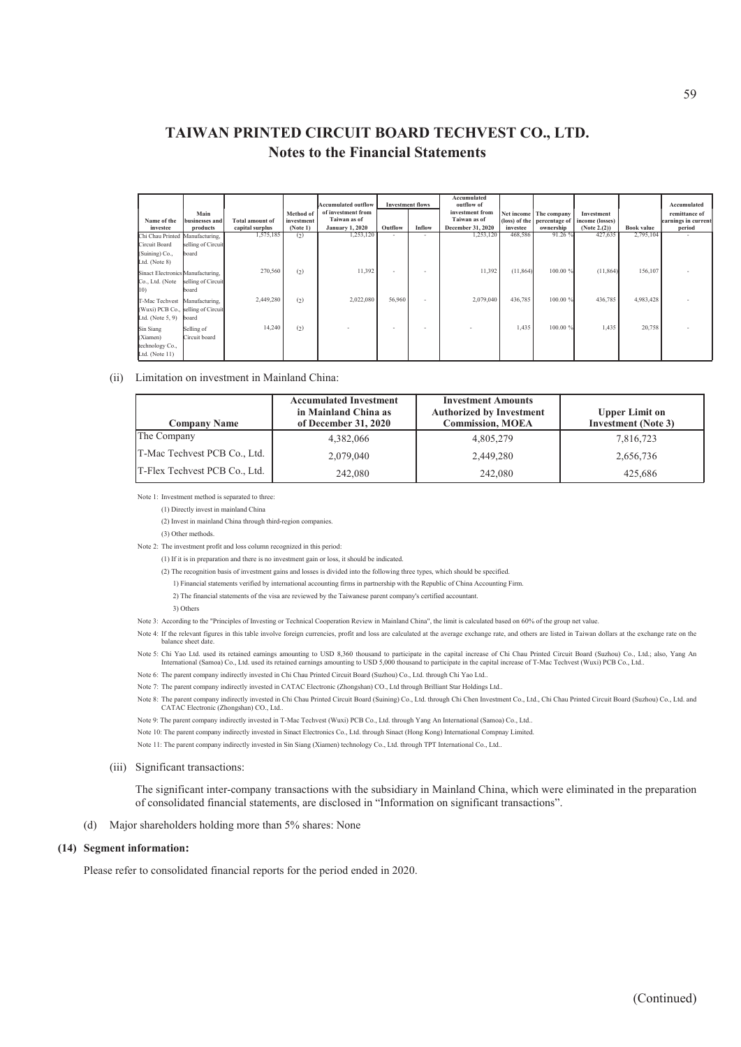| Name of the                                                                         | Main<br>businesses and      | <b>Total amount of</b> | Method of<br>investment | <b>Accumulated outflow</b><br>of investment from<br>Taiwan as of |         | <b>Investment flows</b> | Accumulated<br>outflow of<br>investment from<br>Taiwan as of |           | Net income The company | Investment<br>(loss) of the percentage of lincome (losses) |                   | Accumulated<br>remittance of<br>earnings in curren |
|-------------------------------------------------------------------------------------|-----------------------------|------------------------|-------------------------|------------------------------------------------------------------|---------|-------------------------|--------------------------------------------------------------|-----------|------------------------|------------------------------------------------------------|-------------------|----------------------------------------------------|
| investee                                                                            | products                    | capital surplus        | (Note 1)                | <b>January 1, 2020</b>                                           | Outflow | Inflow                  | December 31, 2020                                            | investee  | ownership              | (Note 2.(2))                                               | <b>Book value</b> | period                                             |
| Chi Chau Printed Manufacturing,<br>Circuit Board<br>(Suining) Co.,<br>Ltd. (Note 8) | selling of Circuit<br>board | 1,575,185              | (2)                     | 1,253,120                                                        | $\sim$  | $\sim$                  | 1,253,120                                                    | 468,586   | 91.26 %                | 427,635                                                    | 2,795,104         | $\sim$                                             |
| Sinact Electronics Manufacturing,<br>Co., Ltd. (Note<br>10)                         | selling of Circuit<br>board | 270,560                | (2)                     | 11,392                                                           | $\sim$  | $\sim$                  | 11,392                                                       | (11, 864) | 100.00 %               | (11, 864)                                                  | 156,107           |                                                    |
| T-Mac Techvest<br>(Wuxi) PCB Co., selling of Circuit<br>Ltd. (Note $5, 9$ )         | Manufacturing,<br>board     | 2,449,280              | (2)                     | 2,022,080                                                        | 56,960  | ٠                       | 2,079,040                                                    | 436,785   | 100.00 %               | 436,785                                                    | 4,983,428         |                                                    |
| Sin Siang<br>(Xiamen)<br>technology Co.,<br>Ltd. (Note 11)                          | Selling of<br>Circuit board | 14,240                 | (2)                     |                                                                  | $\sim$  | ٠                       |                                                              | 1,435     | 100.00 %               | 1,435                                                      | 20,758            |                                                    |

#### (ii) Limitation on investment in Mainland China:

| <b>Company Name</b>           | <b>Accumulated Investment</b><br>in Mainland China as<br>of December 31, 2020 | <b>Investment Amounts</b><br><b>Authorized by Investment</b><br><b>Commission, MOEA</b> | <b>Upper Limit on</b><br><b>Investment</b> (Note 3) |
|-------------------------------|-------------------------------------------------------------------------------|-----------------------------------------------------------------------------------------|-----------------------------------------------------|
| The Company                   | 4.382,066                                                                     | 4,805,279                                                                               | 7,816,723                                           |
| T-Mac Techvest PCB Co., Ltd.  | 2,079,040                                                                     | 2,449,280                                                                               | 2,656,736                                           |
| T-Flex Techvest PCB Co., Ltd. | 242,080                                                                       | 242,080                                                                                 | 425,686                                             |

Note 1: Investment method is separated to three:

(1) Directly invest in mainland China

(2) Invest in mainland China through third-region companies.

(3) Other methods.

Note 2: The investment profit and loss column recognized in this period:

(1) If it is in preparation and there is no investment gain or loss, it should be indicated.

(2) The recognition basis of investment gains and losses is divided into the following three types, which should be specified.

1) Financial statements verified by international accounting firms in partnership with the Republic of China Accounting Firm.

2) The financial statements of the visa are reviewed by the Taiwanese parent company's certified accountant.

3) Others

Note 3: According to the "Principles of Investing or Technical Cooperation Review in Mainland China", the limit is calculated based on 60% of the group net value.

Note 4: If the relevant figures in this table involve foreign currencies, profit and loss are calculated at the average exchange rate, and others are listed in Taiwan dollars at the exchange rate on the alance sheet date.

Note 5: Chi Yao Ltd. used its retained earnings amounting to USD 8,360 thousand to participate in the capital increase of Chi Chau Printed Circuit Board (Suzhou) Co., Ltd.; also, Yang Ar<br>International (Samoa) Co., Ltd. use

- Note 6: The parent company indirectly invested in Chi Chau Printed Circuit Board (Suzhou) Co., Ltd. through Chi Yao Ltd..
- Note 7: The parent company indirectly invested in CATAC Electronic (Zhongshan) CO., Ltd through Brilliant Star Holdings Ltd..

Note 8: The parent company indirectly invested in Chi Chau Printed Circuit Board (Suining) Co., Ltd. through Chi Chen Investment Co., Ltd., Chi Chau Printed Circuit Board (Suzhou) Co., Ltd. and CATAC Electronic (Zhongshan) CO., Ltd..

Note 9: The parent company indirectly invested in T-Mac Techvest (Wuxi) PCB Co., Ltd. through Yang An International (Samoa) Co., Ltd..

Note 10: The parent company indirectly invested in Sinact Electronics Co., Ltd. through Sinact (Hong Kong) International Compnay Limited.

Note 11: The parent company indirectly invested in Sin Siang (Xiamen) technology Co., Ltd. through TPT International Co., Ltd..

#### (iii) Significant transactions:

The significant inter-company transactions with the subsidiary in Mainland China, which were eliminated in the preparation of consolidated financial statements, are disclosed in "Information on significant transactions".

#### (d) Major shareholders holding more than 5% shares: None

#### **(14) Segment information:**

Please refer to consolidated financial reports for the period ended in 2020.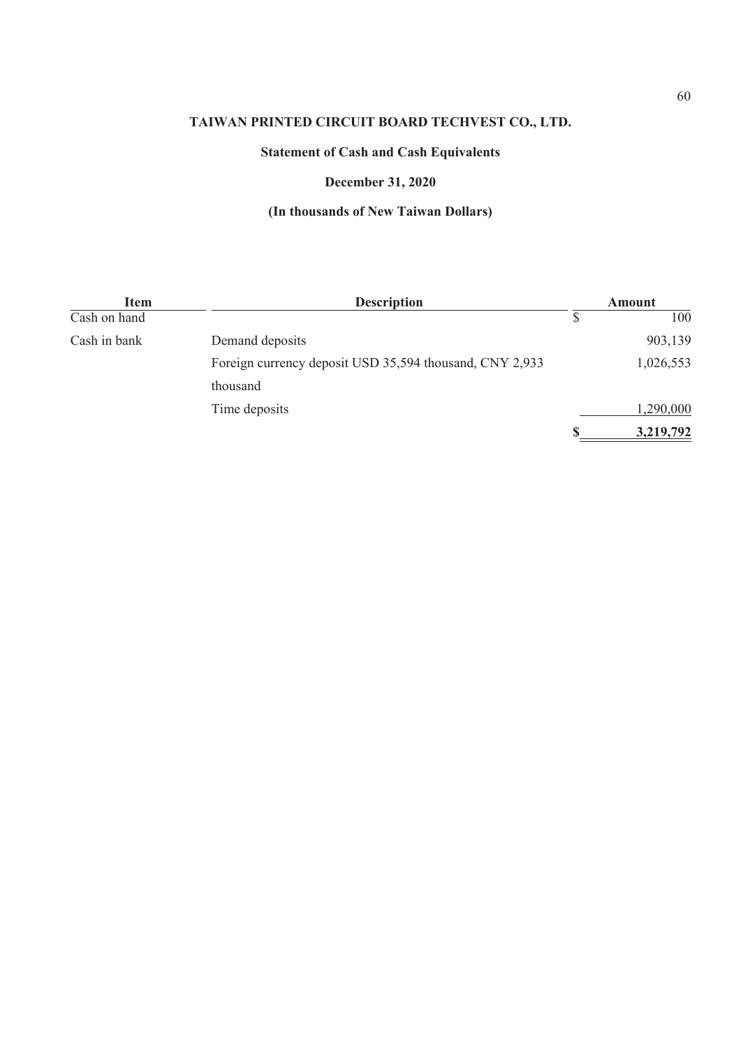# **Statement of Cash and Cash Equivalents**

## **December 31, 2020**

| <b>Item</b>  | <b>Description</b>                                      | Amount |           |  |
|--------------|---------------------------------------------------------|--------|-----------|--|
| Cash on hand |                                                         |        | 100       |  |
| Cash in bank | Demand deposits                                         |        | 903,139   |  |
|              | Foreign currency deposit USD 35,594 thousand, CNY 2,933 |        | 1,026,553 |  |
|              | thousand                                                |        |           |  |
|              | Time deposits                                           |        | 1,290,000 |  |
|              |                                                         |        | 3,219,792 |  |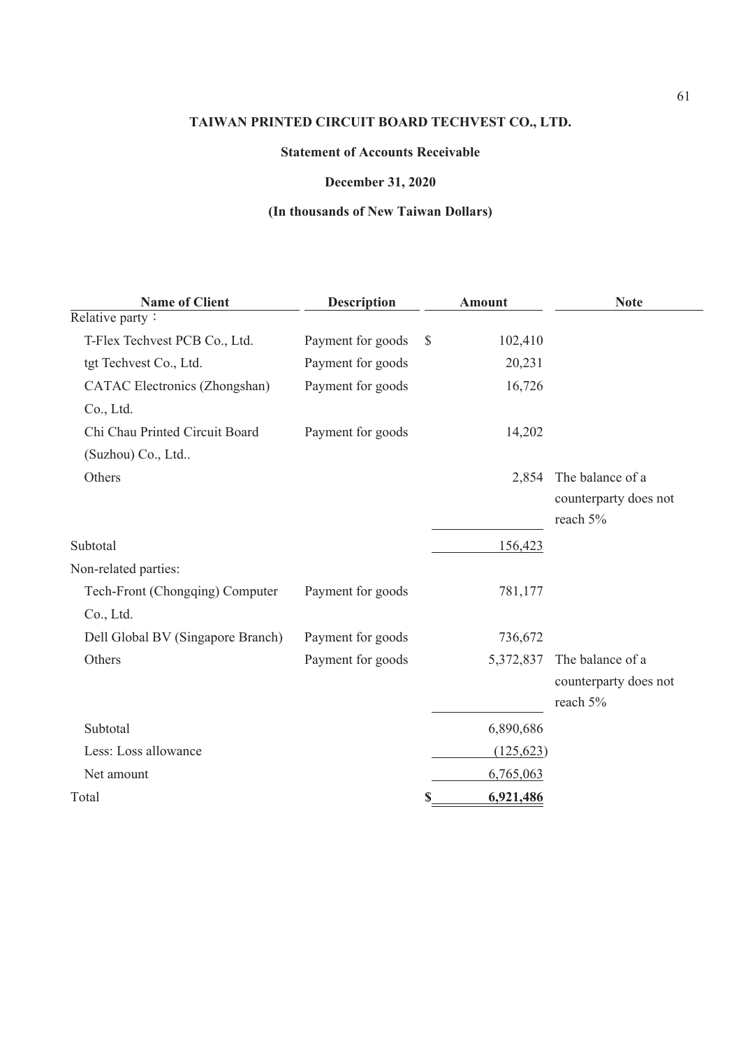## **Statement of Accounts Receivable**

## **December 31, 2020**

| <b>Name of Client</b>                | <b>Description</b> |               | <b>Amount</b> | <b>Note</b>           |
|--------------------------------------|--------------------|---------------|---------------|-----------------------|
| Relative party:                      |                    |               |               |                       |
| T-Flex Techvest PCB Co., Ltd.        | Payment for goods  | $\mathcal{S}$ | 102,410       |                       |
| tgt Techvest Co., Ltd.               | Payment for goods  |               | 20,231        |                       |
| <b>CATAC Electronics (Zhongshan)</b> | Payment for goods  |               | 16,726        |                       |
| Co., Ltd.                            |                    |               |               |                       |
| Chi Chau Printed Circuit Board       | Payment for goods  |               | 14,202        |                       |
| (Suzhou) Co., Ltd                    |                    |               |               |                       |
| Others                               |                    |               | 2,854         | The balance of a      |
|                                      |                    |               |               | counterparty does not |
|                                      |                    |               |               | reach 5%              |
| Subtotal                             |                    |               | 156,423       |                       |
| Non-related parties:                 |                    |               |               |                       |
| Tech-Front (Chongqing) Computer      | Payment for goods  |               | 781,177       |                       |
| Co., Ltd.                            |                    |               |               |                       |
| Dell Global BV (Singapore Branch)    | Payment for goods  |               | 736,672       |                       |
| Others                               | Payment for goods  |               | 5,372,837     | The balance of a      |
|                                      |                    |               |               | counterparty does not |
|                                      |                    |               |               | reach 5%              |
| Subtotal                             |                    |               | 6,890,686     |                       |
| Less: Loss allowance                 |                    |               | (125, 623)    |                       |
| Net amount                           |                    |               | 6,765,063     |                       |
| Total                                |                    | \$            | 6,921,486     |                       |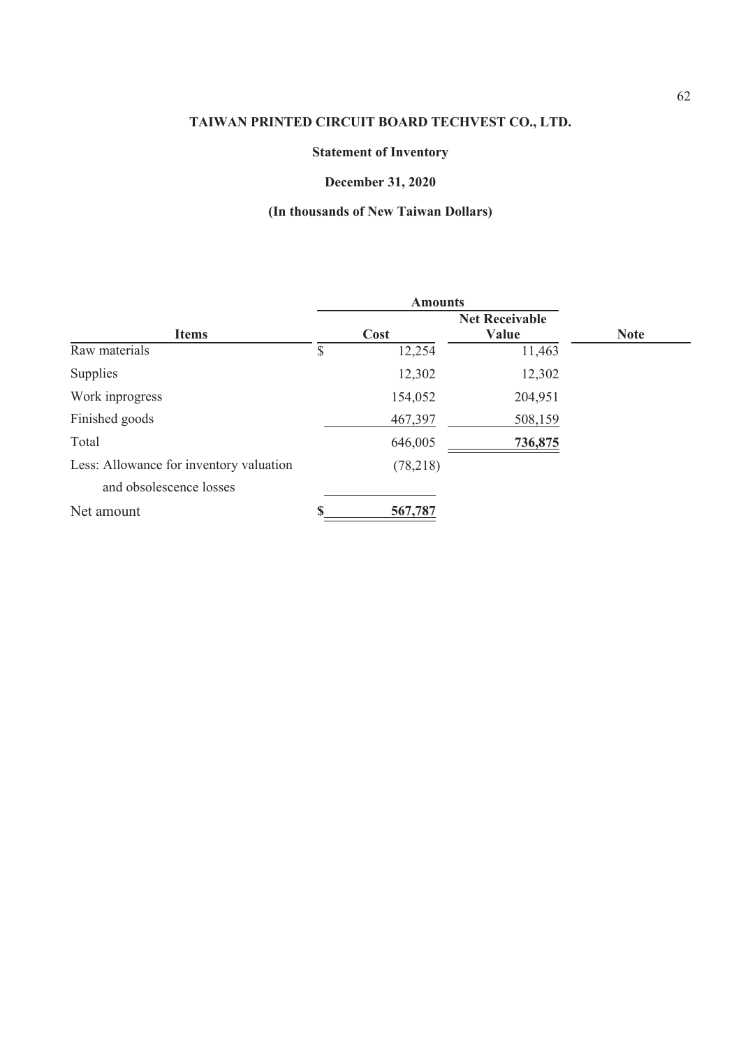# **Statement of Inventory**

# **December 31, 2020**

|                                         |      | <b>Amounts</b> |         |             |  |
|-----------------------------------------|------|----------------|---------|-------------|--|
|                                         |      |                |         |             |  |
| <b>Items</b>                            | Cost |                | Value   | <b>Note</b> |  |
| Raw materials                           | \$   | 12,254         | 11,463  |             |  |
| Supplies                                |      | 12,302         | 12,302  |             |  |
| Work inprogress                         |      | 154,052        | 204,951 |             |  |
| Finished goods                          |      | 467,397        | 508,159 |             |  |
| Total                                   |      | 646,005        | 736,875 |             |  |
| Less: Allowance for inventory valuation |      | (78,218)       |         |             |  |
| and obsolescence losses                 |      |                |         |             |  |
| Net amount                              |      | 567,787        |         |             |  |
|                                         |      |                |         |             |  |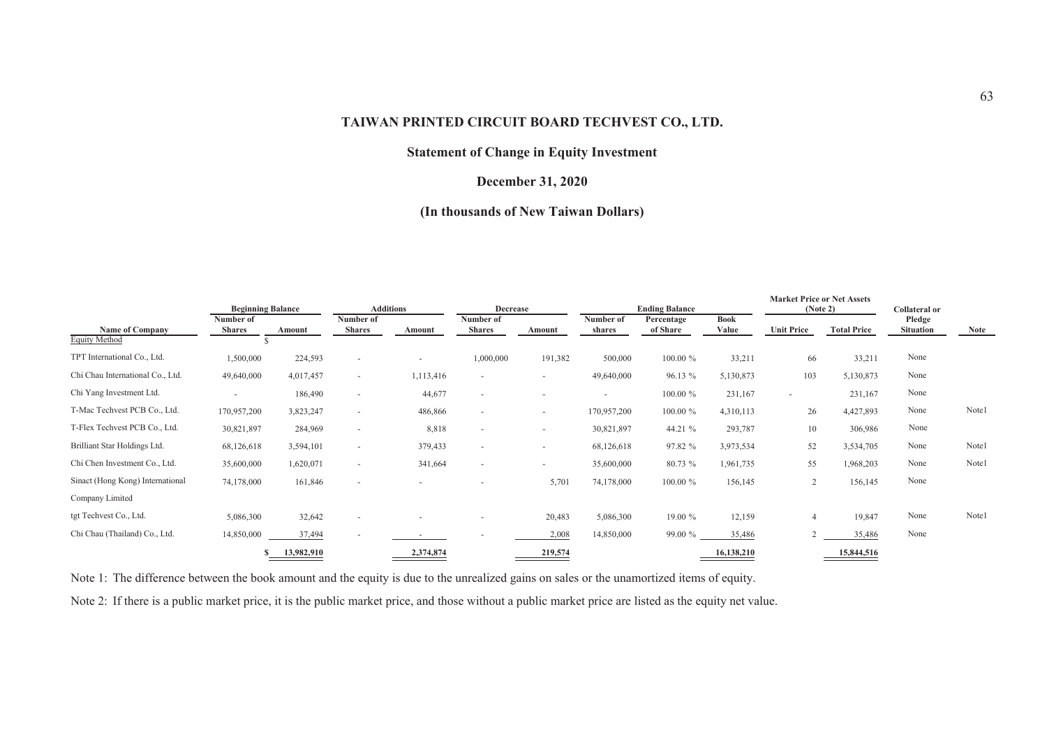## **Statement of Change in Equity Investment**

## **December 31, 2020**

## **(In thousands of New Taiwan Dollars)**

|                                                | <b>Beginning Balance</b>   |            |                            | <b>Additions</b>         | <b>Decrease</b>            |                          |                     | <b>Ending Balance</b>  |                      | <b>Market Price or Net Assets</b><br>(Note 2) |                    | <b>Collateral or</b>       |       |
|------------------------------------------------|----------------------------|------------|----------------------------|--------------------------|----------------------------|--------------------------|---------------------|------------------------|----------------------|-----------------------------------------------|--------------------|----------------------------|-------|
| <b>Name of Company</b><br><b>Equity Method</b> | Number of<br><b>Shares</b> | Amount     | Number of<br><b>Shares</b> | Amount                   | Number of<br><b>Shares</b> | Amount                   | Number of<br>shares | Percentage<br>of Share | <b>Book</b><br>Value | <b>Unit Price</b>                             | <b>Total Price</b> | Pledge<br><b>Situation</b> | Note  |
| TPT International Co., Ltd.                    |                            |            |                            |                          |                            |                          |                     | 100.00 %               |                      |                                               |                    | None                       |       |
|                                                | 1,500,000                  | 224,593    | $\sim$                     | $\overline{\phantom{0}}$ | 1,000,000                  | 191,382                  | 500,000             |                        | 33,211               | 66                                            | 33,211             |                            |       |
| Chi Chau International Co., Ltd.               | 49,640,000                 | 4,017,457  | $\sim$                     | 1,113,416                | $\overline{\phantom{a}}$   | $\sim$                   | 49,640,000          | 96.13 %                | 5,130,873            | 103                                           | 5,130,873          | None                       |       |
| Chi Yang Investment Ltd.                       |                            | 186,490    | $\sim$                     | 44,677                   | $\overline{a}$             | $\overline{\phantom{a}}$ |                     | 100.00 %               | 231,167              | $\overline{\phantom{a}}$                      | 231,167            | None                       |       |
| T-Mac Techvest PCB Co., Ltd.                   | 170,957,200                | 3,823,247  | $\overline{\phantom{a}}$   | 486,866                  | $\sim$                     | $\sim$                   | 170,957,200         | 100.00 %               | 4,310,113            | 26                                            | 4,427,893          | None                       | Note1 |
| T-Flex Techvest PCB Co., Ltd.                  | 30,821,897                 | 284,969    | $\overline{\phantom{a}}$   | 8,818                    | $\overline{a}$             | $\sim$                   | 30,821,897          | 44.21 %                | 293,787              | 10                                            | 306,986            | None                       |       |
| Brilliant Star Holdings Ltd.                   | 68,126,618                 | 3,594,101  | $\overline{\phantom{a}}$   | 379,433                  | $\overline{a}$             | $\overline{\phantom{a}}$ | 68,126,618          | 97.82 %                | 3,973,534            | 52                                            | 3,534,705          | None                       | Note1 |
| Chi Chen Investment Co., Ltd.                  | 35,600,000                 | 1,620,071  |                            | 341,664                  | $\overline{a}$             | $\sim$                   | 35,600,000          | 80.73 %                | 1,961,735            | 55                                            | 1,968,203          | None                       | Note1 |
| Sinact (Hong Kong) International               | 74,178,000                 | 161,846    | $\sim$                     | $\overline{\phantom{a}}$ |                            | 5,701                    | 74,178,000          | 100.00 %               | 156,145              | $\overline{2}$                                | 156,145            | None                       |       |
| Company Limited                                |                            |            |                            |                          |                            |                          |                     |                        |                      |                                               |                    |                            |       |
| tgt Techvest Co., Ltd.                         | 5,086,300                  | 32,642     | $\overline{\phantom{a}}$   |                          |                            | 20,483                   | 5,086,300           | 19.00 %                | 12,159               | $\overline{4}$                                | 19,847             | None                       | Note1 |
| Chi Chau (Thailand) Co., Ltd.                  | 14,850,000                 | 37,494     |                            |                          |                            | 2,008                    | 14,850,000          | 99.00 %                | 35,486               |                                               | 35,486             | None                       |       |
|                                                |                            | 13,982,910 |                            | 2,374,874                |                            | 219,574                  |                     |                        | 16,138,210           |                                               | 15,844,516         |                            |       |

Note 1: The difference between the book amount and the equity is due to the unrealized gains on sales or the unamortized items of equity.

Note 2: If there is a public market price, it is the public market price, and those without a public market price are listed as the equity net value.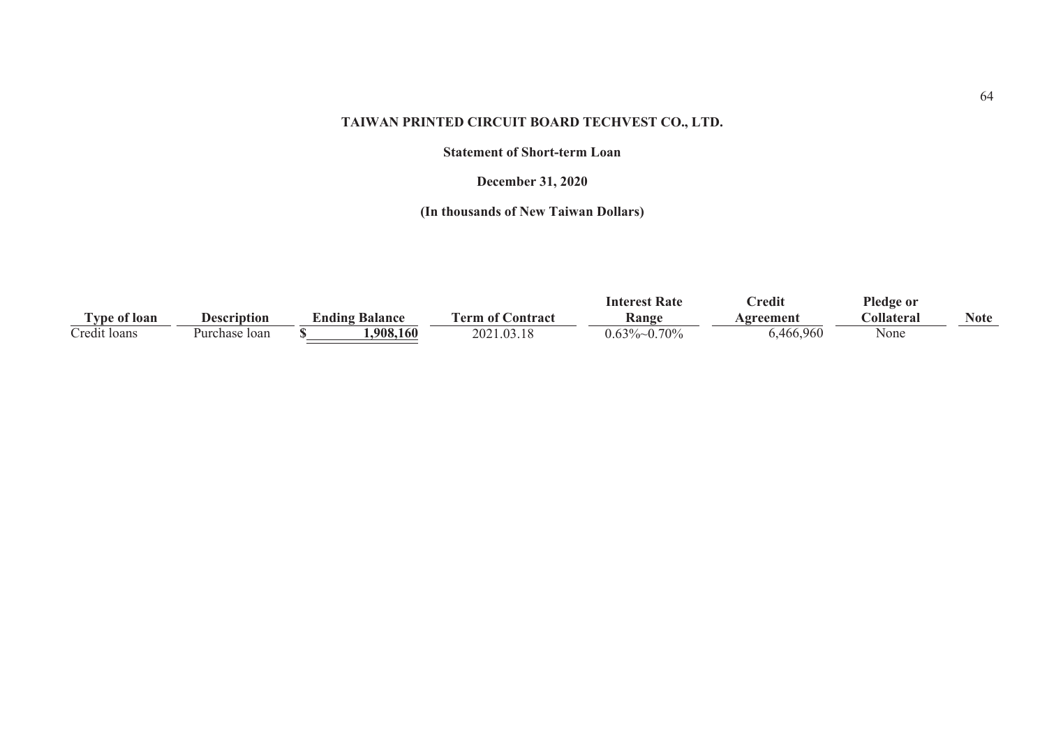#### **Statement of Short-term Loan**

## **December 31, 2020**

|                       |               |                              |                   | Interest Rate     | <b>Predit</b>    | Pledge or         |      |
|-----------------------|---------------|------------------------------|-------------------|-------------------|------------------|-------------------|------|
| ' vne of loan         | Description   | <b><i>L</i>nding Balance</b> | l'erm of Contract | Kange             | <b>\greement</b> | <b>collateral</b> | Note |
| $\sim$<br>redit Ioans | Purchase Ioan | .908.160                     | 2021.03.18        | $0.70\%$<br>J.63Y | ,466,960         | None              |      |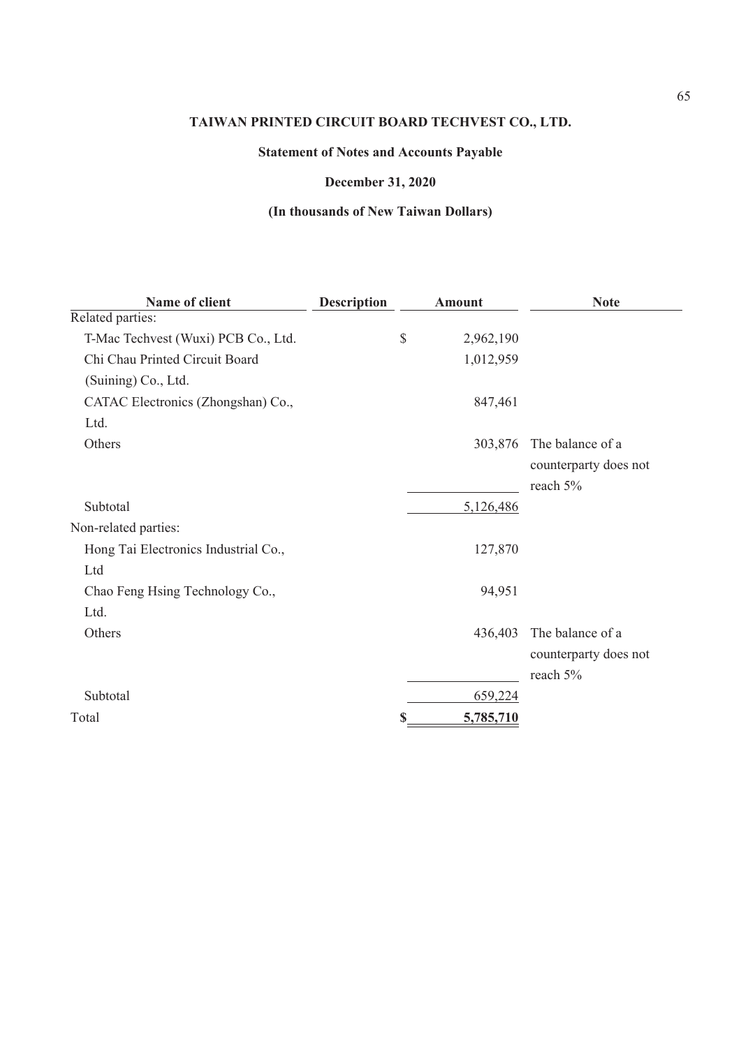# **Statement of Notes and Accounts Payable**

## **December 31, 2020**

| Name of client                       | <b>Description</b> | <b>Amount</b>   | <b>Note</b>           |
|--------------------------------------|--------------------|-----------------|-----------------------|
| Related parties:                     |                    |                 |                       |
| T-Mac Techvest (Wuxi) PCB Co., Ltd.  |                    | \$<br>2,962,190 |                       |
| Chi Chau Printed Circuit Board       |                    | 1,012,959       |                       |
| (Suining) Co., Ltd.                  |                    |                 |                       |
| CATAC Electronics (Zhongshan) Co.,   |                    | 847,461         |                       |
| Ltd.                                 |                    |                 |                       |
| Others                               |                    | 303,876         | The balance of a      |
|                                      |                    |                 | counterparty does not |
|                                      |                    |                 | reach 5%              |
| Subtotal                             |                    | 5,126,486       |                       |
| Non-related parties:                 |                    |                 |                       |
| Hong Tai Electronics Industrial Co., |                    | 127,870         |                       |
| Ltd                                  |                    |                 |                       |
| Chao Feng Hsing Technology Co.,      |                    | 94,951          |                       |
| Ltd.                                 |                    |                 |                       |
| Others                               |                    | 436,403         | The balance of a      |
|                                      |                    |                 | counterparty does not |
|                                      |                    |                 | reach 5%              |
| Subtotal                             |                    | 659,224         |                       |
| Total                                |                    | \$<br>5,785,710 |                       |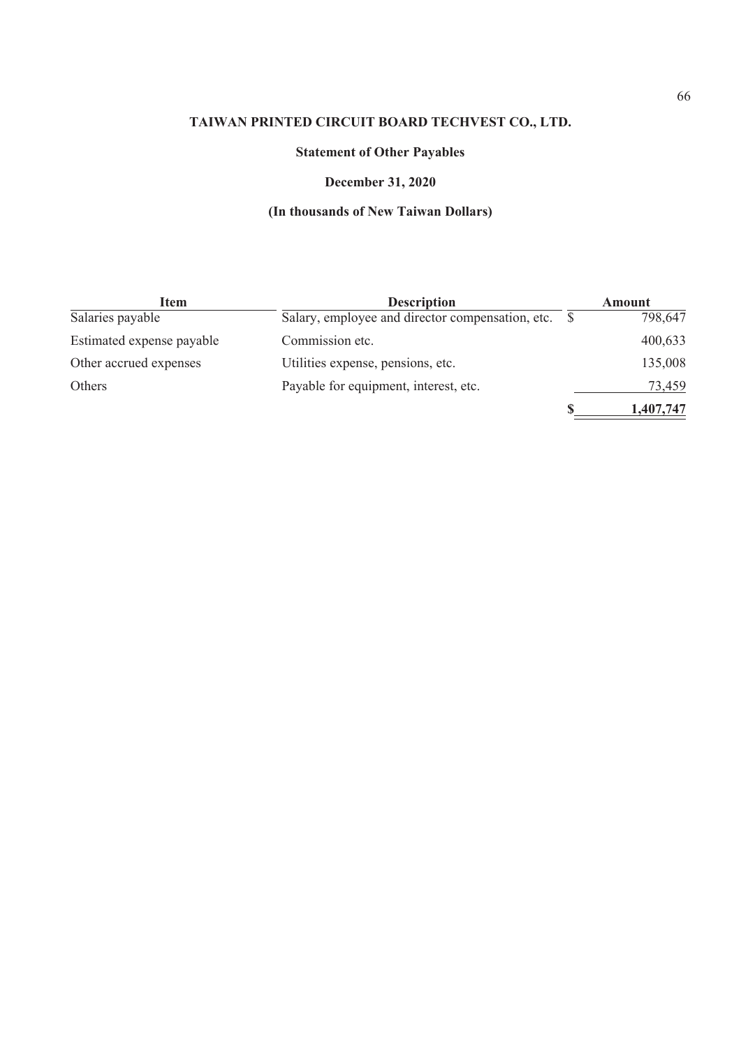# **Statement of Other Payables**

## **December 31, 2020**

| Item                      | <b>Description</b>                    | Amount    |
|---------------------------|---------------------------------------|-----------|
| Salaries payable          |                                       | 798,647   |
| Estimated expense payable | Commission etc.                       | 400,633   |
| Other accrued expenses    | Utilities expense, pensions, etc.     | 135,008   |
| Others                    | Payable for equipment, interest, etc. | 73,459    |
|                           |                                       | 1,407,747 |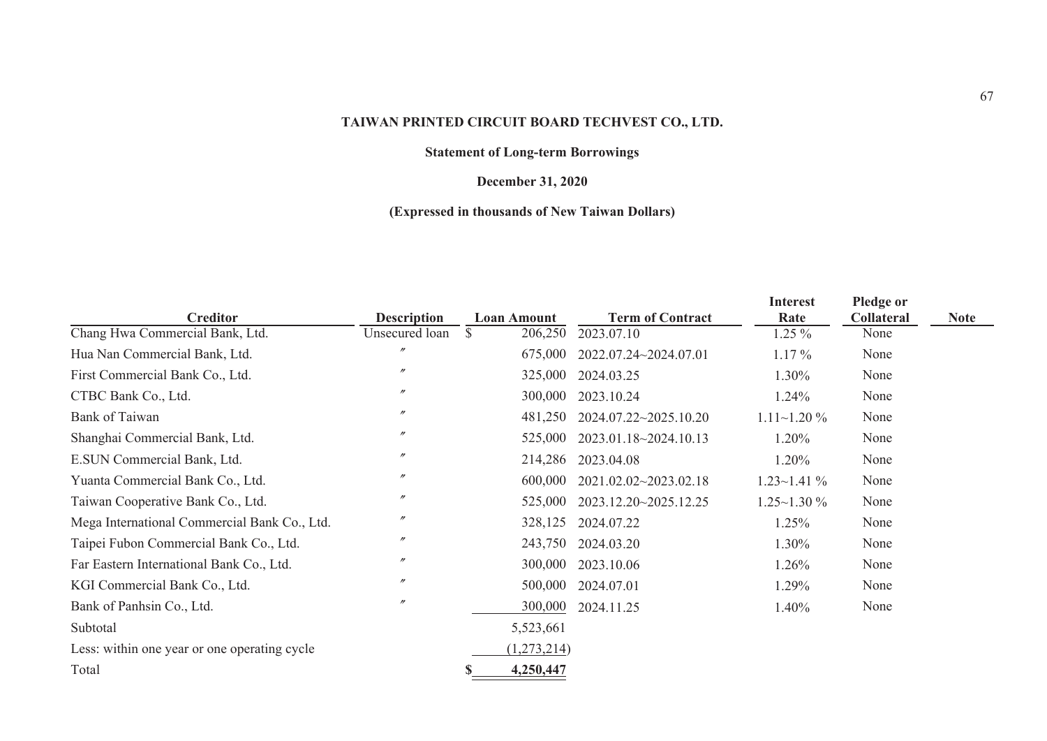## **Statement of Long-term Borrowings**

## **December 31, 2020**

## **(Expressed in thousands of New Taiwan Dollars)**

|                                              |                    |                         |                         | <b>Interest</b>     | Pledge or         |             |
|----------------------------------------------|--------------------|-------------------------|-------------------------|---------------------|-------------------|-------------|
| <b>Creditor</b>                              | <b>Description</b> | <b>Loan Amount</b>      | <b>Term of Contract</b> | Rate                | <b>Collateral</b> | <b>Note</b> |
| Chang Hwa Commercial Bank, Ltd.              | Unsecured loan     | <sup>S</sup><br>206,250 | 2023.07.10              | $1.25\%$            | None              |             |
| Hua Nan Commercial Bank, Ltd.                | $^{\prime\prime}$  | 675,000                 | 2022.07.24~2024.07.01   | $1.17\%$            | None              |             |
| First Commercial Bank Co., Ltd.              | $^{\prime\prime}$  | 325,000                 | 2024.03.25              | 1.30%               | None              |             |
| CTBC Bank Co., Ltd.                          | $^{\prime\prime}$  | 300,000                 | 2023.10.24              | 1.24%               | None              |             |
| Bank of Taiwan                               | $^{\prime\prime}$  | 481,250                 | 2024.07.22~2025.10.20   | $1.11 \sim 1.20 \%$ | None              |             |
| Shanghai Commercial Bank, Ltd.               | $^{\prime\prime}$  | 525,000                 | 2023.01.18~2024.10.13   | 1.20%               | None              |             |
| E.SUN Commercial Bank, Ltd.                  | $^{\prime\prime}$  | 214,286                 | 2023.04.08              | 1.20%               | None              |             |
| Yuanta Commercial Bank Co., Ltd.             | $^{\prime\prime}$  | 600,000                 | 2021.02.02~2023.02.18   | $1.23 \sim 1.41 \%$ | None              |             |
| Taiwan Cooperative Bank Co., Ltd.            | $^{\prime\prime}$  | 525,000                 | 2023.12.20~2025.12.25   | $1.25 \sim 1.30 \%$ | None              |             |
| Mega International Commercial Bank Co., Ltd. | $^{\prime\prime}$  | 328,125                 | 2024.07.22              | 1.25%               | None              |             |
| Taipei Fubon Commercial Bank Co., Ltd.       | $^{\prime\prime}$  | 243,750                 | 2024.03.20              | 1.30%               | None              |             |
| Far Eastern International Bank Co., Ltd.     | $^{\prime\prime}$  | 300,000                 | 2023.10.06              | 1.26%               | None              |             |
| KGI Commercial Bank Co., Ltd.                | $^{\prime\prime}$  | 500,000                 | 2024.07.01              | 1.29%               | None              |             |
| Bank of Panhsin Co., Ltd.                    | $^{\prime\prime}$  | 300,000                 | 2024.11.25              | 1.40%               | None              |             |
| Subtotal                                     |                    | 5,523,661               |                         |                     |                   |             |
| Less: within one year or one operating cycle |                    | (1,273,214)             |                         |                     |                   |             |
| Total                                        |                    | 4,250,447               |                         |                     |                   |             |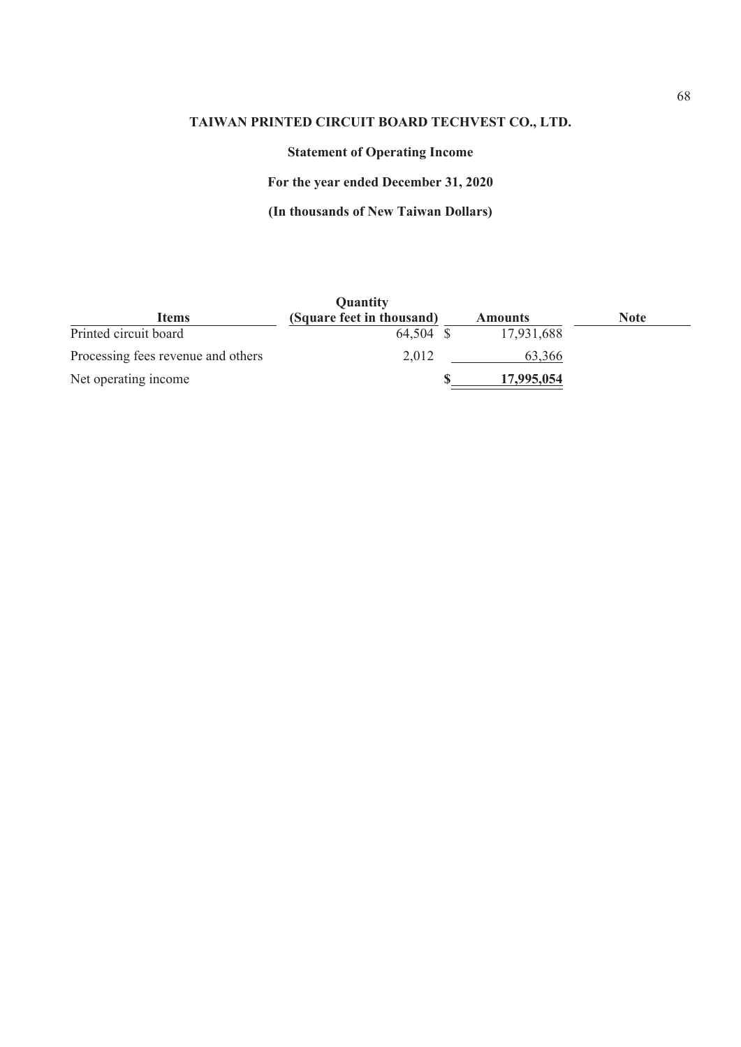# **Statement of Operating Income**

**For the year ended December 31, 2020**

|                                    | <b>Quantity</b>           |                |             |
|------------------------------------|---------------------------|----------------|-------------|
| Items                              | (Square feet in thousand) | <b>Amounts</b> | <b>Note</b> |
| Printed circuit board              | 64,504 \$                 | 17,931,688     |             |
| Processing fees revenue and others | 2,012                     | 63,366         |             |
| Net operating income               |                           | 17,995,054     |             |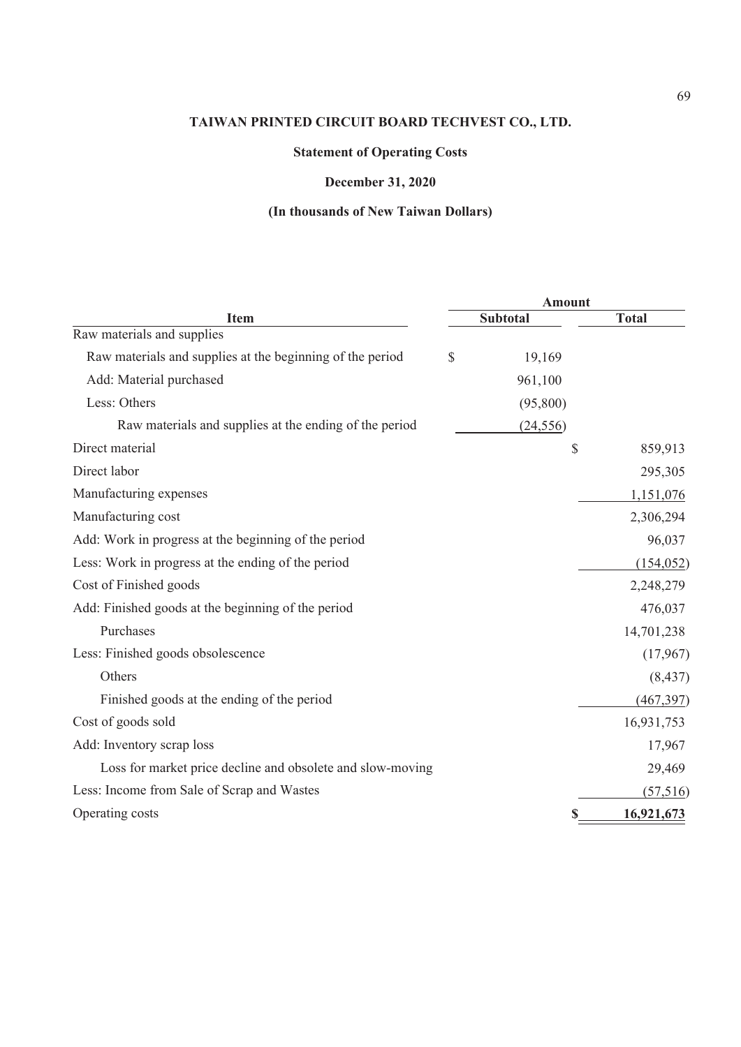# **Statement of Operating Costs**

# **December 31, 2020**

|                                                            | <b>Amount</b>   |              |
|------------------------------------------------------------|-----------------|--------------|
| <b>Item</b>                                                | <b>Subtotal</b> | <b>Total</b> |
| Raw materials and supplies                                 |                 |              |
| Raw materials and supplies at the beginning of the period  | \$<br>19,169    |              |
| Add: Material purchased                                    | 961,100         |              |
| Less: Others                                               | (95,800)        |              |
| Raw materials and supplies at the ending of the period     | (24, 556)       |              |
| Direct material                                            | \$              | 859,913      |
| Direct labor                                               |                 | 295,305      |
| Manufacturing expenses                                     |                 | 1,151,076    |
| Manufacturing cost                                         |                 | 2,306,294    |
| Add: Work in progress at the beginning of the period       |                 | 96,037       |
| Less: Work in progress at the ending of the period         |                 | (154, 052)   |
| Cost of Finished goods                                     |                 | 2,248,279    |
| Add: Finished goods at the beginning of the period         |                 | 476,037      |
| Purchases                                                  |                 | 14,701,238   |
| Less: Finished goods obsolescence                          |                 | (17,967)     |
| Others                                                     |                 | (8, 437)     |
| Finished goods at the ending of the period                 |                 | (467, 397)   |
| Cost of goods sold                                         |                 | 16,931,753   |
| Add: Inventory scrap loss                                  |                 | 17,967       |
| Loss for market price decline and obsolete and slow-moving |                 | 29,469       |
| Less: Income from Sale of Scrap and Wastes                 |                 | (57, 516)    |
| Operating costs                                            |                 | 16,921,673   |